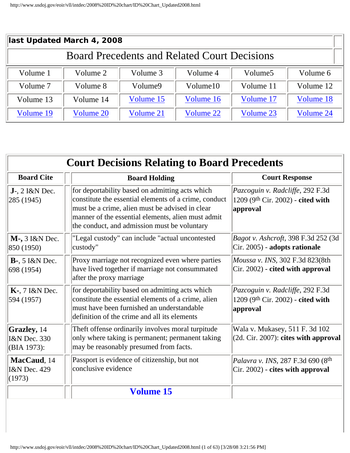| last Updated March 4, 2008                   |           |           |           |                     |           |
|----------------------------------------------|-----------|-----------|-----------|---------------------|-----------|
| Board Precedents and Related Court Decisions |           |           |           |                     |           |
| Volume 1                                     | Volume 2  | Volume 3  | Volume 4  | Volume <sub>5</sub> | Volume 6  |
| Volume 7                                     | Volume 8  | Volume9   | Volume10  | Volume 11           | Volume 12 |
| Volume 13                                    | Volume 14 | Volume 15 | Volume 16 | Volume 17           | Volume 18 |
| Volume 19                                    | Volume 20 | Volume 21 | Volume 22 | Volume 23           | Volume 24 |

<span id="page-0-0"></span>

| <b>Court Decisions Relating to Board Precedents</b>       |                                                                                                                                                                                                                                                                   |                                                                                                       |  |
|-----------------------------------------------------------|-------------------------------------------------------------------------------------------------------------------------------------------------------------------------------------------------------------------------------------------------------------------|-------------------------------------------------------------------------------------------------------|--|
| <b>Board Cite</b>                                         | <b>Board Holding</b>                                                                                                                                                                                                                                              | <b>Court Response</b>                                                                                 |  |
| $J$ -, 2 $I\&N$ Dec.<br>285 (1945)                        | for deportability based on admitting acts which<br>constitute the essential elements of a crime, conduct<br>must be a crime, alien must be advised in clear<br>manner of the essential elements, alien must admit<br>the conduct, and admission must be voluntary | Pazcoguin v. Radcliffe, 292 F.3d<br>$1209$ (9 <sup>th</sup> Cir. 2002) - cited with<br>approval       |  |
| M-, 3 I&N Dec.<br>850 (1950)                              | "Legal custody" can include "actual uncontested<br>custody"                                                                                                                                                                                                       | <i>Bagot v. Ashcroft, 398 F.3d 252 (3d)</i><br>Cir. 2005) - adopts rationale                          |  |
| $B-$ , 5 $I\&N$ Dec.<br>698 (1954)                        | Proxy marriage not recognized even where parties<br>have lived together if marriage not consummated<br>after the proxy marriage                                                                                                                                   | Moussa v. INS, 302 F.3d 823(8th<br>$Cir. 2002$ - cited with approval                                  |  |
| $K-$ , 7 $I\&N$ Dec.<br>594 (1957)                        | for deportability based on admitting acts which<br>constitute the essential elements of a crime, alien<br>must have been furnished an understandable<br>definition of the crime and all its elements                                                              | Pazcoguin v. Radcliffe, 292 F.3d<br>1209 (9th Cir. 2002) - cited with<br>approval                     |  |
| Grazley, 14<br><b>I&amp;N</b> Dec. 330<br>$ $ (BIA 1973): | Theft offense ordinarily involves moral turpitude<br>only where taking is permanent; permanent taking<br>may be reasonably presumed from facts.                                                                                                                   | Wala v. Mukasey, 511 F. 3d 102<br>$(2d. Cir. 2007)$ : cites with approval                             |  |
| MacCaud, 14<br><b>I&amp;N</b> Dec. 429<br>(1973)          | Passport is evidence of citizenship, but not<br>conclusive evidence                                                                                                                                                                                               | <i>Palavra v. INS, 287 F.3d 690 (8th)</i><br>$\left  \text{Cir. } 2002 \right $ - cites with approval |  |
|                                                           | <b>Volume 15</b>                                                                                                                                                                                                                                                  |                                                                                                       |  |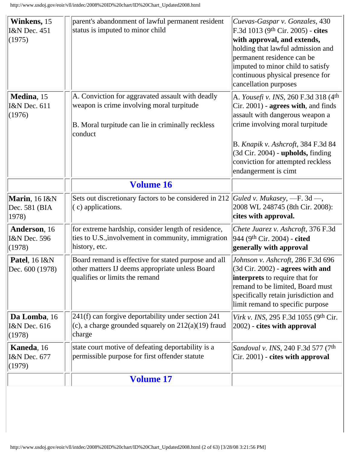<span id="page-1-1"></span><span id="page-1-0"></span>

| Winkens, 15                                     | parent's abandonment of lawful permanent resident                                                                                                  | Cuevas-Gaspar v. Gonzales, 430                                                                                                                                                                                                        |
|-------------------------------------------------|----------------------------------------------------------------------------------------------------------------------------------------------------|---------------------------------------------------------------------------------------------------------------------------------------------------------------------------------------------------------------------------------------|
| I&N Dec. 451<br>(1975)                          | status is imputed to minor child                                                                                                                   | F.3d 1013 (9th Cir. 2005) - cites<br>with approval, and extends,<br>holding that lawful admission and<br>permanent residence can be<br>imputed to minor child to satisfy<br>continuous physical presence for<br>cancellation purposes |
| Medina, 15<br>I&N Dec. 611<br>(1976)            | A. Conviction for aggravated assault with deadly<br>weapon is crime involving moral turpitude<br>B. Moral turpitude can lie in criminally reckless | A. Yousefi v. INS, 260 F.3d 318 (4th<br>Cir. 2001) - <b>agrees with</b> , and finds<br>assault with dangerous weapon a<br>crime involving moral turpitude                                                                             |
|                                                 | conduct                                                                                                                                            | B. Knapik v. Ashcroft, 384 F.3d 84<br>$(3d$ Cir. 2004) - upholds, finding<br>conviction for attempted reckless<br>endangerment is cimt                                                                                                |
|                                                 | <b>Volume 16</b>                                                                                                                                   |                                                                                                                                                                                                                                       |
| <b>Marin</b> , 16 I&N<br>Dec. 581 (BIA<br>1978) | Sets out discretionary factors to be considered in 212<br>$(c)$ applications.                                                                      | Guled v. Mukasey, $-F. 3d$ ,<br>2008 WL 248745 (8th Cir. 2008):<br>cites with approval.                                                                                                                                               |
| Anderson, 16<br>I&N Dec. 596<br>(1978)          | for extreme hardship, consider length of residence,<br>ties to U.S., involvement in community, immigration<br>history, etc.                        | Chete Juarez v. Ashcroft, 376 F.3d<br>944 (9 <sup>th</sup> Cir. 2004) - <b>cited</b><br>generally with approval                                                                                                                       |
| <b>Patel</b> , 16 I&N<br>Dec. 600 (1978)        | Board remand is effective for stated purpose and all<br>other matters IJ deems appropriate unless Board<br>qualifies or limits the remand          | Johnson v. Ashcroft, 286 F.3d 696<br>$(3d$ Cir. 2002) - agrees with and<br><b>interprets</b> to require that for<br>remand to be limited, Board must<br>specifically retain jurisdiction and<br>limit remand to specific purpose      |
| Da Lomba, 16<br>I&N Dec. 616<br>(1978)          | 241(f) can forgive deportability under section 241<br>(c), a charge grounded squarely on $212(a)(19)$ fraud<br>charge                              | Virk v. INS, 295 F.3d 1055 (9th Cir.<br>2002) - cites with approval                                                                                                                                                                   |
| Kaneda, 16<br>I&N Dec. 677<br>(1979)            | state court motive of defeating deportability is a<br>permissible purpose for first offender statute                                               | Sandoval v. INS, 240 F.3d 577 (7th<br>Cir. 2001) - cites with approval                                                                                                                                                                |
|                                                 | <b>Volume 17</b>                                                                                                                                   |                                                                                                                                                                                                                                       |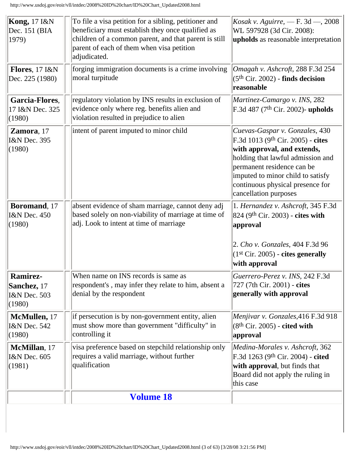<span id="page-2-0"></span>

| Kong, $17$ I&N<br>Dec. 151 (BIA)<br>1979)                | To file a visa petition for a sibling, petitioner and<br>beneficiary must establish they once qualified as<br>children of a common parent, and that parent is still<br>parent of each of them when visa petition<br>adjudicated. | <i>Kosak v. Aguirre, - F.</i> 3d - 72008<br>WL 597928 (3d Cir. 2008):<br>upholds as reasonable interpretation                                                                                                                                                           |
|----------------------------------------------------------|----------------------------------------------------------------------------------------------------------------------------------------------------------------------------------------------------------------------------------|-------------------------------------------------------------------------------------------------------------------------------------------------------------------------------------------------------------------------------------------------------------------------|
| Flores, 17 I&N<br>Dec. 225 (1980)                        | forging immigration documents is a crime involving<br>moral turpitude                                                                                                                                                            | Omagah v. Ashcroft, 288 F.3d 254<br>$(5th Cir. 2002)$ - finds decision<br>reasonable                                                                                                                                                                                    |
| Garcia-Flores,<br>17 I&N Dec. 325<br>(1980)              | regulatory violation by INS results in exclusion of<br>evidence only where reg. benefits alien and<br>violation resulted in prejudice to alien                                                                                   | Martinez-Camargo v. INS, 282<br>F.3d 487 (7 <sup>th</sup> Cir. 2002)- upholds                                                                                                                                                                                           |
| Zamora, 17<br><b>I&amp;N</b> Dec. 395<br>(1980)          | intent of parent imputed to minor child                                                                                                                                                                                          | Cuevas-Gaspar v. Gonzales, 430<br>F.3d 1013 (9th Cir. 2005) - cites<br>with approval, and extends,<br>holding that lawful admission and<br>permanent residence can be<br>imputed to minor child to satisfy<br>continuous physical presence for<br>cancellation purposes |
| Boromand, 17<br><b>I&amp;N</b> Dec. 450<br>(1980)        | absent evidence of sham marriage, cannot deny adj<br>based solely on non-viability of marriage at time of<br>adj. Look to intent at time of marriage                                                                             | 1. Hernandez v. Ashcroft, 345 F.3d<br>$ 824 \ (9th Cir. 2003) - cites with$<br> approval<br>2. Cho v. Gonzales, 404 F.3d 96<br>$(1st Cir. 2005)$ - cites generally<br>with approval                                                                                     |
| <b>Ramirez-</b><br>Sanchez, 17<br>I&N Dec. 503<br>(1980) | When name on INS records is same as<br>respondent's, may infer they relate to him, absent a<br>denial by the respondent                                                                                                          | Guerrero-Perez v. INS, 242 F.3d<br>727 (7th Cir. 2001) - cites<br>generally with approval                                                                                                                                                                               |
| McMullen, 17<br>I&N Dec. 542<br>(1980)                   | if persecution is by non-government entity, alien<br>must show more than government "difficulty" in<br>controlling it                                                                                                            | Menjivar v. Gonzales, 416 F.3d 918<br>$(8th Cir. 2005)$ - cited with<br>approval                                                                                                                                                                                        |
| McMillan, 17<br>I&N Dec. 605<br>(1981)                   | visa preference based on stepchild relationship only<br>requires a valid marriage, without further<br>qualification                                                                                                              | Medina-Morales v. Ashcroft, 362<br>F.3d 1263 (9th Cir. 2004) - cited<br>with approval, but finds that<br>Board did not apply the ruling in<br>this case                                                                                                                 |
|                                                          | <b>Volume 18</b>                                                                                                                                                                                                                 |                                                                                                                                                                                                                                                                         |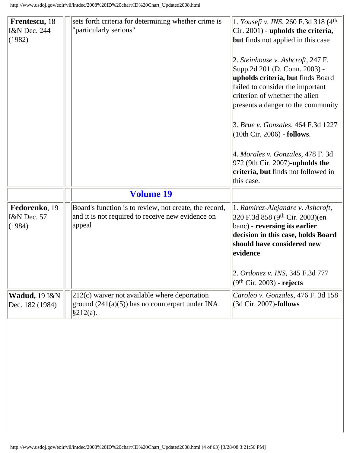<span id="page-3-0"></span>

| Frentescu, 18<br>I&N Dec. 244<br>(1982)  | sets forth criteria for determining whether crime is<br>"particularly serious"                                        | 1. Yousefi v. INS, 260 F.3d 318 (4th<br>$C$ ir. 2001) - upholds the criteria,<br>but finds not applied in this case                                                                                                 |
|------------------------------------------|-----------------------------------------------------------------------------------------------------------------------|---------------------------------------------------------------------------------------------------------------------------------------------------------------------------------------------------------------------|
|                                          |                                                                                                                       | 2. Steinhouse v. Ashcroft, 247 F.<br>Supp.2d 201 (D. Conn. 2003) -<br>upholds criteria, but finds Board<br>failed to consider the important<br>criterion of whether the alien<br>presents a danger to the community |
|                                          |                                                                                                                       | 3. Brue v. Gonzales, 464 F.3d 1227<br>$(10th Cir. 2006)$ - follows.                                                                                                                                                 |
|                                          |                                                                                                                       | 4. Morales v. Gonzales, 478 F. 3d<br>$972$ (9th Cir. 2007)-upholds the<br>criteria, but finds not followed in<br>this case.                                                                                         |
|                                          | <b>Volume 19</b>                                                                                                      |                                                                                                                                                                                                                     |
| Fedorenko, 19<br>I&N Dec. 57<br>(1984)   | Board's function is to review, not create, the record,<br>and it is not required to receive new evidence on<br>appeal | 1. Ramirez-Alejandre v. Ashcroft,<br>320 F.3d 858 (9th Cir. 2003)(en<br>banc) - reversing its earlier<br>decision in this case, holds Board<br>should have considered new<br>evidence                               |
|                                          |                                                                                                                       | 2. Ordonez v. INS, 345 F.3d 777<br>$(9th Cir. 2003)$ - rejects                                                                                                                                                      |
| <b>Wadud</b> , 19 I&N<br>Dec. 182 (1984) | $212(c)$ waiver not available where deportation<br>ground (241(a)(5)) has no counterpart under INA<br>§212(a).        | Caroleo v. Gonzales, 476 F. 3d 158<br>$(3d$ Cir. 2007)-follows                                                                                                                                                      |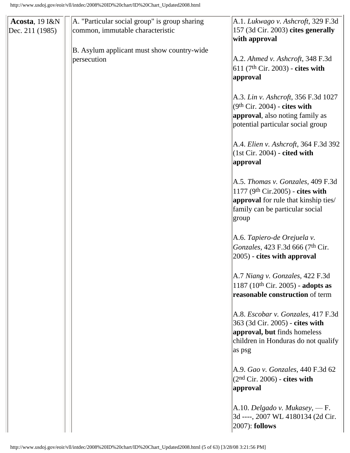| Acosta, 19 I&N  | A. "Particular social group" is group sharing | A.1. Lukwago v. Ashcroft, 329 F.3d                   |
|-----------------|-----------------------------------------------|------------------------------------------------------|
| Dec. 211 (1985) | common, immutable characteristic              | 157 (3d Cir. 2003) cites generally                   |
|                 |                                               | with approval                                        |
|                 | B. Asylum applicant must show country-wide    |                                                      |
|                 | persecution                                   | A.2. Ahmed v. Ashcroft, 348 F.3d                     |
|                 |                                               | 611 (7 <sup>th</sup> Cir. 2003) - cites with         |
|                 |                                               | approval                                             |
|                 |                                               |                                                      |
|                 |                                               | A.3. Lin v. Ashcroft, 356 F.3d 1027                  |
|                 |                                               | $(9th Cir. 2004)$ - cites with                       |
|                 |                                               | approval, also noting family as                      |
|                 |                                               | potential particular social group                    |
|                 |                                               |                                                      |
|                 |                                               | A.4. Elien v. Ashcroft, 364 F.3d 392                 |
|                 |                                               | $(1st Cir. 2004)$ - cited with                       |
|                 |                                               | approval                                             |
|                 |                                               |                                                      |
|                 |                                               | A.5. Thomas v. Gonzales, 409 F.3d                    |
|                 |                                               | 1177 ( $9th Cir.2005$ ) - cites with                 |
|                 |                                               | approval for rule that kinship ties/                 |
|                 |                                               | family can be particular social                      |
|                 |                                               | group                                                |
|                 |                                               |                                                      |
|                 |                                               | A.6. Tapiero-de Orejuela v.                          |
|                 |                                               | Gonzales, 423 F.3d 666 (7 <sup>th</sup> Cir.         |
|                 |                                               | 2005) - cites with approval                          |
|                 |                                               |                                                      |
|                 |                                               | A.7 Niang v. Gonzales, 422 F.3d                      |
|                 |                                               | 1187 (10 <sup>th</sup> Cir. 2005) - <b>adopts as</b> |
|                 |                                               | reasonable construction of term                      |
|                 |                                               |                                                      |
|                 |                                               | A.8. Escobar v. Gonzales, 417 F.3d                   |
|                 |                                               | 363 (3d Cir. 2005) - cites with                      |
|                 |                                               | approval, but finds homeless                         |
|                 |                                               | children in Honduras do not qualify                  |
|                 |                                               | as psg                                               |
|                 |                                               |                                                      |
|                 |                                               | A.9. Gao v. Gonzales, 440 F.3d 62                    |
|                 |                                               | $(2nd Cir. 2006)$ - cites with                       |
|                 |                                               | approval                                             |
|                 |                                               |                                                      |
|                 |                                               | A.10. Delgado v. Mukasey, $- F$ .                    |
|                 |                                               | 3d ----, 2007 WL 4180134 (2d Cir.                    |
|                 |                                               | $(2007)$ : follows                                   |
|                 |                                               |                                                      |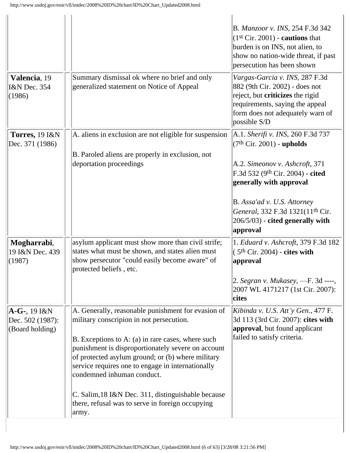Ш

|                                                        |                                                                                                                                                                                                                                                                                                                                                                                                                                                                      | B. Manzoor v. INS, 254 F.3d 342<br>$(1st Cir. 2001)$ - <b>cautions</b> that<br>burden is on INS, not alien, to<br>show no nation-wide threat, if past<br>persecution has been shown                                                                                                                 |
|--------------------------------------------------------|----------------------------------------------------------------------------------------------------------------------------------------------------------------------------------------------------------------------------------------------------------------------------------------------------------------------------------------------------------------------------------------------------------------------------------------------------------------------|-----------------------------------------------------------------------------------------------------------------------------------------------------------------------------------------------------------------------------------------------------------------------------------------------------|
| Valencia, 19<br>I&N Dec. 354<br>(1986)                 | Summary dismissal ok where no brief and only<br>generalized statement on Notice of Appeal                                                                                                                                                                                                                                                                                                                                                                            | Vargas-Garcia v. INS, 287 F.3d<br>882 (9th Cir. 2002) - does not<br>reject, but <b>criticizes</b> the rigid<br>requirements, saying the appeal<br>form does not adequately warn of<br>possible S/D                                                                                                  |
| <b>Torres, 19 I&amp;N</b><br>Dec. 371 (1986)           | A. aliens in exclusion are not eligible for suspension<br>B. Paroled aliens are properly in exclusion, not<br>deportation proceedings                                                                                                                                                                                                                                                                                                                                | A.1. Sherifi v. INS, 260 F.3d 737<br>$(7th Cir. 2001)$ - upholds<br>A.2. Simeonov v. Ashcroft, 371<br>F.3d 532 (9th Cir. 2004) - cited<br>generally with approval<br>B. Assa'ad v. U.S. Attorney<br>General, 332 F.3d 1321(11 <sup>th</sup> Cir.<br>$206/5/03$ ) - cited generally with<br>approval |
| Mogharrabi,<br>19 I&N Dec. 439<br>(1987)               | asylum applicant must show more than civil strife;<br>states what must be shown, and states alien must<br>show persecutor "could easily become aware" of<br>protected beliefs, etc.                                                                                                                                                                                                                                                                                  | 1. Eduard v. Ashcroft, 379 F.3d 182<br>$(5th Cir. 2004)$ - cites with<br>approval<br>2. Segran v. Mukasey, $-F. 3d$ ----,<br>2007 WL 4171217 (1st Cir. 2007):<br>cites                                                                                                                              |
| $A-G$ -, 19 I&N<br>Dec. 502 (1987):<br>(Board holding) | A. Generally, reasonable punishment for evasion of<br>military conscripion in not persecution.<br>B. Exceptions to A: (a) in rare cases, where such<br>punishment is disproportionately severe on account<br>of protected asylum ground; or (b) where military<br>service requires one to engage in internationally<br>condemned inhuman conduct.<br>C. Salim, 18 I&N Dec. 311, distinguishable because<br>there, refusal was to serve in foreign occupying<br>army. | Kibinda v. U.S. Att'y Gen., 477 F.<br>3d 113 (3rd Cir. 2007): cites with<br>approval, but found applicant<br>failed to satisfy criteria.                                                                                                                                                            |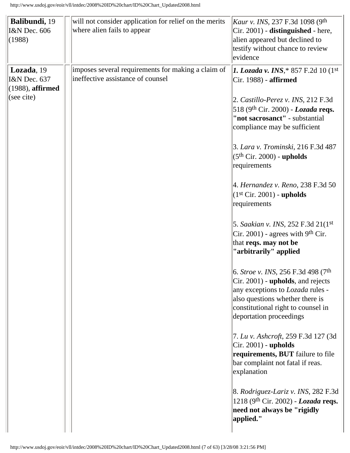| Balibundi, 19<br>I&N Dec. 606<br>(1988)                      | will not consider application for relief on the merits<br>where alien fails to appear   | Kaur v. INS, 237 F.3d 1098 (9th<br>Cir. 2001) - distinguished - here,<br>alien appeared but declined to<br>testify without chance to review<br>evidence                                                                                       |
|--------------------------------------------------------------|-----------------------------------------------------------------------------------------|-----------------------------------------------------------------------------------------------------------------------------------------------------------------------------------------------------------------------------------------------|
| Lozada, 19<br><b>I&amp;N</b> Dec. 637<br>$(1988)$ , affirmed | imposes several requirements for making a claim of<br>ineffective assistance of counsel | <b>1. Lozada v. INS,* 857 F.2d 10 (1st</b> )<br>Cir. 1988) - affirmed                                                                                                                                                                         |
| (see cite)                                                   |                                                                                         | 2. Castillo-Perez v. INS, 212 F.3d<br>518 (9th Cir. 2000) - Lozada reqs.<br>"not sacrosanct" - substantial<br>compliance may be sufficient                                                                                                    |
|                                                              |                                                                                         | 3. Lara v. Trominski, 216 F.3d 487<br>$(5th Cir. 2000)$ - upholds<br>requirements                                                                                                                                                             |
|                                                              |                                                                                         | 4. Hernandez v. Reno, 238 F.3d 50<br>$(1st Cir. 2001)$ - upholds<br>requirements                                                                                                                                                              |
|                                                              |                                                                                         | 5. Saakian v. INS, 252 F.3d 21(1st)<br>Cir. 2001) - agrees with 9 <sup>th</sup> Cir.<br>that reqs. may not be<br>"arbitrarily" applied                                                                                                        |
|                                                              |                                                                                         | 6. <i>Stroe v. INS</i> , 256 F.3d 498 (7 <sup>th</sup> )<br>Cir. 2001) - <b>upholds</b> , and rejects<br>any exceptions to Lozada rules -<br>also questions whether there is<br>constitutional right to counsel in<br>deportation proceedings |
|                                                              |                                                                                         | 7. Lu v. Ashcroft, 259 F.3d 127 (3d<br>$\left  \text{Cir. } 2001 \right)$ - upholds<br>requirements, BUT failure to file<br>bar complaint not fatal if reas.<br>explanation                                                                   |
|                                                              |                                                                                         | $\vert 8.$ <i>Rodriguez-Lariz v. INS, 282 F.3d</i><br>1218 (9th Cir. 2002) - Lozada reqs.<br>need not always be "rigidly<br>applied."                                                                                                         |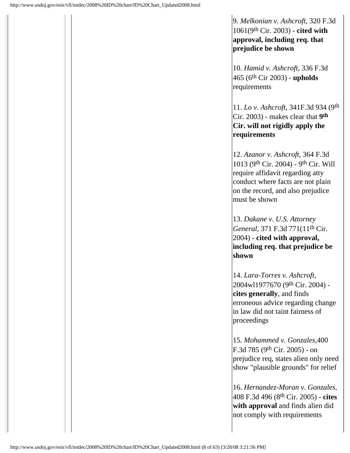9. *Melkonian v. Ashcroft*, 320 F.3d 1061(9th Cir. 2003) - **cited with approval, including req. that prejudice be shown**

10. *Hamid v. Ashcroft*, 336 F.3d 465 (6th Cir 2003) - **upholds**  requirements

11. *Lo v. Ashcroft*, 341F.3d 934 (9th Cir. 2003) - makes clear that **9th Cir. will not rigidly apply the requirements**

12. *Azanor v. Ashcroft*, 364 F.3d 1013 (9th Cir. 2004) - 9th Cir. Will require affidavit regarding atty conduct where facts are not plain on the record, and also prejudice must be shown

13. *Dakane v. U.S. Attorney General*, 371 F.3d 771(11th Cir. 2004) - **cited with approval, including req. that prejudice be shown**

14. *Lara-Torres v. Ashcroft*, 2004wl1977670 (9th Cir. 2004) **cites generally**, and finds erroneous advice regarding change in law did not taint fairness of proceedings

15. *Mohammed v. Gonzales*,400 F.3d 785 (9th Cir. 2005) - on prejudice req, states alien only need show "plausible grounds" for relief

16. *Hernandez-Moran v. Gonzales*, 408 F.3d 496 (8th Cir. 2005) - **cites with approval** and finds alien did not comply with requirements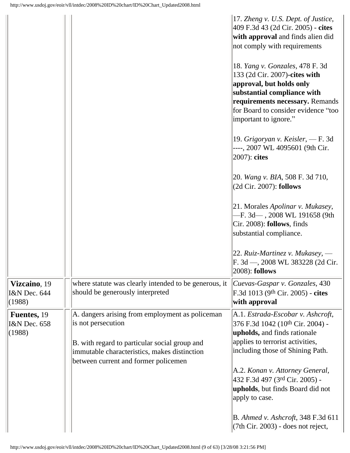|                                                  |                                                                                                                                                                                                                | 17. Zheng v. U.S. Dept. of Justice,<br>409 F.3d 43 (2d Cir. 2005) - cites<br>with approval and finds alien did<br>not comply with requirements<br>18. Yang v. Gonzales, 478 F. 3d<br>133 (2d Cir. 2007)-cites with<br>approval, but holds only<br>substantial compliance with<br>requirements necessary. Remands<br>for Board to consider evidence "too<br>important to ignore."<br>19. Grigoryan v. Keisler, — F. 3d<br>----, 2007 WL 4095601 (9th Cir.<br>2007): cites<br>20. Wang v. BIA, 508 F. 3d 710,<br>(2d Cir. 2007): follows<br>21. Morales Apolinar v. Mukasey,<br>-F. 3d—, 2008 WL 191658 (9th<br>Cir. 2008): <b>follows</b> , finds<br>substantial compliance.<br>22. Ruiz-Martinez v. Mukasey, $-$<br>F. 3d - 2008 WL 383228 (2d Cir.<br>2008): <b>follows</b> |
|--------------------------------------------------|----------------------------------------------------------------------------------------------------------------------------------------------------------------------------------------------------------------|------------------------------------------------------------------------------------------------------------------------------------------------------------------------------------------------------------------------------------------------------------------------------------------------------------------------------------------------------------------------------------------------------------------------------------------------------------------------------------------------------------------------------------------------------------------------------------------------------------------------------------------------------------------------------------------------------------------------------------------------------------------------------|
| Vizcaino, 19<br>I&N Dec. 644<br>(1988)           | where statute was clearly intended to be generous, it<br>should be generously interpreted                                                                                                                      | Cuevas-Gaspar v. Gonzales, 430<br>F.3d 1013 (9th Cir. 2005) - cites<br>with approval                                                                                                                                                                                                                                                                                                                                                                                                                                                                                                                                                                                                                                                                                         |
| Fuentes, 19<br><b>I&amp;N</b> Dec. 658<br>(1988) | A. dangers arising from employment as policeman<br>is not persecution<br>B. with regard to particular social group and<br>immutable characteristics, makes distinction<br>between current and former policemen | A.1. Estrada-Escobar v. Ashcroft,<br>376 F.3d 1042 (10 <sup>th</sup> Cir. 2004) -<br>upholds, and finds rationale<br>applies to terrorist activities,<br>including those of Shining Path.<br>A.2. Konan v. Attorney General,<br>432 F.3d 497 (3rd Cir. 2005) -<br>upholds, but finds Board did not<br>apply to case.<br>B. Ahmed v. Ashcroft, 348 F.3d 611<br>$(7th Cir. 2003)$ - does not reject,                                                                                                                                                                                                                                                                                                                                                                           |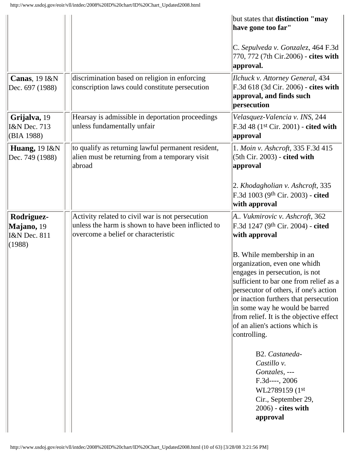|                                                       |                                                                                                                                               | but states that distinction "may<br>have gone too far"                                                                                                                                                                                                                                                                                                 |
|-------------------------------------------------------|-----------------------------------------------------------------------------------------------------------------------------------------------|--------------------------------------------------------------------------------------------------------------------------------------------------------------------------------------------------------------------------------------------------------------------------------------------------------------------------------------------------------|
|                                                       |                                                                                                                                               | C. Sepulveda v. Gonzalez, 464 F.3d<br>770, 772 (7th Cir.2006) - cites with<br>approval.                                                                                                                                                                                                                                                                |
| Canas, 19 I&N<br>Dec. 697 (1988)                      | discrimination based on religion in enforcing<br>conscription laws could constitute persecution                                               | Ilchuck v. Attorney General, 434<br>F.3d 618 (3d Cir. 2006) - cites with<br>approval, and finds such<br>persecution                                                                                                                                                                                                                                    |
| Grijalva, 19<br><b>I&amp;N</b> Dec. 713<br>(BIA 1988) | Hearsay is admissible in deportation proceedings<br>unless fundamentally unfair                                                               | Velasquez-Valencia v. INS, 244<br>F.3d 48 (1st Cir. 2001) - cited with<br>approval                                                                                                                                                                                                                                                                     |
| <b>Huang</b> , 19 I&N<br>Dec. 749 (1988)              | to qualify as returning lawful permanent resident,<br>alien must be returning from a temporary visit<br>abroad                                | 1. Moin v. Ashcroft, 335 F.3d 415<br>(5th Cir. 2003) - cited with<br>approval                                                                                                                                                                                                                                                                          |
|                                                       |                                                                                                                                               | 2. Khodagholian v. Ashcroft, 335<br>F.3d 1003 (9th Cir. 2003) - cited<br>with approval                                                                                                                                                                                                                                                                 |
| Rodriguez-<br>Majano, 19<br>I&N Dec. 811<br>(1988)    | Activity related to civil war is not persecution<br>unless the harm is shown to have been inflicted to<br>overcome a belief or characteristic | A Vukmirovic v. Ashcroft, 362<br>F.3d 1247 (9th Cir. 2004) - cited<br>with approval                                                                                                                                                                                                                                                                    |
|                                                       |                                                                                                                                               | B. While membership in an<br>organization, even one whidh<br>engages in persecution, is not<br>sufficient to bar one from relief as a<br>persecutor of others, if one's action<br>or inaction furthers that persecution<br>in some way he would be barred<br>from relief. It is the objective effect<br>of an alien's actions which is<br>controlling. |
|                                                       |                                                                                                                                               | B2. Castaneda-<br>Castillo v.<br>Gonzales, ---<br>$F.3d---, 2006$<br>WL2789159 (1st<br>Cir., September 29,<br>$2006$ ) - cites with<br>approval                                                                                                                                                                                                        |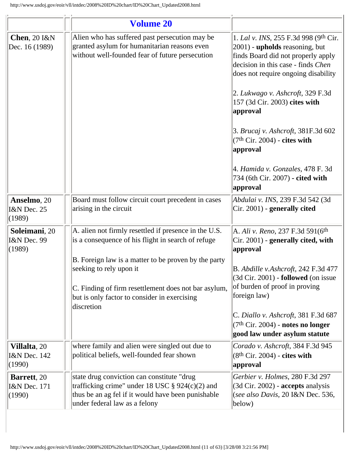<span id="page-10-0"></span>

|                                                  | <b>Volume 20</b>                                                                                                                                                                                                                                                                                                     |                                                                                                                                                                                                                                                                                                                                                                                                                                                     |
|--------------------------------------------------|----------------------------------------------------------------------------------------------------------------------------------------------------------------------------------------------------------------------------------------------------------------------------------------------------------------------|-----------------------------------------------------------------------------------------------------------------------------------------------------------------------------------------------------------------------------------------------------------------------------------------------------------------------------------------------------------------------------------------------------------------------------------------------------|
| <b>Chen</b> , 20 I&N<br>Dec. 16 (1989)           | Alien who has suffered past persecution may be<br>granted asylum for humanitarian reasons even<br>without well-founded fear of future persecution                                                                                                                                                                    | 1. Lal v. INS, 255 F.3d 998 (9th Cir.<br>2001) - upholds reasoning, but<br>finds Board did not properly apply<br>decision in this case - finds Chen<br>does not require ongoing disability<br>2. Lukwago v. Ashcroft, 329 F.3d<br>157 (3d Cir. 2003) cites with<br>approval<br>3. Brucaj v. Ashcroft, 381F.3d 602<br>$(7th Cir. 2004)$ - cites with<br>approval<br>4. Hamida v. Gonzales, 478 F. 3d<br>734 (6th Cir. 2007) - cited with<br>approval |
| Anselmo, 20<br>I&N Dec. 25<br>(1989)             | Board must follow circuit court precedent in cases<br>arising in the circuit                                                                                                                                                                                                                                         | Abdulai v. INS, 239 F.3d 542 (3d<br>Cir. 2001) - generally cited                                                                                                                                                                                                                                                                                                                                                                                    |
| Soleimani, 20<br>I&N Dec. 99<br>(1989)           | A. alien not firmly resettled if presence in the U.S.<br>is a consequence of his flight in search of refuge<br>B. Foreign law is a matter to be proven by the party<br>seeking to rely upon it<br>C. Finding of firm resettlement does not bar asylum,<br>but is only factor to consider in exercising<br>discretion | A. Ali v. Reno, 237 F.3d 591(6th<br>Cir. 2001) - generally cited, with<br>approval<br><b>B.</b> Abdille v.Ashcroft, 242 F.3d 477<br>$(3d Cir. 2001)$ - <b>followed</b> (on issue<br>of burden of proof in proving<br>foreign law)<br>C. Diallo v. Ashcroft, 381 F.3d 687<br>$(7th Cir. 2004)$ - notes no longer<br>good law under asylum statute                                                                                                    |
| Villalta, 20<br>I&N Dec. 142<br>(1990)           | where family and alien were singled out due to<br>political beliefs, well-founded fear shown                                                                                                                                                                                                                         | Corado v. Ashcroft, 384 F.3d 945<br>$(8th Cir. 2004)$ - cites with<br>approval                                                                                                                                                                                                                                                                                                                                                                      |
| Barrett, 20<br><b>I&amp;N</b> Dec. 171<br>(1990) | state drug conviction can constitute "drug<br>trafficking crime" under 18 USC $\S 924(c)(2)$ and<br>thus be an ag fel if it would have been punishable<br>under federal law as a felony                                                                                                                              | Gerbier v. Holmes, 280 F.3d 297<br>(3d Cir. 2002) - accepts analysis<br>(see also Davis, 20 I&N Dec. 536,<br>below)                                                                                                                                                                                                                                                                                                                                 |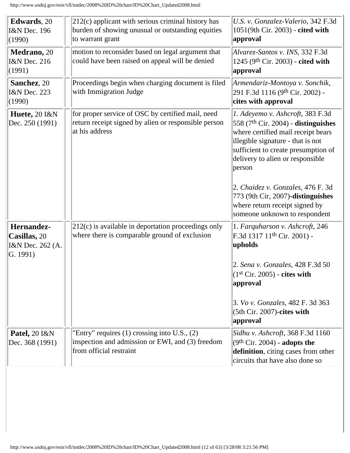| Edwards, 20<br>I&N Dec. 196<br>(1990)                                      | 212(c) applicant with serious criminal history has<br>burden of showing unusual or outstanding equities<br>to warrant grant     | U.S. v. Gonzalez-Valerio, 342 F.3d<br>1051(9th Cir. 2003) - cited with<br>approval                                                                                                                                                                                                                                                                                                     |
|----------------------------------------------------------------------------|---------------------------------------------------------------------------------------------------------------------------------|----------------------------------------------------------------------------------------------------------------------------------------------------------------------------------------------------------------------------------------------------------------------------------------------------------------------------------------------------------------------------------------|
| Medrano, 20<br>I&N Dec. 216<br>(1991)                                      | motion to reconsider based on legal argument that<br>could have been raised on appeal will be denied                            | Alvarez-Santos v. INS, 332 F.3d<br>$1245$ (9 <sup>th</sup> Cir. 2003) - cited with<br> approval                                                                                                                                                                                                                                                                                        |
| Sanchez, 20<br>I&N Dec. 223<br>(1990)                                      | Proceedings begin when charging document is filed<br>with Immigration Judge                                                     | Armendariz-Montoya v. Sonchik,<br>291 F.3d 1116 (9th Cir. 2002) -<br>cites with approval                                                                                                                                                                                                                                                                                               |
| Huete, 20 I&N<br>Dec. 250 (1991)                                           | for proper service of OSC by certified mail, need<br>return receipt signed by alien or responsible person<br>at his address     | 1. Adeyemo v. Ashcroft, 383 F.3d<br>558 $(7th Cir. 2004)$ - distinguishes<br>where certified mail receipt bears<br>illegible signature - that is not<br>sufficient to create presumption of<br>delivery to alien or responsible<br>person<br>2. Chaidez v. Gonzales, 476 F. 3d<br>773 (9th Cir, 2007)-distinguishes<br>where return receipt signed by<br>someone unknown to respondent |
| Hernandez-<br><b>Casillas, 20</b><br>I&N Dec. 262 (A.<br>$ G. 1991\rangle$ | 212(c) is available in deportation proceedings only<br>where there is comparable ground of exclusion                            | 1. Farquharson v. Ashcroft, 246<br>F.3d 1317 11 <sup>th</sup> Cir. 2001) -<br>upholds<br>2. Sena v. Gonzales, 428 F.3d 50<br>$(1st Cir. 2005)$ - cites with<br> approval<br>3. Vo v. Gonzales, 482 F. 3d 363<br>(5th Cir. 2007)-cites with<br>approval                                                                                                                                 |
| <b>Patel, 20 I&amp;N</b><br>Dec. 368 (1991)                                | "Entry" requires $(1)$ crossing into U.S., $(2)$<br>inspection and admission or EWI, and (3) freedom<br>from official restraint | Sidhu v. Ashcroft, 368 F.3d 1160<br>$(9th Cir. 2004)$ - adopts the<br>definition, citing cases from other<br>circuits that have also done so                                                                                                                                                                                                                                           |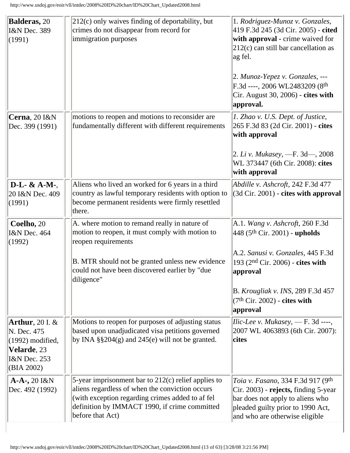| <b>Balderas</b> , 20                | $212(c)$ only waives finding of deportability, but                                                     | 1. Rodriguez-Munoz v. Gonzales,                                            |
|-------------------------------------|--------------------------------------------------------------------------------------------------------|----------------------------------------------------------------------------|
| I&N Dec. 389                        | crimes do not disappear from record for                                                                | 419 F.3d 245 (3d Cir. 2005) - cited                                        |
| (1991)                              | immigration purposes                                                                                   | with approval - crime waived for                                           |
|                                     |                                                                                                        | $212(c)$ can still bar cancellation as                                     |
|                                     |                                                                                                        | ag fel.                                                                    |
|                                     |                                                                                                        |                                                                            |
|                                     |                                                                                                        | 2. Munoz-Yepez v. Gonzales, ---<br>F.3d ----, 2006 WL2483209 (8th          |
|                                     |                                                                                                        | Cir. August 30, 2006) - cites with                                         |
|                                     |                                                                                                        | approval.                                                                  |
|                                     |                                                                                                        |                                                                            |
| $ Cerna, 20$ I&N<br>Dec. 399 (1991) | motions to reopen and motions to reconsider are<br>fundamentally different with different requirements | $ 1.$ Zhao v. U.S. Dept. of Justice,<br>265 F.3d 83 (2d Cir. 2001) - cites |
|                                     |                                                                                                        | with approval                                                              |
|                                     |                                                                                                        |                                                                            |
|                                     |                                                                                                        | $ 2. Li v. Mukasey, -F. 3d-, 2008$                                         |
|                                     |                                                                                                        | WL 373447 (6th Cir. 2008): cites                                           |
|                                     |                                                                                                        | with approval                                                              |
| $D-L-$ & A-M-,                      | Aliens who lived an worked for 6 years in a third                                                      | <i>Abdille v. Ashcroft, 242 F.3d 477</i>                                   |
| 20 I&N Dec. 409                     | country as lawful temporary residents with option to                                                   | $(3d$ Cir. 2001) - cites with approval                                     |
| (1991)                              | become permanent residents were firmly resettled                                                       |                                                                            |
|                                     | there.                                                                                                 |                                                                            |
| Coelho, 20                          | A. where motion to remand really in nature of                                                          | $A.1.$ Wang v. Ashcroft, 260 F.3d                                          |
| I&N Dec. 464                        | motion to reopen, it must comply with motion to                                                        | $ 448 \ (5^{th}$ Cir. 2001) - upholds                                      |
| (1992)                              | reopen requirements                                                                                    |                                                                            |
|                                     |                                                                                                        | A.2. Sanusi v. Gonzales, 445 F.3d                                          |
|                                     | B. MTR should not be granted unless new evidence                                                       | 193 (2 <sup>nd</sup> Cir. 2006) - cites with                               |
|                                     | could not have been discovered earlier by "due"                                                        | approval                                                                   |
|                                     | diligence"                                                                                             |                                                                            |
|                                     |                                                                                                        | B. Krougliak v. INS, 289 F.3d 457                                          |
|                                     |                                                                                                        | $(7th Cir. 2002)$ - cites with                                             |
|                                     |                                                                                                        | approval                                                                   |
| <b>Arthur</b> , 20 I. $\&$          | Motions to reopen for purposes of adjusting status                                                     | <i>Ilic-Lee v. Mukasey</i> , $-$ F. 3d ----,                               |
| N. Dec. 475                         | based upon unadjudicated visa petitions governed                                                       | 2007 WL 4063893 (6th Cir. 2007):                                           |
| $(1992)$ modified,                  | by INA $\S$ §204(g) and 245(e) will not be granted.                                                    | cites                                                                      |
| <b>Velarde</b> , 23                 |                                                                                                        |                                                                            |
| I&N Dec. 253                        |                                                                                                        |                                                                            |
| (BIA 2002)                          |                                                                                                        |                                                                            |
| $A-A$ -, 20 $I\&N$                  | 5-year imprisonment bar to $212(c)$ relief applies to                                                  | <i>Toia v. Fasano</i> , 334 F.3d 917 (9 <sup>th</sup>                      |
| Dec. 492 (1992)                     | aliens regardless of when the conviction occurs<br>(with exception regarding crimes added to af fel    | Cir. 2003) - rejects, finding 5-year                                       |
|                                     | definition by IMMACT 1990, if crime committed                                                          | bar does not apply to aliens who<br>pleaded guilty prior to 1990 Act,      |
|                                     | before that Act)                                                                                       | and who are otherwise eligible                                             |
|                                     |                                                                                                        |                                                                            |

 $\overline{\phantom{a}}$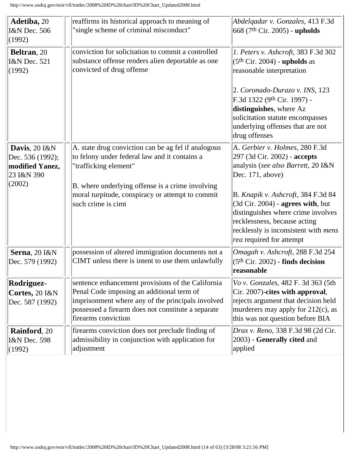| Adetiba, 20<br>I&N Dec. 506<br>(1992)                                                           | reaffirms its historical approach to meaning of<br>"single scheme of criminal misconduct"                                                                                                                                                                   | Abdelqadar v. Gonzales, 413 F.3d<br>668 (7 <sup>th</sup> Cir. 2005) - upholds                                                                                                                                                                                                                                                                          |
|-------------------------------------------------------------------------------------------------|-------------------------------------------------------------------------------------------------------------------------------------------------------------------------------------------------------------------------------------------------------------|--------------------------------------------------------------------------------------------------------------------------------------------------------------------------------------------------------------------------------------------------------------------------------------------------------------------------------------------------------|
| <b>Beltran</b> , 20<br><b>I&amp;N</b> Dec. 521<br>(1992)                                        | conviction for solicitation to commit a controlled<br>substance offense renders alien deportable as one<br>convicted of drug offense                                                                                                                        | 1. Peters v. Ashcroft, 383 F.3d 302<br>$(5th Cir. 2004)$ - upholds as<br>reasonable interpretation<br>2. Coronado-Durazo v. INS, 123<br>F.3d 1322 (9th Cir. 1997) -<br>distinguishes, where Az<br>solicitation statute encompasses<br>underlying offenses that are not<br>drug offenses                                                                |
| Davis, $20 \text{ I} \&\text{N}$<br>Dec. 536 (1992);<br>modified Yanez,<br>23 I&N 390<br>(2002) | A. state drug conviction can be ag fel if analogous<br>to felony under federal law and it contains a<br>"trafficking element"<br>B. where underlying offense is a crime involving<br>moral turpitude, conspiracy or attempt to commit<br>such crime is cimt | A. Gerbier v. Holmes, 280 F.3d<br>297 (3d Cir. 2002) - accepts<br>analysis (see also Barrett, 20 I&N<br>Dec. 171, above)<br>B. Knapik v. Ashcroft, 384 F.3d 84<br>$(3d Cir. 2004)$ - agrees with, but<br>distinguishes where crime involves<br>recklessness, because acting<br>recklessly is inconsistent with <i>mens</i><br>rea required for attempt |
| Serna, 20 I&N<br>Dec. 579 (1992)                                                                | possession of altered immigration documents not a<br>CIMT unless there is intent to use them unlawfully                                                                                                                                                     | Omagah v. Ashcroft, 288 F.3d 254<br>$(5th Cir. 2002)$ - finds decision<br>reasonable                                                                                                                                                                                                                                                                   |
| <b>Rodriguez-</b><br>Cortes, 20 I&N<br>Dec. 587 (1992)                                          | sentence enhancement provisions of the California<br>Penal Code imposing an additional term of<br>imprisonment where any of the principals involved<br>possessed a firearm does not constitute a separate<br>firearms conviction                            | Vo v. Gonzales, 482 F. 3d 363 (5th<br>Cir. 2007)-cites with approval,<br>rejects argument that decision held<br>murderers may apply for $212(c)$ , as<br>this was not question before BIA                                                                                                                                                              |
| <b>Rainford</b> , 20<br><b>I&amp;N</b> Dec. 598<br>(1992)                                       | firearms conviction does not preclude finding of<br>admissibility in conjunction with application for<br>adjustment                                                                                                                                         | Drax v. Reno, 338 F.3d 98 (2d Cir.<br>2003) - Generally cited and<br>applied                                                                                                                                                                                                                                                                           |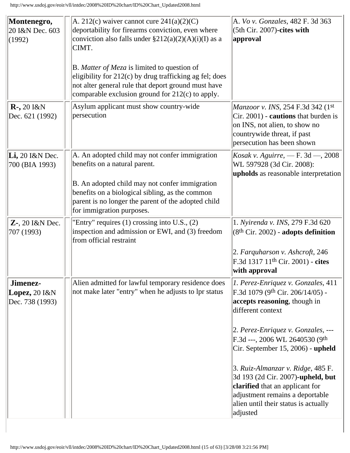| Montenegro,<br>20 I&N Dec. 603<br>(1992)                      | A. 212(c) waiver cannot cure $241(a)(2)(C)$<br>deportability for firearms conviction, even where<br>conviction also falls under $\S212(a)(2)(A)(i)(I)$ as a<br>CIMT.<br>B. Matter of Meza is limited to question of<br>eligibility for $212(c)$ by drug trafficking ag fel; does<br>not alter general rule that deport ground must have<br>comparable exclusion ground for 212(c) to apply. | A. Vo v. Gonzales, 482 F. 3d 363<br>(5th Cir. 2007)-cites with<br>approval                                                                                                                                                                                                                                                                                                                                                                            |
|---------------------------------------------------------------|---------------------------------------------------------------------------------------------------------------------------------------------------------------------------------------------------------------------------------------------------------------------------------------------------------------------------------------------------------------------------------------------|-------------------------------------------------------------------------------------------------------------------------------------------------------------------------------------------------------------------------------------------------------------------------------------------------------------------------------------------------------------------------------------------------------------------------------------------------------|
| $R-, 20$ $R$ <sup>N</sup><br>Dec. 621 (1992)                  | Asylum applicant must show country-wide<br>persecution                                                                                                                                                                                                                                                                                                                                      | Manzoor v. INS, 254 F.3d 342 (1st<br>Cir. 2001) - cautions that burden is<br>on INS, not alien, to show no<br>countrywide threat, if past<br>persecution has been shown                                                                                                                                                                                                                                                                               |
| Li, $20$ I&N Dec.<br>700 (BIA 1993)                           | A. An adopted child may not confer immigration<br>benefits on a natural parent.<br>B. An adopted child may not confer immigration<br>benefits on a biological sibling, as the common<br>parent is no longer the parent of the adopted child<br>for immigration purposes.                                                                                                                    | <i>Kosak v. Aguirre, - F.</i> 3d - 7.2008<br>WL 597928 (3d Cir. 2008):<br>upholds as reasonable interpretation                                                                                                                                                                                                                                                                                                                                        |
| $Z$ -, 20 $R$ N Dec.<br>707 (1993)                            | "Entry" requires $(1)$ crossing into U.S., $(2)$<br>inspection and admission or EWI, and (3) freedom<br>from official restraint                                                                                                                                                                                                                                                             | 1. Nyirenda v. INS, 279 F.3d 620<br>(8 <sup>th</sup> Cir. 2002) - adopts definition<br>2. Farquharson v. Ashcroft, 246<br>F.3d 1317 11 <sup>th</sup> Cir. 2001) - cites<br>with approval                                                                                                                                                                                                                                                              |
| Jimenez-<br><b>Lopez,</b> $20 \text{ I&N}$<br>Dec. 738 (1993) | Alien admitted for lawful temporary residence does<br>not make later "entry" when he adjusts to lpr status                                                                                                                                                                                                                                                                                  | 1. Perez-Enriquez v. Gonzales, $411$<br>F.3d 1079 (9th Cir. 206/14/05) -<br>accepts reasoning, though in<br>different context<br>2. Perez-Enriquez v. Gonzales, ---<br>F.3d ---, 2006 WL 2640530 (9th<br>Cir. September 15, 2006) - upheld<br>3. Ruiz-Almanzar v. Ridge, 485 F.<br>3d 193 (2d Cir. 2007)-upheld, but<br><b>clarified</b> that an applicant for<br>adjustment remains a deportable<br>alien until their status is actually<br>adjusted |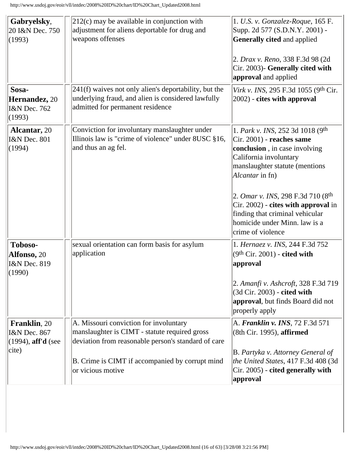| Gabryelsky,<br>20 I&N Dec. 750<br>(1993)                                      | 212(c) may be available in conjunction with<br>adjustment for aliens deportable for drug and<br>weapons offenses                                                                                                       | 1. U.S. v. Gonzalez-Roque, 165 F.<br>Supp. 2d 577 (S.D.N.Y. 2001) -<br><b>Generally cited and applied</b><br>2. Drax v. Reno, 338 F.3d 98 (2d)<br>Cir. 2003)- Generally cited with<br>approval and applied                                                                                                                                                                         |
|-------------------------------------------------------------------------------|------------------------------------------------------------------------------------------------------------------------------------------------------------------------------------------------------------------------|------------------------------------------------------------------------------------------------------------------------------------------------------------------------------------------------------------------------------------------------------------------------------------------------------------------------------------------------------------------------------------|
| Sosa-<br><b>Hernandez</b> , 20<br>I&N Dec. 762<br>(1993)                      | 241(f) waives not only alien's deportability, but the<br>underlying fraud, and alien is considered lawfully<br>admitted for permanent residence                                                                        | Virk v. INS, 295 F.3d 1055 (9th Cir.<br>$ 2002\rangle$ - cites with approval                                                                                                                                                                                                                                                                                                       |
| <b>Alcantar</b> , 20<br><b>I&amp;N</b> Dec. 801<br>(1994)                     | Conviction for involuntary manslaughter under<br>Illinois law is "crime of violence" under 8USC §16,<br>and thus an ag fel.                                                                                            | 1. Park v. INS, 252 3d 1018 (9th<br>$\left  \text{Cir. } 2001 \right)$ - reaches same<br>conclusion, in case involving<br>California involuntary<br>manslaughter statute (mentions<br><i>Alcantar</i> in fn)<br>2. Omar v. INS, 298 F.3d 710 (8th<br>$Cir. 2002$ - cites with approval in<br>finding that criminal vehicular<br>homicide under Minn. law is a<br>crime of violence |
| Toboso-<br>Alfonso, 20<br>I&N Dec. 819<br>(1990)                              | sexual orientation can form basis for asylum<br>application                                                                                                                                                            | 1. Hernaez v. INS, 244 F.3d 752<br>$(9th Cir. 2001)$ - cited with<br> approval<br>2. Amanfi v. Ashcroft, 328 F.3d 719<br>(3d Cir. 2003) - cited with<br>approval, but finds Board did not<br>properly apply                                                                                                                                                                        |
| <b>Franklin</b> , 20<br>I&N Dec. 867<br>$(1994)$ , aff'd (see<br>$ $ cite $)$ | A. Missouri conviction for involuntary<br>manslaughter is CIMT - statute required gross<br>deviation from reasonable person's standard of care<br>B. Crime is CIMT if accompanied by corrupt mind<br>or vicious motive | A. Franklin v. INS, 72 F.3d 571<br>$(8th Cir. 1995)$ , affirmed<br>B. Partyka v. Attorney General of<br>the United States, 417 F.3d 408 (3d)<br>$\vert$ Cir. 2005) - cited generally with<br>approval                                                                                                                                                                              |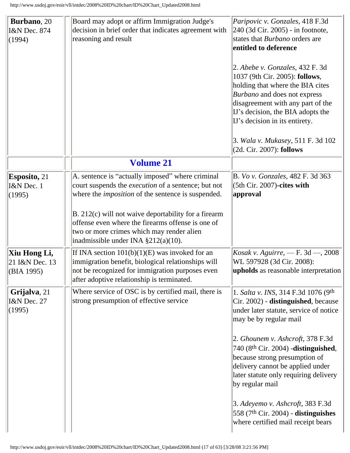<span id="page-16-0"></span>

| Burbano, 20<br>I&N Dec. 874<br>(1994)            | Board may adopt or affirm Immigration Judge's<br>decision in brief order that indicates agreement with<br>reasoning and result                                                                                                                                                                                                                                              | Paripovic v. Gonzales, 418 F.3d<br>240 (3d Cir. 2005) - in footnote,<br>states that Burbano orders are<br>entitled to deference<br>2. Abebe v. Gonzales, 432 F. 3d<br>1037 (9th Cir. 2005): follows,<br>holding that where the BIA cites<br>Burbano and does not express                                                                                                                                                                                                      |
|--------------------------------------------------|-----------------------------------------------------------------------------------------------------------------------------------------------------------------------------------------------------------------------------------------------------------------------------------------------------------------------------------------------------------------------------|-------------------------------------------------------------------------------------------------------------------------------------------------------------------------------------------------------------------------------------------------------------------------------------------------------------------------------------------------------------------------------------------------------------------------------------------------------------------------------|
|                                                  |                                                                                                                                                                                                                                                                                                                                                                             | disagreement with any part of the<br>IJ's decision, the BIA adopts the<br>IJ's decision in its entirety.<br>3. Wala v. Mukasey, 511 F. 3d 102<br>(2d. Cir. 2007): follows                                                                                                                                                                                                                                                                                                     |
|                                                  | <b>Volume 21</b>                                                                                                                                                                                                                                                                                                                                                            |                                                                                                                                                                                                                                                                                                                                                                                                                                                                               |
| <b>Esposito, 21</b><br>I&N Dec. 1<br>(1995)      | A. sentence is "actually imposed" where criminal<br>court suspends the execution of a sentence; but not<br>where the <i>imposition</i> of the sentence is suspended.<br>$B. 212(c)$ will not waive deportability for a firearm<br>offense even where the firearms offense is one of<br>two or more crimes which may render alien<br>inadmissible under INA $\S212(a)(10)$ . | B. Vo v. Gonzales, 482 F. 3d 363<br>$(5th Cir. 2007)$ -cites with<br>approval                                                                                                                                                                                                                                                                                                                                                                                                 |
| Xiu Hong Li,<br>21 I&N Dec. 13<br>$ $ (BIA 1995) | If INA section $101(b)(1)(E)$ was invoked for an<br>immigration benefit, biological relationships will<br>not be recognized for immigration purposes even<br>after adoptive relationship is terminated.                                                                                                                                                                     | <i>Kosak v. Aguirre, - F. 3d - , 2008</i><br>WL 597928 (3d Cir. 2008):<br>upholds as reasonable interpretation                                                                                                                                                                                                                                                                                                                                                                |
| Grijalva, 21<br>I&N Dec. 27<br>(1995)            | Where service of OSC is by certified mail, there is<br>strong presumption of effective service                                                                                                                                                                                                                                                                              | 1. Salta v. INS, 314 F.3d 1076 (9th<br>Cir. 2002) - distinguished, because<br>under later statute, service of notice<br>may be by regular mail<br>2. Ghounem v. Ashcroft, 378 F.3d<br>740 (8th Cir. 2004) -distinguished,<br>because strong presumption of<br>delivery cannot be applied under<br>later statute only requiring delivery<br>by regular mail<br>3. Adeyemo v. Ashcroft, 383 F.3d<br>558 $(7th Cir. 2004)$ - distinguishes<br>where certified mail receipt bears |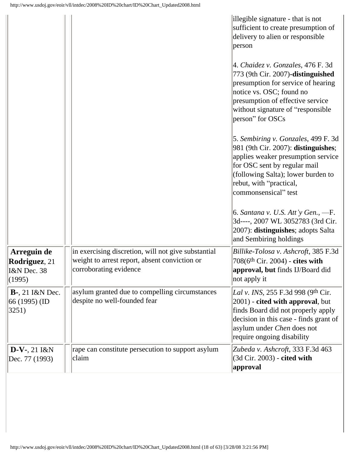|                                                             |                                                                                                                                | illegible signature - that is not<br>sufficient to create presumption of<br>delivery to alien or responsible<br>person<br>4. Chaidez v. Gonzales, 476 F. 3d<br>773 (9th Cir. 2007)-distinguished<br>presumption for service of hearing<br>notice vs. OSC; found no<br>presumption of effective service<br>without signature of "responsible"<br>person" for OSCs |
|-------------------------------------------------------------|--------------------------------------------------------------------------------------------------------------------------------|------------------------------------------------------------------------------------------------------------------------------------------------------------------------------------------------------------------------------------------------------------------------------------------------------------------------------------------------------------------|
|                                                             |                                                                                                                                | 5. Sembiring v. Gonzales, 499 F. 3d<br>981 (9th Cir. 2007): distinguishes;<br>applies weaker presumption service<br>for OSC sent by regular mail<br>(following Salta); lower burden to<br>rebut, with "practical,<br>commonsensical" test                                                                                                                        |
|                                                             |                                                                                                                                | 6. Santana v. U.S. Att'y Gen., $-F$ .<br>3d----, 2007 WL 3052783 (3rd Cir.<br>2007): distinguishes; adopts Salta<br>and Sembiring holdings                                                                                                                                                                                                                       |
| Arreguin de<br>Rodriguez, 21<br>I&N Dec. 38<br>(1995)       | in exercising discretion, will not give substantial<br>weight to arrest report, absent conviction or<br>corroborating evidence | Billike-Tolosa v. Ashcroft, 385 F.3d<br>708(6th Cir. 2004) - cites with<br>approval, but finds IJ/Board did<br>not apply it                                                                                                                                                                                                                                      |
| <b>B-</b> , 21 I&N Dec.<br> 66 (1995) (ID<br>$ 3251\rangle$ | asylum granted due to compelling circumstances<br>despite no well-founded fear                                                 | Lal v. INS, 255 F.3d 998 (9th Cir.<br>2001) - cited with approval, but<br>finds Board did not properly apply<br>decision in this case - finds grant of<br>asylum under Chen does not<br>require ongoing disability                                                                                                                                               |
| D-V-, 21 I&N<br>Dec. 77 (1993)                              | rape can constitute persecution to support asylum<br>claim                                                                     | Zubeda v. Ashcroft, 333 F.3d 463<br>(3d Cir. 2003) - cited with<br>approval                                                                                                                                                                                                                                                                                      |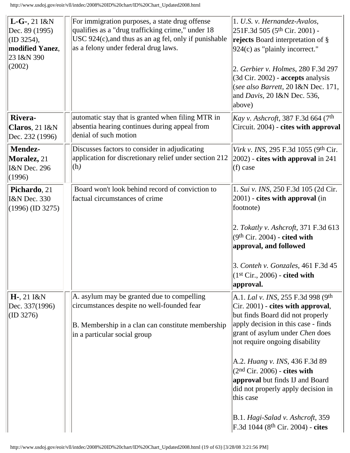| $L-G$ -, 21 $l\&N$<br>Dec. 89 (1995)<br>$\vert$ (ID 3254),<br>modified Yanez,<br>23 I&N 390<br>(2002) | For immigration purposes, a state drug offense<br>qualifies as a "drug trafficking crime," under 18<br>USC $924(c)$ , and thus as an ag fel, only if punishable<br>as a felony under federal drug laws. | 1. U.S. v. Hernandez-Avalos,<br>251F.3d 505 (5 <sup>th</sup> Cir. 2001) -<br>rejects Board interpretation of §<br>$924(c)$ as "plainly incorrect."<br>2. Gerbier v. Holmes, 280 F.3d 297<br>(3d Cir. 2002) - accepts analysis<br>(see also Barrett, 20 I&N Dec. 171,<br>and Davis, 20 I&N Dec. 536,<br>above)                                                                                                                                                      |
|-------------------------------------------------------------------------------------------------------|---------------------------------------------------------------------------------------------------------------------------------------------------------------------------------------------------------|--------------------------------------------------------------------------------------------------------------------------------------------------------------------------------------------------------------------------------------------------------------------------------------------------------------------------------------------------------------------------------------------------------------------------------------------------------------------|
| <b>Rivera-</b><br>Claros, 21 I&N<br>Dec. 232 (1996)                                                   | automatic stay that is granted when filing MTR in<br>absentia hearing continues during appeal from<br>denial of such motion                                                                             | Kay v. Ashcroft, 387 F.3d 664 (7 <sup>th</sup><br>Circuit. 2004) - cites with approval                                                                                                                                                                                                                                                                                                                                                                             |
| Mendez-<br>Moralez, 21<br>I&N Dec. 296<br>(1996)                                                      | Discusses factors to consider in adjudicating<br>application for discretionary relief under section 212<br>(h)                                                                                          | Virk v. INS, 295 F.3d 1055 (9th Cir.<br>$(2002)$ - cites with approval in 241<br>(f) case                                                                                                                                                                                                                                                                                                                                                                          |
| Pichardo, 21<br>I&N Dec. 330<br>$(1996)$ (ID 3275)                                                    | Board won't look behind record of conviction to<br>factual circumstances of crime                                                                                                                       | 1. Sui v. INS, 250 F.3d 105 (2d Cir.<br>$(2001)$ - cites with approval (in<br>footnote)<br>2. Tokatly v. Ashcroft, 371 F.3d 613<br>$(9th Cir. 2004)$ - cited with<br>approval, and followed<br>3. Conteh v. Gonzales, 461 F.3d 45<br>$(1st Cir., 2006)$ - cited with<br> approval.                                                                                                                                                                                 |
| $H-, 21$ $I\&N$<br>Dec. 337(1996)<br>$\vert$ (ID 3276)                                                | A. asylum may be granted due to compelling<br>circumstances despite no well-founded fear<br>B. Membership in a clan can constitute membership<br>in a particular social group                           | A.1. Lal v. INS, 255 F.3d 998 (9th<br>Cir. 2001) - cites with approval,<br>but finds Board did not properly<br>apply decision in this case - finds<br>grant of asylum under Chen does<br>not require ongoing disability<br>A.2. <i>Huang v. INS</i> , 436 F.3d 89<br>$(2nd Cir. 2006)$ - cites with<br>approval but finds IJ and Board<br>did not properly apply decision in<br>this case<br>B.1. Hagi-Salad v. Ashcroft, 359<br>F.3d 1044 (8th Cir. 2004) - cites |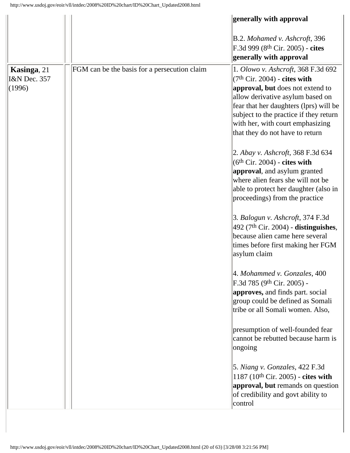|                                       |                                              | generally with approval                                                                                                                                                                                                                                                                                 |
|---------------------------------------|----------------------------------------------|---------------------------------------------------------------------------------------------------------------------------------------------------------------------------------------------------------------------------------------------------------------------------------------------------------|
|                                       |                                              | B.2. Mohamed v. Ashcroft, 396<br>F.3d 999 (8th Cir. 2005) - cites<br>generally with approval                                                                                                                                                                                                            |
| Kasinga, 21<br>I&N Dec. 357<br>(1996) | FGM can be the basis for a persecution claim | 1. Olowo v. Ashcroft, 368 F.3d 692<br>$(7th Cir. 2004)$ - cites with<br>approval, but does not extend to<br>allow derivative asylum based on<br>fear that her daughters (lprs) will be<br>subject to the practice if they return<br>with her, with court emphasizing<br>that they do not have to return |
|                                       |                                              | 2. Abay v. Ashcroft, 368 F.3d 634<br>$(6th Cir. 2004)$ - cites with<br>approval, and asylum granted<br>where alien fears she will not be<br>able to protect her daughter (also in<br>proceedings) from the practice                                                                                     |
|                                       |                                              | 3. Balogun v. Ashcroft, 374 F.3d<br>$492$ (7 <sup>th</sup> Cir. 2004) - distinguishes,<br>because alien came here several<br>times before first making her FGM<br>asylum claim                                                                                                                          |
|                                       |                                              | 4. Mohammed v. Gonzales, 400<br>F.3d 785 (9th Cir. 2005) -<br>approves, and finds part. social<br>group could be defined as Somali<br>tribe or all Somali women. Also,                                                                                                                                  |
|                                       |                                              | presumption of well-founded fear<br>cannot be rebutted because harm is<br>ongoing                                                                                                                                                                                                                       |
|                                       |                                              | 5. Niang v. Gonzales, 422 F.3d<br>1187 $(10^{th}$ Cir. 2005) - cites with<br>approval, but remands on question<br>of credibility and govt ability to<br>control                                                                                                                                         |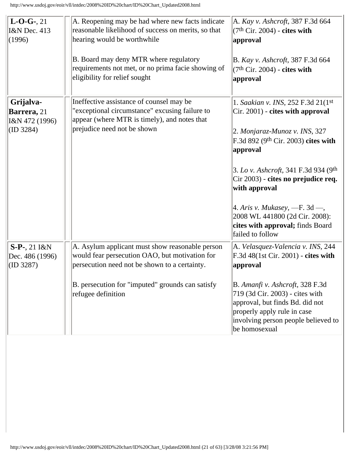| $L-O-G-, 21$<br><b>I&amp;N</b> Dec. 413<br>(1996)       | A. Reopening may be had where new facts indicate<br>reasonable likelihood of success on merits, so that<br>hearing would be worthwhile<br>B. Board may deny MTR where regulatory<br>requirements not met, or no prima facie showing of<br>eligibility for relief sought | A. Kay v. Ashcroft, 387 F.3d 664<br>$(7th Cir. 2004)$ - cites with<br>approval<br>B. Kay v. Ashcroft, 387 F.3d 664<br>$(7th Cir. 2004)$ - cites with<br> approval                                                                                                                                                                                                                               |
|---------------------------------------------------------|-------------------------------------------------------------------------------------------------------------------------------------------------------------------------------------------------------------------------------------------------------------------------|-------------------------------------------------------------------------------------------------------------------------------------------------------------------------------------------------------------------------------------------------------------------------------------------------------------------------------------------------------------------------------------------------|
| Grijalva-<br>Barrera, 21<br>I&N 472 (1996)<br>(ID 3284) | Ineffective assistance of counsel may be<br>"exceptional circumstance" excusing failure to<br>appear (where MTR is timely), and notes that<br>prejudice need not be shown                                                                                               | 1. Saakian v. INS, 252 F.3d 21(1st)<br>$Cir. 2001$ - cites with approval<br>2. Monjaraz-Munoz v. INS, 327<br>F.3d 892 (9th Cir. 2003) cites with<br>approval<br>3. Lo v. Ashcroft, 341 F.3d 934 (9th<br>$C$ ir 2003) - cites no prejudice req.<br>with approval<br>$ 4. A$ ris v. Mukasey, $-F. 3d$ ,<br>2008 WL 441800 (2d Cir. 2008):<br>cites with approval; finds Board<br>failed to follow |
| <b>S-P-</b> , 21 I&N<br>Dec. 486 (1996)<br>(ID 3287)    | A. Asylum applicant must show reasonable person<br>would fear persecution OAO, but motivation for<br>persecution need not be shown to a certainty.<br>B. persecution for "imputed" grounds can satisfy<br>refugee definition                                            | A. Velasquez-Valencia v. INS, 244<br>$F.3d$ 48(1st Cir. 2001) - cites with<br>approval<br>B. Amanfi v. Ashcroft, 328 F.3d<br>719 (3d Cir. 2003) - cites with<br>approval, but finds Bd. did not<br>properly apply rule in case<br>involving person people believed to<br>be homosexual                                                                                                          |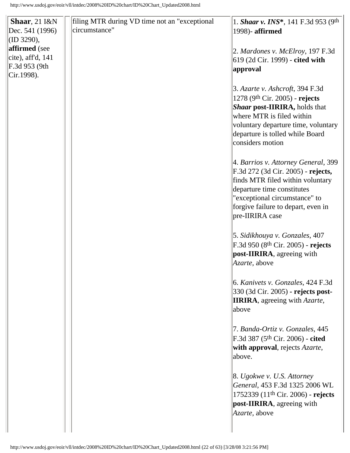| Shaar, $21$ $1$ &N   | filing MTR during VD time not an "exceptional" | 1. Shaar v. INS*, 141 F.3d 953 (9th                                                                                                                                                                                                   |
|----------------------|------------------------------------------------|---------------------------------------------------------------------------------------------------------------------------------------------------------------------------------------------------------------------------------------|
| Dec. 541 (1996)      | circumstance"                                  | 1998)- affirmed                                                                                                                                                                                                                       |
| (ID 3290),           |                                                |                                                                                                                                                                                                                                       |
| <b>affirmed</b> (see |                                                | 2. Mardones v. McElroy, 197 F.3d                                                                                                                                                                                                      |
| cite), aff'd, $141$  |                                                | 619 (2d Cir. 1999) - cited with                                                                                                                                                                                                       |
| F.3d 953 (9th        |                                                | approval                                                                                                                                                                                                                              |
| Cir.1998).           |                                                |                                                                                                                                                                                                                                       |
|                      |                                                | 3. Azarte v. Ashcroft, 394 F.3d<br>$1278$ (9 <sup>th</sup> Cir. 2005) - <b>rejects</b><br>Shaar post-IIRIRA, holds that<br>where MTR is filed within<br>voluntary departure time, voluntary                                           |
|                      |                                                | departure is tolled while Board<br>considers motion                                                                                                                                                                                   |
|                      |                                                | 4. Barrios v. Attorney General, 399<br>F.3d 272 (3d Cir. 2005) - rejects,<br>finds MTR filed within voluntary<br>departure time constitutes<br>"exceptional circumstance" to<br>forgive failure to depart, even in<br>pre-IIRIRA case |
|                      |                                                | 5. Sidikhouya v. Gonzales, 407<br>F.3d 950 (8 <sup>th</sup> Cir. 2005) - rejects<br>post-IIRIRA, agreeing with<br><i>Azarte</i> , above                                                                                               |
|                      |                                                | 6. Kanivets v. Gonzales, 424 F.3d<br>330 (3d Cir. 2005) - rejects post-<br><b>IIRIRA</b> , agreeing with <i>Azarte</i> ,<br>above                                                                                                     |
|                      |                                                | 7. Banda-Ortiz v. Gonzales, 445<br>F.3d 387 (5 <sup>th</sup> Cir. 2006) - cited<br>with approval, rejects Azarte,<br>above.                                                                                                           |
|                      |                                                | 8. Ugokwe v. U.S. Attorney<br>General, 453 F.3d 1325 2006 WL<br>1752339 (11 <sup>th</sup> Cir. 2006) - rejects<br>post-IIRIRA, agreeing with<br><i>Azarte</i> , above                                                                 |
|                      |                                                |                                                                                                                                                                                                                                       |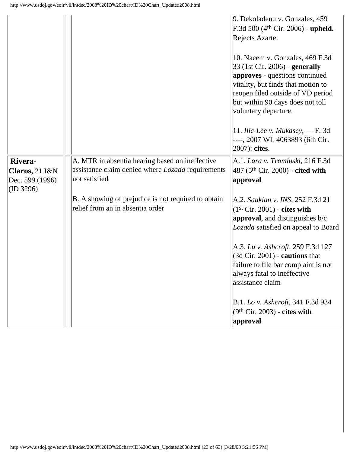|                                                               |                                                                                                                       | 9. Dekoladenu v. Gonzales, 459<br>F.3d 500 (4 <sup>th</sup> Cir. 2006) - upheld.<br>Rejects Azarte.                                                                                                                                               |
|---------------------------------------------------------------|-----------------------------------------------------------------------------------------------------------------------|---------------------------------------------------------------------------------------------------------------------------------------------------------------------------------------------------------------------------------------------------|
|                                                               |                                                                                                                       | 10. Naeem v. Gonzales, 469 F.3d<br>33 (1st Cir. 2006) - generally<br><b>approves</b> - questions continued<br>vitality, but finds that motion to<br>reopen filed outside of VD period<br>but within 90 days does not toll<br>voluntary departure. |
|                                                               |                                                                                                                       | 11. Ilic-Lee v. Mukasey, $-$ F. 3d<br>----, 2007 WL 4063893 (6th Cir.<br>$ 2007$ : cites.                                                                                                                                                         |
| Rivera-<br>$Claros, 21$ $I&N$<br>Dec. 599 (1996)<br>(ID 3296) | A. MTR in absentia hearing based on ineffective<br>assistance claim denied where Lozada requirements<br>not satisfied | A.1. Lara v. Trominski, 216 F.3d<br>$ 487 \; (5th$ Cir. 2000) - cited with<br> approval                                                                                                                                                           |
|                                                               | B. A showing of prejudice is not required to obtain<br>relief from an in absentia order                               | A.2. Saakian v. INS, 252 F.3d 21<br>$(1st Cir. 2001)$ - cites with<br><b>approval</b> , and distinguishes b/c<br>Lozada satisfied on appeal to Board                                                                                              |
|                                                               |                                                                                                                       | A.3. Lu v. Ashcroft, 259 F.3d 127<br>$(3d$ Cir. 2001) - cautions that<br>failure to file bar complaint is not<br>always fatal to ineffective<br>assistance claim                                                                                  |
|                                                               |                                                                                                                       | B.1. Lo v. Ashcroft, 341 F.3d 934<br>$(9th Cir. 2003)$ - cites with<br>approval                                                                                                                                                                   |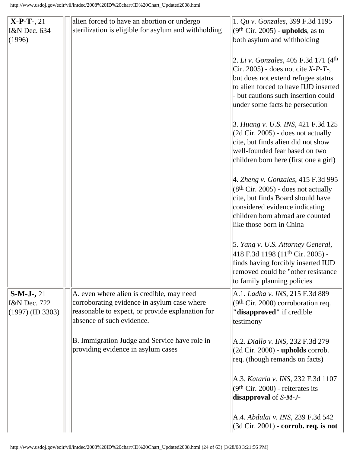| $X-P-T-, 21$                       | alien forced to have an abortion or undergo                                                                                  | 1. Qu v. Gonzales, 399 F.3d 1195                                                                                                                                                                                                                    |
|------------------------------------|------------------------------------------------------------------------------------------------------------------------------|-----------------------------------------------------------------------------------------------------------------------------------------------------------------------------------------------------------------------------------------------------|
| I&N Dec. 634                       | sterilization is eligible for asylum and withholding                                                                         | $(9th Cir. 2005)$ - <b>upholds</b> , as to                                                                                                                                                                                                          |
| (1996)                             |                                                                                                                              | both asylum and withholding                                                                                                                                                                                                                         |
|                                    |                                                                                                                              | 2. Li v. Gonzales, 405 F.3d 171 (4 <sup>th</sup> )<br>Cir. 2005) - does not cite $X-P-T$ -,<br>but does not extend refugee status<br>to alien forced to have IUD inserted<br>- but cautions such insertion could<br>under some facts be persecution |
|                                    |                                                                                                                              | 3. Huang v. U.S. INS, 421 F.3d 125<br>(2d Cir. 2005) - does not actually<br>cite, but finds alien did not show<br>well-founded fear based on two<br>children born here (first one a girl)                                                           |
|                                    |                                                                                                                              | 4. Zheng v. Gonzales, 415 F.3d 995<br>$(8th Cir. 2005)$ - does not actually<br>cite, but finds Board should have<br>considered evidence indicating<br>children born abroad are counted<br>like those born in China                                  |
|                                    |                                                                                                                              | 5. Yang v. U.S. Attorney General,<br>418 F.3d 1198 (11 <sup>th</sup> Cir. 2005) -<br>finds having forcibly inserted IUD<br>removed could be "other resistance"<br>to family planning policies                                                       |
| $S-M-J-, 21$                       | A. even where alien is credible, may need                                                                                    | A.1. Ladha v. INS, 215 F.3d 889                                                                                                                                                                                                                     |
| I&N Dec. 722<br>$(1997)$ (ID 3303) | corroborating evidence in asylum case where<br>reasonable to expect, or provide explanation for<br>absence of such evidence. | $(9th Cir. 2000)$ corroboration req.<br>"disapproved" if credible<br>testimony                                                                                                                                                                      |
|                                    | B. Immigration Judge and Service have role in<br>providing evidence in asylum cases                                          | A.2. Diallo v. INS, 232 F.3d 279<br>(2d Cir. 2000) - upholds corrob.<br>req. (though remands on facts)                                                                                                                                              |
|                                    |                                                                                                                              | A.3. Kataria v. INS, 232 F.3d 1107<br>$(9th Cir. 2000)$ - reiterates its<br>disapproval of $S-M-J$ -                                                                                                                                                |
|                                    |                                                                                                                              | A.4. Abdulai v. INS, 239 F.3d 542<br>(3d Cir. 2001) - corrob. req. is not                                                                                                                                                                           |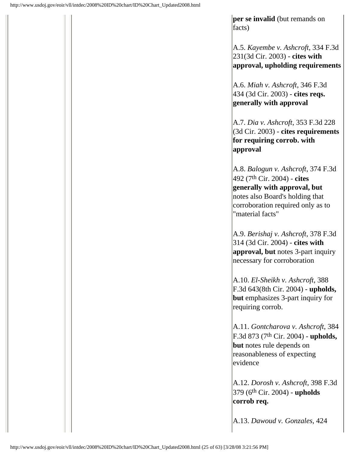**per se invalid** (but remands on facts)

A.5. *Kayembe v. Ashcroft*, 334 F.3d 231(3d Cir. 2003) - **cites with approval, upholding requirements**

A.6. *Miah v. Ashcroft*, 346 F.3d 434 (3d Cir. 2003) - **cites reqs. generally with approval**

A.7. *Dia v. Ashcroft*, 353 F.3d 228 (3d Cir. 2003) - **cites requirements for requiring corrob. with approval**

A.8. *Balogun v. Ashcroft*, 374 F.3d 492 (7th Cir. 2004) - **cites generally with approval, but** notes also Board's holding that corroboration required only as to "material facts"

A.9. *Berishaj v. Ashcroft*, 378 F.3d 314 (3d Cir. 2004) - **cites with approval, but** notes 3-part inquiry necessary for corroboration

A.10. *El-Sheikh v. Ashcroft*, 388 F.3d 643(8th Cir. 2004) - **upholds, but** emphasizes 3-part inquiry for requiring corrob.

A.11. *Gontcharova v. Ashcroft*, 384 F.3d 873 (7th Cir. 2004) - **upholds, but** notes rule depends on reasonableness of expecting evidence

A.12. *Dorosh v. Ashcroft*, 398 F.3d 379 (6th Cir. 2004) - **upholds corrob req.** 

A.13. *Dawoud v. Gonzales*, 424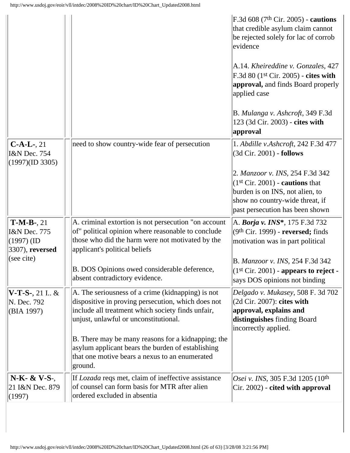|                                                                     |                                                                                                                                                                                                       | $F.3d 608 (7th Cir. 2005)$ - cautions<br>that credible asylum claim cannot<br>be rejected solely for lac of corrob<br>evidence<br>A.14. Kheireddine v. Gonzales, 427<br>$F.3d 80$ (1 <sup>st</sup> Cir. 2005) - cites with<br><b>approval,</b> and finds Board properly<br>applied case<br>B. Mulanga v. Ashcroft, 349 F.3d<br>123 (3d Cir. 2003) - cites with<br>approval |
|---------------------------------------------------------------------|-------------------------------------------------------------------------------------------------------------------------------------------------------------------------------------------------------|----------------------------------------------------------------------------------------------------------------------------------------------------------------------------------------------------------------------------------------------------------------------------------------------------------------------------------------------------------------------------|
| $C-A-L-, 21$<br>I&N Dec. 754<br>(1997)(ID 3305)                     | need to show country-wide fear of persecution                                                                                                                                                         | 1. Abdille v.Ashcroft, 242 F.3d 477<br>$(3d$ Cir. 2001) - <b>follows</b>                                                                                                                                                                                                                                                                                                   |
|                                                                     |                                                                                                                                                                                                       | 2. Manzoor v. INS, 254 F.3d 342<br>$(1st Cir. 2001)$ - <b>cautions</b> that<br>burden is on INS, not alien, to<br>show no country-wide threat, if<br>past persecution has been shown                                                                                                                                                                                       |
| $T-M-B-, 21$<br>I&N Dec. 775<br>$(1997)$ (ID<br>$ 3307)$ , reversed | A. criminal extortion is not persecution "on account<br>of" political opinion where reasonable to conclude<br>those who did the harm were not motivated by the<br>applicant's political beliefs       | A. <i>Borja v. INS*</i> , 175 F.3d 732<br>$(9th Cir. 1999)$ - reversed; finds<br>motivation was in part political                                                                                                                                                                                                                                                          |
| $(see cite)$                                                        | B. DOS Opinions owed considerable deference.<br>absent contradictory evidence.                                                                                                                        | B. Manzoor v. INS, 254 F.3d 342<br>$(1st Cir. 2001)$ - appears to reject -<br>says DOS opinions not binding                                                                                                                                                                                                                                                                |
| <b>V-T-S-</b> , 21 I &<br>N. Dec. 792<br>(BIA 1997)                 | A. The seriousness of a crime (kidnapping) is not<br>dispositive in proving persecution, which does not<br>include all treatment which society finds unfair,<br>unjust, unlawful or unconstitutional. | Delgado v. Mukasey, 508 F. 3d 702<br>$(2d$ Cir. 2007): cites with<br>approval, explains and<br>distinguishes finding Board<br>incorrectly applied.                                                                                                                                                                                                                         |
|                                                                     | B. There may be many reasons for a kidnapping; the<br>asylum applicant bears the burden of establishing<br>that one motive bears a nexus to an enumerated<br>ground.                                  |                                                                                                                                                                                                                                                                                                                                                                            |
| $N-K-$ & V-S-,<br>21 I&N Dec. 879<br>(1997)                         | If <i>Lozada</i> reqs met, claim of ineffective assistance<br>of counsel can form basis for MTR after alien<br>ordered excluded in absentia                                                           | <i>Osei v. INS</i> , 305 F.3d 1205 (10 <sup>th</sup> )<br>Cir. 2002) - cited with approval                                                                                                                                                                                                                                                                                 |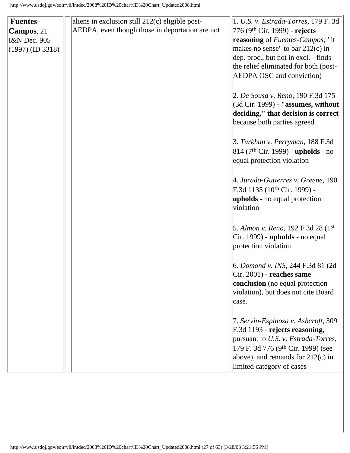| <b>Fuentes-</b>         | aliens in exclusion still 212(c) eligible post- | 1. U.S. v. Estrada-Torres, 179 F. 3d                                    |
|-------------------------|-------------------------------------------------|-------------------------------------------------------------------------|
| Campos, 21              | AEDPA, even though those in deportation are not | 776 (9th Cir. 1999) - rejects                                           |
| <b>I&amp;N</b> Dec. 905 |                                                 | reasoning of Fuentes-Campos; "it                                        |
| $(1997)$ (ID 3318)      |                                                 | makes no sense" to bar 212(c) in                                        |
|                         |                                                 | dep. proc., but not in excl. - finds                                    |
|                         |                                                 | the relief eliminated for both (post-                                   |
|                         |                                                 | AEDPA OSC and conviction)                                               |
|                         |                                                 | 2. De Sousa v. Reno, 190 F.3d 175<br>(3d Cir. 1999) - "assumes, without |
|                         |                                                 | deciding," that decision is correct                                     |
|                         |                                                 | because both parties agreed                                             |
|                         |                                                 |                                                                         |
|                         |                                                 | 3. Turkhan v. Perryman, 188 F.3d                                        |
|                         |                                                 | 814 (7 <sup>th</sup> Cir. 1999) - <b>upholds</b> - no                   |
|                         |                                                 | equal protection violation                                              |
|                         |                                                 |                                                                         |
|                         |                                                 | 4. Jurado-Gutierrez v. Greene, 190                                      |
|                         |                                                 | F.3d 1135 (10 <sup>th</sup> Cir. 1999) -                                |
|                         |                                                 | upholds - no equal protection                                           |
|                         |                                                 | violation                                                               |
|                         |                                                 |                                                                         |
|                         |                                                 | 5. Almon v. Reno, 192 F.3d 28 (1st)                                     |
|                         |                                                 | Cir. 1999) - <b>upholds</b> - no equal                                  |
|                         |                                                 | protection violation                                                    |
|                         |                                                 |                                                                         |
|                         |                                                 | 6. Domond v. INS, 244 F.3d 81 (2d)                                      |
|                         |                                                 | Cir. 2001) - reaches same                                               |
|                         |                                                 | conclusion (no equal protection<br>violation), but does not cite Board  |
|                         |                                                 | case.                                                                   |
|                         |                                                 |                                                                         |
|                         |                                                 | 7. Servin-Espinoza v. Ashcroft, 309                                     |
|                         |                                                 | F.3d 1193 - rejects reasoning,                                          |
|                         |                                                 | pursuant to U.S. v. Estrada-Torres,                                     |
|                         |                                                 | 179 F. 3d 776 (9th Cir. 1999) (see                                      |
|                         |                                                 | above), and remands for $212(c)$ in                                     |
|                         |                                                 | limited category of cases                                               |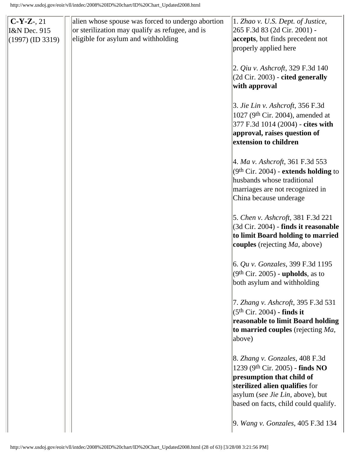| $C-Y-Z-21$<br><b>I&amp;N</b> Dec. 915<br>$(1997)$ (ID 3319) | alien whose spouse was forced to undergo abortion<br>or sterilization may qualify as refugee, and is<br>eligible for asylum and withholding | 1. Zhao v. U.S. Dept. of Justice,<br>265 F.3d 83 (2d Cir. 2001) -<br>accepts, but finds precedent not<br>properly applied here<br>2. Qiu v. Ashcroft, 329 F.3d 140                                           |
|-------------------------------------------------------------|---------------------------------------------------------------------------------------------------------------------------------------------|--------------------------------------------------------------------------------------------------------------------------------------------------------------------------------------------------------------|
|                                                             |                                                                                                                                             | (2d Cir. 2003) - cited generally<br>with approval                                                                                                                                                            |
|                                                             |                                                                                                                                             | 3. Jie Lin v. Ashcroft, 356 F.3d<br>1027 (9th Cir. 2004), amended at<br>377 F.3d 1014 (2004) - cites with<br>approval, raises question of<br>extension to children                                           |
|                                                             |                                                                                                                                             | 4. Ma v. Ashcroft, 361 F.3d 553<br>$(9th Cir. 2004)$ - extends holding to<br>husbands whose traditional<br>marriages are not recognized in<br>China because underage                                         |
|                                                             |                                                                                                                                             | 5. Chen v. Ashcroft, 381 F.3d 221<br>(3d Cir. 2004) - finds it reasonable<br>to limit Board holding to married<br>couples (rejecting Ma, above)                                                              |
|                                                             |                                                                                                                                             | 6. Qu v. Gonzales, 399 F.3d 1195<br>$(9th Cir. 2005)$ - <b>upholds</b> , as to<br>both asylum and withholding                                                                                                |
|                                                             |                                                                                                                                             | 7. Zhang v. Ashcroft, 395 F.3d 531<br>$(5th Cir. 2004)$ - finds it<br>reasonable to limit Board holding<br>to married couples (rejecting Ma,<br>above)                                                       |
|                                                             |                                                                                                                                             | 8. Zhang v. Gonzales, 408 F.3d<br>1239 (9th Cir. 2005) - finds NO<br>presumption that child of<br>sterilized alien qualifies for<br>asylum (see Jie Lin, above), but<br>based on facts, child could qualify. |
|                                                             |                                                                                                                                             | 9. Wang v. Gonzales, 405 F.3d 134                                                                                                                                                                            |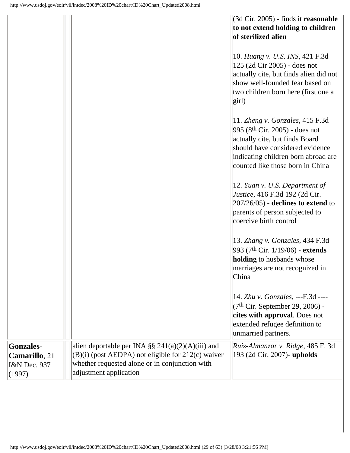## (3d Cir. 2005) - finds it **reasonable to not extend holding to children of sterilized alien**

| 10. Huang v. U.S. INS, 421 F.3d        |
|----------------------------------------|
| 125 (2d Cir 2005) - does not           |
| actually cite, but finds alien did not |
| show well-founded fear based on        |
| two children born here (first one a    |
| girl)                                  |

11. *Zheng v. Gonzales*, 415 F.3d 995 (8th Cir. 2005) - does not actually cite, but finds Board should have considered evidence indicating children born abroad are counted like those born in China

12. *Yuan v. U.S. Department of Justice*, 416 F.3d 192 (2d Cir. 207/26/05) - **declines to extend** to parents of person subjected to coercive birth control

13. *Zhang v. Gonzales*, 434 F.3d 993 (7th Cir. 1/19/06) - **extends holding** to husbands whose marriages are not recognized in China

14. *Zhu v. Gonzales*, ---F.3d ----  $(7<sup>th</sup> Cir. September 29, 2006)$  **cites with approval**. Does not extended refugee definition to unmarried partners.

|                      |                                                       | juililialiteu partijers.                   |
|----------------------|-------------------------------------------------------|--------------------------------------------|
| <b>Gonzales-</b>     | alien deportable per INA §§ 241(a)(2)(A)(iii) and     | $\vert Ruiz$ -Almanzar v. Ridge, 485 F. 3d |
| <b>Camarillo, 21</b> | $ (B)(i)$ (post AEDPA) not eligible for 212(c) waiver | 193 (2d Cir. 2007) - upholds               |
| I&N Dec. 937         | whether requested alone or in conjunction with        |                                            |
| (1997)               | adjustment application                                |                                            |
|                      |                                                       |                                            |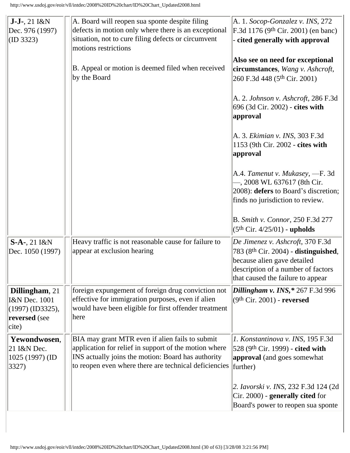| J-J-, 21 I&N                                                                    | A. Board will reopen sua sponte despite filing                                                                                                                           | A. 1. $Socop-Gonzalez$ v. INS, 272                                                                                                                                                 |
|---------------------------------------------------------------------------------|--------------------------------------------------------------------------------------------------------------------------------------------------------------------------|------------------------------------------------------------------------------------------------------------------------------------------------------------------------------------|
| Dec. 976 (1997)                                                                 | defects in motion only where there is an exceptional                                                                                                                     | F.3d 1176 (9 <sup>th</sup> Cir. 2001) (en banc)                                                                                                                                    |
| (ID 3323)                                                                       | situation, not to cure filing defects or circumvent                                                                                                                      | - cited generally with approval                                                                                                                                                    |
|                                                                                 | motions restrictions                                                                                                                                                     |                                                                                                                                                                                    |
|                                                                                 |                                                                                                                                                                          | Also see on need for exceptional                                                                                                                                                   |
|                                                                                 | B. Appeal or motion is deemed filed when received                                                                                                                        | circumstances, Wang v. Ashcroft,                                                                                                                                                   |
|                                                                                 | by the Board                                                                                                                                                             | 260 F.3d 448 (5th Cir. 2001)                                                                                                                                                       |
|                                                                                 |                                                                                                                                                                          | A. 2. Johnson v. Ashcroft, 286 F.3d<br>696 (3d Cir. 2002) - cites with                                                                                                             |
|                                                                                 |                                                                                                                                                                          | approval                                                                                                                                                                           |
|                                                                                 |                                                                                                                                                                          | A. 3. Ekimian v. INS, 303 F.3d<br>1153 (9th Cir. 2002 - cites with<br>approval                                                                                                     |
|                                                                                 |                                                                                                                                                                          | A.4. Tamenut v. Mukasey, -F. 3d<br>-, 2008 WL 637617 (8th Cir.<br>2008): defers to Board's discretion;<br>finds no jurisdiction to review.                                         |
|                                                                                 |                                                                                                                                                                          | B. Smith v. Connor, 250 F.3d 277<br>$(5th Cir. 4/25/01)$ - upholds                                                                                                                 |
| S-A-, 21 I&N<br>Dec. 1050 (1997)                                                | Heavy traffic is not reasonable cause for failure to<br>appear at exclusion hearing                                                                                      | De Jimenez v. Ashcroft, 370 F.3d<br>783 (8th Cir. 2004) - distinguished,<br>because alien gave detailed<br>description of a number of factors<br>that caused the failure to appear |
| Dillingham, 21<br>I&N Dec. 1001<br>$(1997)$ (ID3325),<br>reversed (see<br>cite) | foreign expungement of foreign drug conviction not<br>effective for immigration purposes, even if alien<br>would have been eligible for first offender treatment<br>here | Dillingham v. INS, $*$ 267 F.3d 996<br>$(9th Cir. 2001)$ - reversed                                                                                                                |
| Yewondwosen,<br>21 I&N Dec.<br>1025 (1997) (ID                                  | BIA may grant MTR even if alien fails to submit<br>application for relief in support of the motion where<br>INS actually joins the motion: Board has authority           | 1. Konstantinova v. INS, 195 F.3d<br>528 (9th Cir. 1999) - cited with<br><b>approval</b> (and goes somewhat                                                                        |
| $ 3327\rangle$                                                                  | to reopen even where there are technical deficiencies                                                                                                                    | further)                                                                                                                                                                           |
|                                                                                 |                                                                                                                                                                          |                                                                                                                                                                                    |
|                                                                                 |                                                                                                                                                                          | 2. <i>Iavorski v. INS</i> , 232 F.3d 124 (2d<br>Cir. 2000) - generally cited for<br>Board's power to reopen sua sponte                                                             |
|                                                                                 |                                                                                                                                                                          |                                                                                                                                                                                    |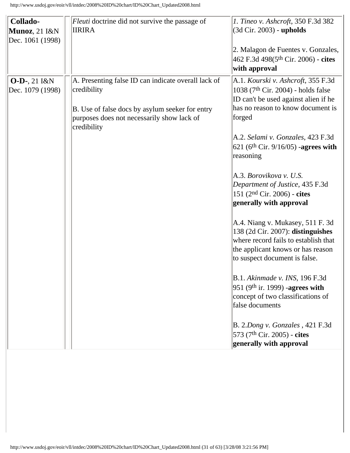| Collado-                                  | Fleuti doctrine did not survive the passage of<br><b>IIRIRA</b>                                                                                                                    | 1. Tineo v. Ashcroft, 350 F.3d 382<br>(3d Cir. 2003) - upholds                                                                                                                                                                                                                                                                                                                                                                                                                                                                                                                                                                                                                                                                                                                                                               |
|-------------------------------------------|------------------------------------------------------------------------------------------------------------------------------------------------------------------------------------|------------------------------------------------------------------------------------------------------------------------------------------------------------------------------------------------------------------------------------------------------------------------------------------------------------------------------------------------------------------------------------------------------------------------------------------------------------------------------------------------------------------------------------------------------------------------------------------------------------------------------------------------------------------------------------------------------------------------------------------------------------------------------------------------------------------------------|
| <b>Munoz</b> , 21 I&N<br>Dec. 1061 (1998) |                                                                                                                                                                                    |                                                                                                                                                                                                                                                                                                                                                                                                                                                                                                                                                                                                                                                                                                                                                                                                                              |
|                                           |                                                                                                                                                                                    | 2. Malagon de Fuentes v. Gonzales,<br>462 F.3d 498(5th Cir. 2006) - cites<br>with approval                                                                                                                                                                                                                                                                                                                                                                                                                                                                                                                                                                                                                                                                                                                                   |
| $O-D-$ , 21 $I&N$<br>Dec. 1079 (1998)     | A. Presenting false ID can indicate overall lack of<br>credibility<br>B. Use of false docs by asylum seeker for entry<br>purposes does not necessarily show lack of<br>credibility | A.1. Kourski v. Ashcroft, 355 F.3d<br>1038 (7 <sup>th</sup> Cir. 2004) - holds false<br>ID can't be used against alien if he<br>has no reason to know document is<br>forged<br>A.2. Selami v. Gonzales, 423 F.3d<br>621 (6 <sup>th</sup> Cir. 9/16/05) -agrees with<br>reasoning<br>A.3. Borovikova v. U.S.<br>Department of Justice, 435 F.3d<br>151 ( $2nd$ Cir. 2006) - cites<br>generally with approval<br>A.4. Niang v. Mukasey, 511 F. 3d<br>138 (2d Cir. 2007): distinguishes<br>where record fails to establish that<br>the applicant knows or has reason<br>to suspect document is false.<br>B.1. Akinmade v. INS, 196 F.3d<br>951 (9th ir. 1999) -agrees with<br>concept of two classifications of<br>false documents<br>B. 2.Dong v. Gonzales, 421 F.3d<br>573 (7th Cir. 2005) - cites<br>generally with approval |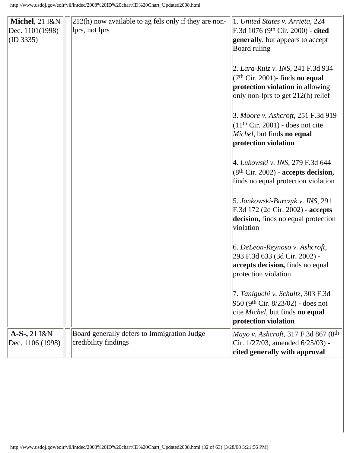| $ 212(h)$ now available to ag fels only if they are non-<br>lprs, not lprs | 1. United States v. Arrieta, 224<br>F.3d 1076 (9th Cir. 2000) - cited<br>generally, but appears to accept<br>Board ruling                                |
|----------------------------------------------------------------------------|----------------------------------------------------------------------------------------------------------------------------------------------------------|
|                                                                            | 2. Lara-Ruiz v. INS, 241 F.3d 934<br>$(7th Cir. 2001)$ - finds <b>no equal</b><br>protection violation in allowing<br>only non-lprs to get 212(h) relief |
|                                                                            | 3. Moore v. Ashcroft, 251 F.3d 919<br>$(11th Cir. 2001)$ - does not cite<br>Michel, but finds no equal<br>protection violation                           |
|                                                                            | 4. Lukowski v. INS, 279 F.3d 644<br>$(8th Cir. 2002)$ - accepts decision,<br>finds no equal protection violation                                         |
|                                                                            | 5. Jankowski-Burczyk v. INS, 291<br>F.3d 172 (2d Cir. 2002) - accepts<br>decision, finds no equal protection<br>violation                                |
|                                                                            | 6. DeLeon-Reynoso v. Ashcroft,<br>293 F.3d 633 (3d Cir. 2002) -<br>accepts decision, finds no equal<br>protection violation                              |
|                                                                            | 7. Taniguchi v. Schultz, 303 F.3d<br>950 (9th Cir. 8/23/02) - does not<br>cite Michel, but finds no equal<br>protection violation                        |
| Board generally defers to Immigration Judge<br>credibility findings        | Mayo v. Ashcroft, 317 F.3d 867 (8th<br>Cir. 1/27/03, amended 6/25/03) -<br>cited generally with approval                                                 |
|                                                                            |                                                                                                                                                          |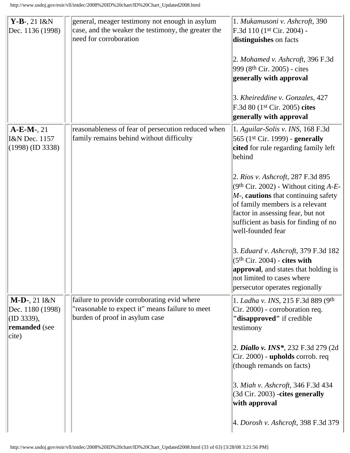| $Y-B-$ , 21 $I&N$    | general, meager testimony not enough in asylum      | 1. Mukamusoni v. Ashcroft, 390               |
|----------------------|-----------------------------------------------------|----------------------------------------------|
| Dec. 1136 (1998)     | case, and the weaker the testimony, the greater the | F.3d 110 (1 <sup>st</sup> Cir. 2004) -       |
|                      | need for corroboration                              | distinguishes on facts                       |
|                      |                                                     |                                              |
|                      |                                                     | $ 2.$ Mohamed v. Ashcroft, 396 F.3d          |
|                      |                                                     | 999 (8 <sup>th</sup> Cir. 2005) - cites      |
|                      |                                                     | generally with approval                      |
|                      |                                                     |                                              |
|                      |                                                     | 3. Kheireddine v. Gonzales, 427              |
|                      |                                                     | F.3d 80 (1 <sup>st</sup> Cir. 2005) cites    |
|                      |                                                     | generally with approval                      |
|                      |                                                     |                                              |
| $A-E-M-21$           | reasonableness of fear of persecution reduced when  | 1. Aguilar-Solis v. INS, $168$ F.3d          |
| I&N Dec. 1157        | family remains behind without difficulty            | 565 (1st Cir. 1999) - generally              |
| $(1998)$ (ID 3338)   |                                                     | cited for rule regarding family left         |
|                      |                                                     | behind                                       |
|                      |                                                     |                                              |
|                      |                                                     | 2. Rios v. Ashcroft, 287 F.3d 895            |
|                      |                                                     | $(9th Cir. 2002)$ - Without citing A-E-      |
|                      |                                                     | $M$ -, cautions that continuing safety       |
|                      |                                                     | of family members is a relevant              |
|                      |                                                     | factor in assessing fear, but not            |
|                      |                                                     | sufficient as basis for finding of no        |
|                      |                                                     | well-founded fear                            |
|                      |                                                     |                                              |
|                      |                                                     | 3. Eduard v. Ashcroft, 379 F.3d 182          |
|                      |                                                     | $(5th Cir. 2004)$ - cites with               |
|                      |                                                     | <b>approval</b> , and states that holding is |
|                      |                                                     | not limited to cases where                   |
|                      |                                                     | persecutor operates regionally               |
| $M-D-$ , 21 $1&8N$   | failure to provide corroborating evid where         | 1. Ladha v. INS, 215 F.3d 889 (9th           |
| Dec. 1180 (1998)     | "reasonable to expect it" means failure to meet     | Cir. 2000) - corroboration req.              |
| (ID 3339),           | burden of proof in asylum case                      | "disapproved" if credible                    |
| <b>remanded</b> (see |                                                     | testimony                                    |
| $ $ cite $ $         |                                                     |                                              |
|                      |                                                     | 2. Diallo v. INS*, 232 F.3d 279 (2d)         |
|                      |                                                     | Cir. 2000) - upholds corrob. req             |
|                      |                                                     | (though remands on facts)                    |
|                      |                                                     |                                              |
|                      |                                                     | 3. Miah v. Ashcroft, 346 F.3d 434            |
|                      |                                                     | (3d Cir. 2003) -cites generally              |
|                      |                                                     | with approval                                |
|                      |                                                     |                                              |
|                      |                                                     | 4. Dorosh v. Ashcroft, 398 F.3d 379          |
|                      |                                                     |                                              |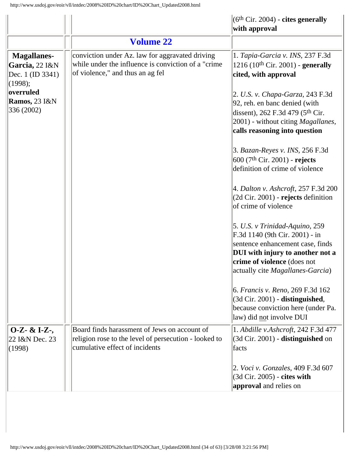<span id="page-33-0"></span>

|                                                                     |                                                                                                                                             | $(6th Cir. 2004)$ - cites generally<br>with approval                                                                                                                                                           |
|---------------------------------------------------------------------|---------------------------------------------------------------------------------------------------------------------------------------------|----------------------------------------------------------------------------------------------------------------------------------------------------------------------------------------------------------------|
|                                                                     | <b>Volume 22</b>                                                                                                                            |                                                                                                                                                                                                                |
| <b>Magallanes-</b><br>Garcia, 22 I&N<br>Dec. 1 (ID 3341)<br>(1998); | conviction under Az. law for aggravated driving<br>while under the influence is conviction of a "crime"<br>of violence," and thus an ag fel | 1. Tapia-Garcia v. INS, 237 F.3d<br>1216 (10 <sup>th</sup> Cir. 2001) - generally<br>cited, with approval                                                                                                      |
| overruled<br><b>Ramos, 23 I&amp;N</b><br>336 (2002)                 |                                                                                                                                             | 2. U.S. v. Chapa-Garza, 243 F.3d<br>92, reh. en banc denied (with<br>dissent), 262 F.3d 479 (5 <sup>th</sup> Cir.<br>2001) - without citing Magallanes,<br>calls reasoning into question                       |
|                                                                     |                                                                                                                                             | 3. Bazan-Reyes v. INS, 256 F.3d<br>$600$ (7 <sup>th</sup> Cir. 2001) - <b>rejects</b><br>definition of crime of violence                                                                                       |
|                                                                     |                                                                                                                                             | 4. Dalton v. Ashcroft, 257 F.3d 200<br>$(2d$ Cir. 2001) - rejects definition<br>of crime of violence                                                                                                           |
|                                                                     |                                                                                                                                             | $ 5. U.S. v Trinidad-Aquino, 259$<br>F.3d 1140 (9th Cir. 2001) - in<br>sentence enhancement case, finds<br>DUI with injury to another not a<br>crime of violence (does not<br>actually cite Magallanes-Garcia) |
|                                                                     |                                                                                                                                             | 6. Francis v. Reno, 269 F.3d 162<br>$(3d$ Cir. 2001) - distinguished,<br>because conviction here (under Pa.<br>law) did not involve DUI                                                                        |
| $0-Z-$ & I-Z-,<br>22 I&N Dec. 23<br>(1998)                          | Board finds harassment of Jews on account of<br>religion rose to the level of persecution - looked to<br>cumulative effect of incidents     | 1. Abdille v. Ashcroft, 242 F.3d 477<br>$(3d$ Cir. 2001) - distinguished on<br>facts                                                                                                                           |
|                                                                     |                                                                                                                                             | 2. Voci v. Gonzales, 409 F.3d 607<br>(3d Cir. 2005) - cites with<br>approval and relies on                                                                                                                     |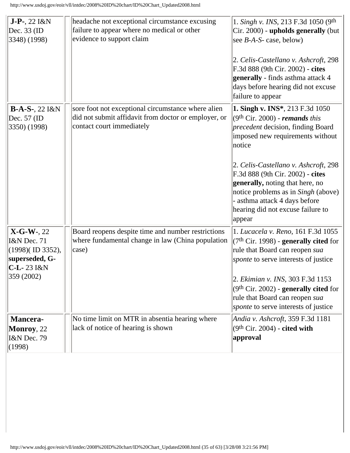| $J-P-, 22$ $I&N$<br>Dec. 33 (ID)<br>3348) (1998)                                                   | headache not exceptional circumstance excusing<br>failure to appear where no medical or other<br>evidence to support claim              | 1. Singh v. INS, 213 F.3d 1050 (9th<br>Cir. 2000) - upholds generally (but<br>see $B-A-S$ - case, below)<br>2. Celis-Castellano v. Ashcroft, 298<br>F.3d 888 (9th Cir. 2002) - cites<br>generally - finds asthma attack 4<br>days before hearing did not excuse<br>failure to appear                                                                                                                 |
|----------------------------------------------------------------------------------------------------|-----------------------------------------------------------------------------------------------------------------------------------------|------------------------------------------------------------------------------------------------------------------------------------------------------------------------------------------------------------------------------------------------------------------------------------------------------------------------------------------------------------------------------------------------------|
| $B-A-S-, 22$ $I&N$<br>Dec. 57 (ID<br>3350) (1998)                                                  | sore foot not exceptional circumstance where alien<br>did not submit affidavit from doctor or employer, or<br>contact court immediately | <b>1. Singh v. INS*</b> , 213 F.3d 1050<br>$(9th Cir. 2000)$ - remands this<br>precedent decision, finding Board<br>imposed new requirements without<br>notice<br>2. Celis-Castellano v. Ashcroft, 298<br>F.3d 888 (9th Cir. 2002) - cites<br>generally, noting that here, no<br>notice problems as in Singh (above)<br>- asthma attack 4 days before<br>hearing did not excuse failure to<br>appear |
| $X-G-W-22$<br>I&N Dec. 71<br>$(1998)$ (ID 3352),<br>superseded, G-<br>$C-L-23$ $I&N$<br>359 (2002) | Board reopens despite time and number restrictions<br>where fundamental change in law (China population<br>case)                        | 1. Lucacela v. Reno, 161 F.3d 1055<br>$(7th Cir. 1998)$ - generally cited for<br>rule that Board can reopen sua<br>sponte to serve interests of justice<br>2. Ekimian v. INS, 303 F.3d 1153<br>$(9th Cir. 2002)$ - generally cited for<br>rule that Board can reopen sua<br>sponte to serve interests of justice                                                                                     |
| <b>Mancera-</b><br><b>Monroy</b> , 22<br>I&N Dec. 79<br>(1998)                                     | No time limit on MTR in absentia hearing where<br>lack of notice of hearing is shown                                                    | Andia v. Ashcroft, 359 F.3d 1181<br>$(9th Cir. 2004)$ - cited with<br>approval                                                                                                                                                                                                                                                                                                                       |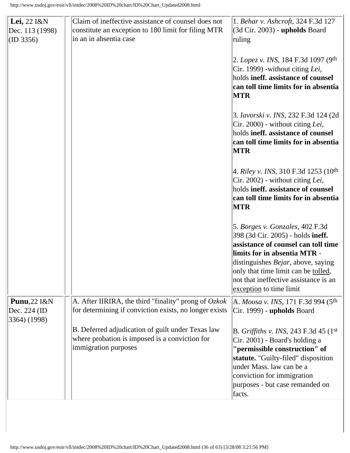| <b>Lei</b> , 22 I&N              | Claim of ineffective assistance of counsel does not                                                              | 1. Behar v. Ashcroft, 324 F.3d 127                                                                                                                                                                                                                                                                   |
|----------------------------------|------------------------------------------------------------------------------------------------------------------|------------------------------------------------------------------------------------------------------------------------------------------------------------------------------------------------------------------------------------------------------------------------------------------------------|
| Dec. 113 (1998)                  | constitute an exception to 180 limit for filing MTR<br>in an in absentia case                                    | (3d Cir. 2003) - upholds Board                                                                                                                                                                                                                                                                       |
| (ID 3356)                        |                                                                                                                  | ruling                                                                                                                                                                                                                                                                                               |
|                                  |                                                                                                                  | 2. Lopez v. INS, 184 F.3d 1097 (9th                                                                                                                                                                                                                                                                  |
|                                  |                                                                                                                  | Cir. 1999) - without citing Lei,                                                                                                                                                                                                                                                                     |
|                                  |                                                                                                                  | holds ineff. assistance of counsel                                                                                                                                                                                                                                                                   |
|                                  |                                                                                                                  | can toll time limits for in absentia<br><b>MTR</b>                                                                                                                                                                                                                                                   |
|                                  |                                                                                                                  | 3. Iavorski v. INS, 232 F.3d 124 (2d<br>Cir. 2000) - without citing Lei,<br>holds ineff. assistance of counsel<br>can toll time limits for in absentia<br>$\bf MTR$                                                                                                                                  |
|                                  |                                                                                                                  | 4. Riley v. INS, 310 F.3d 1253 (10 <sup>th</sup> )<br>$\text{Cir. } 2002$ ) - without citing <i>Lei</i> ,<br>holds ineff. assistance of counsel<br>can toll time limits for in absentia<br>MTR                                                                                                       |
|                                  |                                                                                                                  | 5. Borges v. Gonzales, 402 F.3d<br>398 (3d Cir. 2005) - holds ineff.<br>assistance of counsel can toll time<br>limits for in absentia MTR -<br>distinguishes <i>Bejar</i> , above, saying<br>only that time limit can be tolled,<br>not that ineffective assistance is an<br>exception to time limit |
| Punu, $22$ $1&N$<br>Dec. 224 (ID | A. After IIRIRA, the third "finality" prong of $Ozkok$<br>for determining if conviction exists, no longer exists | A. <i>Moosa v. INS,</i> 171 F.3d 994 (5 <sup>th</sup><br>Cir. 1999) - upholds Board                                                                                                                                                                                                                  |
| 3364) (1998)                     | B. Deferred adjudication of guilt under Texas law                                                                | B. Griffiths v. INS, 243 F.3d 45 (1st)                                                                                                                                                                                                                                                               |
|                                  | where probation is imposed is a conviction for<br>immigration purposes                                           | Cir. 2001) - Board's holding a<br>"permissible construction" of<br>statute. "Guilty-filed" disposition<br>under Mass. law can be a<br>conviction for immigration<br>purposes - but case remanded on<br>facts.                                                                                        |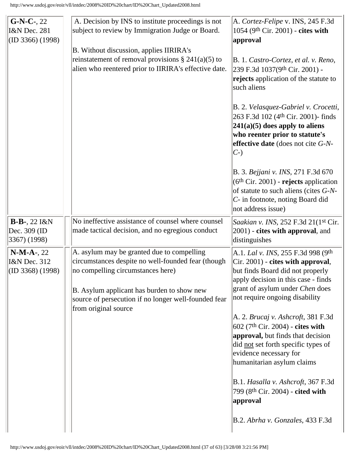| such aliens<br>B. 2. Velasquez-Gabriel v. Crocetti,<br>263 F.3d 102 (4 <sup>th</sup> Cir. 2001)- finds<br>$241(a)(5)$ does apply to aliens<br>who reenter prior to statute's<br>effective date (does not cite G-N-<br>$ C-$<br>B. 3. Bejjani v. INS, 271 F.3d 670<br>$(6th Cir. 2001)$ - rejects application                                                                                                                                                                                                                                                                        |
|-------------------------------------------------------------------------------------------------------------------------------------------------------------------------------------------------------------------------------------------------------------------------------------------------------------------------------------------------------------------------------------------------------------------------------------------------------------------------------------------------------------------------------------------------------------------------------------|
| of statute to such aliens (cites G-N-<br>C- in footnote, noting Board did<br>not address issue)                                                                                                                                                                                                                                                                                                                                                                                                                                                                                     |
| <i>Saakian v. INS, 252 F.3d 21(1st Cir.</i><br>2001) - cites with approval, and<br>distinguishes                                                                                                                                                                                                                                                                                                                                                                                                                                                                                    |
| A.1. Lal v. INS, 255 F.3d 998 (9th<br>$ Cir. 2001)$ - cites with approval,<br>but finds Board did not properly<br>apply decision in this case - finds<br>grant of asylum under Chen does<br>not require ongoing disability<br>A. 2. Brucaj v. Ashcroft, 381 F.3d<br>$602$ (7 <sup>th</sup> Cir. 2004) - cites with<br>approval, but finds that decision<br>did not set forth specific types of<br>evidence necessary for<br>humanitarian asylum claims<br>B.1. Hasalla v. Ashcroft, 367 F.3d<br>799 ( $8th$ Cir. 2004) - cited with<br>approval<br>B.2. Abrha v. Gonzales, 433 F.3d |
| No ineffective assistance of counsel where counsel<br>made tactical decision, and no egregious conduct<br>A. asylum may be granted due to compelling<br>circumstances despite no well-founded fear (though<br>no compelling circumstances here)<br>B. Asylum applicant has burden to show new<br>source of persecution if no longer well-founded fear<br>from original source                                                                                                                                                                                                       |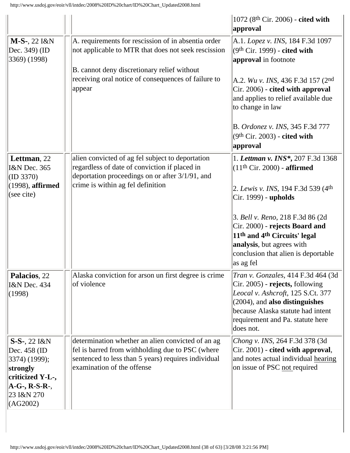|                                                                                                                                  |                                                                                                                                                                                                                            | $1072$ (8 <sup>th</sup> Cir. 2006) - cited with<br>approval                                                                                                                                                                                                                                                                                       |
|----------------------------------------------------------------------------------------------------------------------------------|----------------------------------------------------------------------------------------------------------------------------------------------------------------------------------------------------------------------------|---------------------------------------------------------------------------------------------------------------------------------------------------------------------------------------------------------------------------------------------------------------------------------------------------------------------------------------------------|
| $M-S-$ , 22 $I&N$<br>Dec. 349) (ID<br>$(3369)$ (1998)                                                                            | A. requirements for rescission of in absentia order<br>not applicable to MTR that does not seek rescission<br>B. cannot deny discretionary relief without<br>receiving oral notice of consequences of failure to<br>appear | A.1. Lopez v. INS, 184 F.3d 1097<br>$(9th Cir. 1999)$ - cited with<br>approval in footnote<br>A.2. Wu v. INS, 436 F.3d 157 (2nd)<br>Cir. 2006) - cited with approval<br>and applies to relief available due<br>to change in law                                                                                                                   |
|                                                                                                                                  |                                                                                                                                                                                                                            | B. Ordonez v. INS, 345 F.3d 777<br>$(9th Cir. 2003)$ - cited with<br>approval                                                                                                                                                                                                                                                                     |
| Lettman, 22<br><b>I&amp;N</b> Dec. 365<br>(ID 3370)<br>$(1998)$ , affirmed<br>(see cite)                                         | alien convicted of ag fel subject to deportation<br>regardless of date of conviction if placed in<br>deportation proceedings on or after 3/1/91, and<br>crime is within ag fel definition                                  | 1. Lettman v. INS*, 207 F.3d 1368<br>$(11th Cir. 2000)$ - affirmed<br>2. Lewis v. INS, 194 F.3d 539 (4 <sup>th</sup> )<br>Cir. 1999) - upholds<br>3. Bell v. Reno, 218 F.3d 86 (2d)<br>Cir. 2000) - rejects Board and<br>11 <sup>th</sup> and 4 <sup>th</sup> Circuits' legal<br>analysis, but agrees with<br>conclusion that alien is deportable |
| Palacios, 22<br><b>I&amp;N</b> Dec. 434<br>(1998)                                                                                | Alaska conviction for arson un first degree is crime<br>of violence                                                                                                                                                        | as ag fel<br>Tran v. Gonzales, 414 F.3d 464 (3d)<br>$\text{Cir. } 2005$ - rejects, following<br>Leocal v. Ashcroft, 125 S.Ct. 377<br>(2004), and also distinguishes<br>because Alaska statute had intent<br>requirement and Pa. statute here<br>does not.                                                                                         |
| $S-S-$ , 22 $I&N$<br>Dec. 458 (ID<br>3374) (1999);<br>strongly<br>criticized Y-L-,<br>$A-G$ -, R-S-R-,<br>23 I&N 270<br>(AG2002) | determination whether an alien convicted of an ag<br>fel is barred from withholding due to PSC (where<br>sentenced to less than 5 years) requires individual<br>examination of the offense                                 | Chong v. INS, 264 F.3d 378 (3d)<br>Cir. 2001) - cited with approval,<br>and notes actual individual hearing<br>on issue of PSC not required                                                                                                                                                                                                       |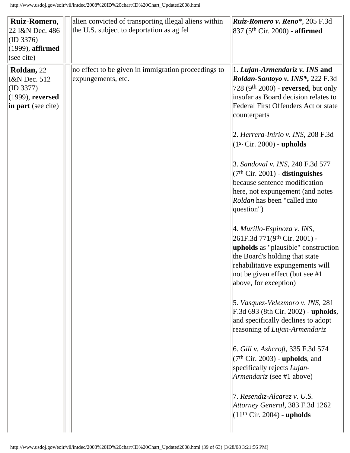| Ruiz-Romero,<br>22 I&N Dec. 486<br>$\vert$ (ID 3376)<br>$(1999)$ , affirmed<br>$(see cite)$             | alien convicted of transporting illegal aliens within<br>the U.S. subject to deportation as ag fel | Ruiz-Romero v. Reno*, 205 F.3d<br>837 (5th Cir. 2000) - affirmed                                                                                                                                                                     |
|---------------------------------------------------------------------------------------------------------|----------------------------------------------------------------------------------------------------|--------------------------------------------------------------------------------------------------------------------------------------------------------------------------------------------------------------------------------------|
| Roldan, 22<br><b>I&amp;N</b> Dec. 512<br>$\vert$ (ID 3377)<br>$(1999)$ , reversed<br>in part (see cite) | no effect to be given in immigration proceedings to<br>expungements, etc.                          | 1. Lujan-Armendariz v. INS and<br>Roldan-Santoyo v. INS*, 222 F.3d<br>728 (9th 2000) - reversed, but only<br>insofar as Board decision relates to<br>Federal First Offenders Act or state<br>counterparts                            |
|                                                                                                         |                                                                                                    | 2. Herrera-Inirio v. INS, 208 F.3d<br>$(1st Cir. 2000)$ - upholds                                                                                                                                                                    |
|                                                                                                         |                                                                                                    | 3. Sandoval v. INS, 240 F.3d 577<br>$(7th Cir. 2001)$ - distinguishes<br>because sentence modification<br>here, not expungement (and notes<br>Roldan has been "called into<br>question")                                             |
|                                                                                                         |                                                                                                    | 4. Murillo-Espinoza v. INS,<br>261F.3d 771(9th Cir. 2001) -<br>upholds as "plausible" construction<br>the Board's holding that state<br>rehabilitative expungements will<br>not be given effect (but see #1<br>above, for exception) |
|                                                                                                         |                                                                                                    | 5. Vasquez-Velezmoro v. INS, 281<br>F.3d 693 (8th Cir. 2002) - upholds,<br>and specifically declines to adopt<br>reasoning of Lujan-Armendariz                                                                                       |
|                                                                                                         |                                                                                                    | 6. Gill v. Ashcroft, 335 F.3d 574<br>$(7th Cir. 2003)$ - <b>upholds</b> , and<br>specifically rejects Lujan-<br><i>Armendariz</i> (see #1 above)                                                                                     |
|                                                                                                         |                                                                                                    | 7. Resendiz-Alcarez v. U.S.<br>Attorney General, 383 F.3d 1262<br>$(11th Cir. 2004)$ - upholds                                                                                                                                       |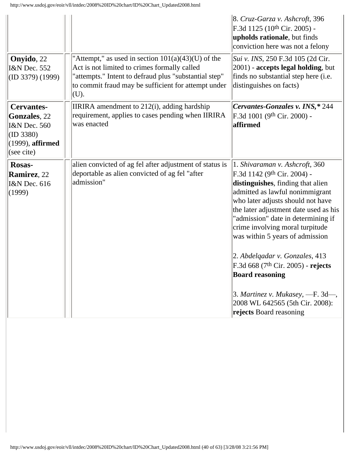|                                                                                                                     |                                                                                                                                                                                                                              | 8. Cruz-Garza v. Ashcroft, 396<br>F.3d 1125 (10 <sup>th</sup> Cir. 2005) -<br>upholds rationale, but finds<br>conviction here was not a felony                                                                                                                                                                                                                                                                                                                           |
|---------------------------------------------------------------------------------------------------------------------|------------------------------------------------------------------------------------------------------------------------------------------------------------------------------------------------------------------------------|--------------------------------------------------------------------------------------------------------------------------------------------------------------------------------------------------------------------------------------------------------------------------------------------------------------------------------------------------------------------------------------------------------------------------------------------------------------------------|
| <b>Onyido</b> , 22<br><b>I&amp;N</b> Dec. 552<br>(ID 3379) (1999)                                                   | "Attempt," as used in section $101(a)(43)(U)$ of the<br>Act is not limited to crimes formally called<br>"attempts." Intent to defraud plus "substantial step"<br>to commit fraud may be sufficient for attempt under<br>(U). | Sui v. INS, 250 F.3d 105 (2d Cir.<br>2001) - accepts legal holding, but<br>finds no substantial step here (i.e.<br>distinguishes on facts)                                                                                                                                                                                                                                                                                                                               |
| <b>Cervantes-</b><br><b>Gonzales</b> , 22<br><b>I&amp;N</b> Dec. 560<br>(ID 3380)<br>(1999), affirmed<br>(see cite) | IIRIRA amendment to 212(i), adding hardship<br>requirement, applies to cases pending when IIRIRA<br>was enacted                                                                                                              | Cervantes-Gonzales v. INS,* 244<br>F.3d 1001 (9th Cir. 2000) -<br>affirmed                                                                                                                                                                                                                                                                                                                                                                                               |
| Rosas-<br>Ramirez, 22<br><b>I&amp;N</b> Dec. 616<br>(1999)                                                          | alien convicted of ag fel after adjustment of status is<br>deportable as alien convicted of ag fel "after<br>admission"                                                                                                      | 1. Shivaraman v. Ashcroft, 360<br>F.3d 1142 (9th Cir. 2004) -<br>distinguishes, finding that alien<br>admitted as lawful nonimmigrant<br>who later adjusts should not have<br>the later adjustment date used as his<br>"admission" date in determining if<br>crime involving moral turpitude<br>was within 5 years of admission<br>2. Abdelqadar v. Gonzales, 413<br>$F.3d 668 (7th Cir. 2005) - rejects$<br><b>Board reasoning</b><br>3. Martinez v. Mukasey, $-F.3d$ , |
|                                                                                                                     |                                                                                                                                                                                                                              | 2008 WL 642565 (5th Cir. 2008):<br>rejects Board reasoning                                                                                                                                                                                                                                                                                                                                                                                                               |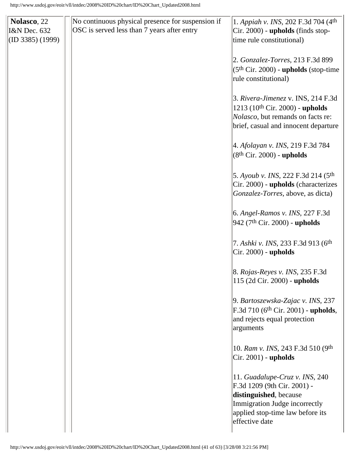| <b>Nolasco</b> , 22              | No continuous physical presence for suspension if | 1. Appiah v. INS, 202 F.3d 704 (4th                                                 |
|----------------------------------|---------------------------------------------------|-------------------------------------------------------------------------------------|
| I&N Dec. 632<br>(ID 3385) (1999) | OSC is served less than 7 years after entry       | Cir. 2000) - upholds (finds stop-                                                   |
|                                  |                                                   | time rule constitutional)                                                           |
|                                  |                                                   | 2. Gonzalez-Torres, 213 F.3d 899                                                    |
|                                  |                                                   | $(5th Cir. 2000)$ - upholds (stop-time                                              |
|                                  |                                                   | rule constitutional)                                                                |
|                                  |                                                   |                                                                                     |
|                                  |                                                   | 3. Rivera-Jimenez v. INS, 214 F.3d                                                  |
|                                  |                                                   | $1213$ (10 <sup>th</sup> Cir. 2000) - upholds                                       |
|                                  |                                                   | <i>Nolasco</i> , but remands on facts re:                                           |
|                                  |                                                   | brief, casual and innocent departure                                                |
|                                  |                                                   | 4. Afolayan v. INS, 219 F.3d 784                                                    |
|                                  |                                                   | $(8th Cir. 2000)$ - upholds                                                         |
|                                  |                                                   |                                                                                     |
|                                  |                                                   | 5. Ayoub v. INS, 222 F.3d 214 (5th)                                                 |
|                                  |                                                   | Cir. 2000) - upholds (characterizes                                                 |
|                                  |                                                   | Gonzalez-Torres, above, as dicta)                                                   |
|                                  |                                                   |                                                                                     |
|                                  |                                                   | 6. Angel-Ramos v. INS, 227 F.3d<br>942 (7 <sup>th</sup> Cir. 2000) - <b>upholds</b> |
|                                  |                                                   |                                                                                     |
|                                  |                                                   | 7. Ashki v. INS, 233 F.3d 913 (6th                                                  |
|                                  |                                                   | Cir. 2000) - upholds                                                                |
|                                  |                                                   |                                                                                     |
|                                  |                                                   | 8. Rojas-Reyes v. INS, 235 F.3d                                                     |
|                                  |                                                   | 115 (2d Cir. 2000) - upholds                                                        |
|                                  |                                                   |                                                                                     |
|                                  |                                                   | 9. Bartoszewska-Zajac v. INS, 237<br>F.3d 710 (6th Cir. 2001) - upholds,            |
|                                  |                                                   | and rejects equal protection                                                        |
|                                  |                                                   | arguments                                                                           |
|                                  |                                                   |                                                                                     |
|                                  |                                                   | 10. Ram v. INS, 243 F.3d 510 (9th                                                   |
|                                  |                                                   | $Cir. 2001$ - upholds                                                               |
|                                  |                                                   |                                                                                     |
|                                  |                                                   | 11. Guadalupe-Cruz v. INS, 240                                                      |
|                                  |                                                   | F.3d 1209 (9th Cir. 2001) -<br>distinguished, because                               |
|                                  |                                                   | Immigration Judge incorrectly                                                       |
|                                  |                                                   | applied stop-time law before its                                                    |
|                                  |                                                   | effective date                                                                      |
|                                  |                                                   |                                                                                     |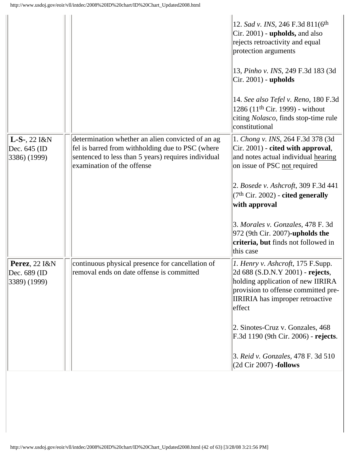|                                                       |                                                                                                                                                                                            | 12. Sad v. INS, 246 F.3d 811(6 <sup>th</sup><br>Cir. 2001) - <b>upholds</b> , and also<br>rejects retroactivity and equal<br>protection arguments<br>13, Pinho v. INS, 249 F.3d 183 (3d<br>$Cir. 2001)$ - upholds<br>14. See also Tefel v. Reno, 180 F.3d<br>1286 (11 <sup>th</sup> Cir. 1999) - without<br>citing <i>Nolasco</i> , finds stop-time rule<br>constitutional  |
|-------------------------------------------------------|--------------------------------------------------------------------------------------------------------------------------------------------------------------------------------------------|-----------------------------------------------------------------------------------------------------------------------------------------------------------------------------------------------------------------------------------------------------------------------------------------------------------------------------------------------------------------------------|
| $L-S-$ , 22 $I\&N$<br>Dec. 645 (ID<br>3386) (1999)    | determination whether an alien convicted of an ag<br>fel is barred from withholding due to PSC (where<br>sentenced to less than 5 years) requires individual<br>examination of the offense | 1. Chong v. INS, 264 F.3d 378 (3d)<br>Cir. 2001) - cited with approval,<br>and notes actual individual hearing<br>on issue of PSC not required<br>2. Bosede v. Ashcroft, 309 F.3d 441<br>$(7th Cir. 2002)$ - cited generally<br>with approval<br>3. Morales v. Gonzales, 478 F. 3d<br>$972$ (9th Cir. 2007)-upholds the<br>criteria, but finds not followed in<br>this case |
| <b>Perez</b> , 22 I&N<br>Dec. 689 (ID<br>3389) (1999) | continuous physical presence for cancellation of<br>removal ends on date offense is committed                                                                                              | 1. Henry v. Ashcroft, 175 F.Supp.<br>2d 688 (S.D.N.Y 2001) - rejects,<br>holding application of new IIRIRA<br>provision to offense committed pre-<br><b>IIRIRIA</b> has improper retroactive<br>effect<br>2. Sinotes-Cruz v. Gonzales, 468<br>F.3d 1190 (9th Cir. 2006) - rejects.<br>3. Reid v. Gonzales, 478 F. 3d 510<br>(2d Cir 2007) -follows                          |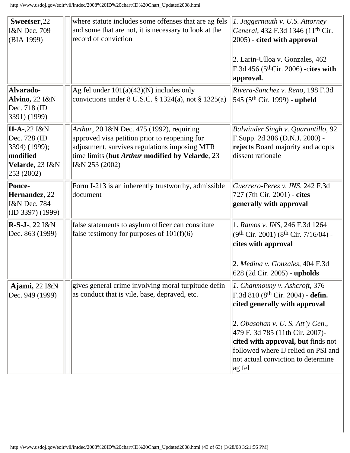| Sweetser, 22<br>I&N Dec. 709<br>(BIA 1999)                                                    | where statute includes some offenses that are ag fels<br>and some that are not, it is necessary to look at the<br>record of conviction                                                                                   | 1. Jaggernauth v. U.S. Attorney<br>General, 432 F.3d 1346 (11 <sup>th</sup> Cir.<br>2005) - cited with approval<br>2. Larin-Ulloa v. Gonzales, 462<br>$F.3d$ 456 (5 <sup>th</sup> Cir. 2006) -cites with<br>approval.                                                                                                                             |
|-----------------------------------------------------------------------------------------------|--------------------------------------------------------------------------------------------------------------------------------------------------------------------------------------------------------------------------|---------------------------------------------------------------------------------------------------------------------------------------------------------------------------------------------------------------------------------------------------------------------------------------------------------------------------------------------------|
| Alvarado-<br><b>Alvino, 22 I&amp;N</b><br>Dec. 718 (ID)<br>3391) (1999)                       | Ag fel under $101(a)(43)(N)$ includes only<br>convictions under $8$ U.S.C. $\S$ 1324(a), not $\S$ 1325(a)                                                                                                                | Rivera-Sanchez v. Reno, 198 F.3d<br>545 (5 <sup>th</sup> Cir. 1999) - <b>upheld</b>                                                                                                                                                                                                                                                               |
| $H-A-22$ $I&N$<br>Dec. 728 (ID)<br>3394) (1999);<br>modified<br>Velarde, 23 I&N<br>253 (2002) | <i>Arthur</i> , 20 I&N Dec. 475 (1992), requiring<br>approved visa petition prior to reopening for<br>adjustment, survives regulations imposing MTR<br>time limits (but Arthur modified by Velarde, 23<br>I&N 253 (2002) | Balwinder Singh v. Quarantillo, 92<br>F.Supp. 2d 386 (D.N.J. 2000) -<br>rejects Board majority and adopts<br>dissent rationale                                                                                                                                                                                                                    |
| Ponce-<br>Hernandez, 22<br>I&N Dec. 784<br>(ID 3397) (1999)                                   | Form I-213 is an inherently trustworthy, admissible<br>document                                                                                                                                                          | Guerrero-Perez v. INS, 242 F.3d<br>727 (7th Cir. 2001) - cites<br>generally with approval                                                                                                                                                                                                                                                         |
| R-S-J-, 22 I&N<br>Dec. 863 (1999)                                                             | false statements to asylum officer can constitute<br>false testimony for purposes of $101(f)(6)$                                                                                                                         | 1. Ramos v. INS, 246 F.3d 1264<br>$(9th Cir. 2001)$ $(8th Cir. 7/16/04)$ -<br>cites with approval<br>2. Medina v. Gonzales, 404 F.3d<br>628 (2d Cir. 2005) - upholds                                                                                                                                                                              |
| Ajami, $22$ $1&N$<br>Dec. 949 (1999)                                                          | gives general crime involving moral turpitude defin<br>as conduct that is vile, base, depraved, etc.                                                                                                                     | 1. Chanmouny v. Ashcroft, 376<br>F.3d 810 (8 <sup>th</sup> Cir. 2004) - defin.<br>cited generally with approval<br>$ 2. \textit{Obsohan} v. U. S. \textit{Att'} y \textit{Gen.},$<br>479 F. 3d 785 (11th Cir. 2007)-<br>cited with approval, but finds not<br>followed where IJ relied on PSI and<br>not actual conviction to determine<br>ag fel |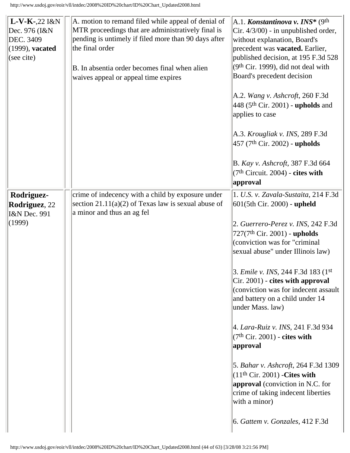| L-V-K-,22 I&N<br>Dec. 976 (I&N<br>DEC. 3409<br>$(1999)$ , vacated<br>(see cite) | A. motion to remand filed while appeal of denial of<br>MTR proceedings that are administratively final is<br>pending is untimely if filed more than 90 days after<br>the final order<br>B. In absentia order becomes final when alien<br>waives appeal or appeal time expires | A.1. Konstantinova v. INS* (9th<br>Cir. 4/3/00) - in unpublished order,<br>without explanation, Board's<br>precedent was <b>vacated</b> . Earlier,<br>published decision, at 195 F.3d 528<br>$(9th Cir. 1999)$ , did not deal with<br>Board's precedent decision<br>A.2. Wang v. Ashcroft, 260 F.3d<br>448 ( $5th$ Cir. 2001) - upholds and<br>applies to case<br>A.3. Krougliak v. INS, 289 F.3d                                                                                                                                                                                                                                                                                                               |
|---------------------------------------------------------------------------------|-------------------------------------------------------------------------------------------------------------------------------------------------------------------------------------------------------------------------------------------------------------------------------|-----------------------------------------------------------------------------------------------------------------------------------------------------------------------------------------------------------------------------------------------------------------------------------------------------------------------------------------------------------------------------------------------------------------------------------------------------------------------------------------------------------------------------------------------------------------------------------------------------------------------------------------------------------------------------------------------------------------|
|                                                                                 |                                                                                                                                                                                                                                                                               | $457$ (7 <sup>th</sup> Cir. 2002) - <b>upholds</b><br>B. Kay v. Ashcroft, 387 F.3d 664<br>$(7th Circuit. 2004)$ - cites with<br>approval                                                                                                                                                                                                                                                                                                                                                                                                                                                                                                                                                                        |
| Rodriguez-<br><b>Rodriguez</b> , 22<br>I&N Dec. 991<br>(1999)                   | crime of indecency with a child by exposure under<br>section $21.11(a)(2)$ of Texas law is sexual abuse of<br>a minor and thus an ag fel                                                                                                                                      | 1. U.S. v. Zavala-Sustaita, 214 F.3d<br>601(5th Cir. 2000) - upheld<br>2. Guerrero-Perez v. INS, 242 F.3d<br>727(7 <sup>th</sup> Cir. 2001) - upholds<br>(conviction was for "criminal<br>sexual abuse" under Illinois law)<br>3. <i>Emile v. INS</i> , 244 F.3d 183 (1st)<br>Cir. 2001) - cites with approval<br>(conviction was for indecent assault)<br>and battery on a child under 14<br>under Mass. law)<br>4. Lara-Ruiz v. INS, 241 F.3d 934<br>$(7th Cir. 2001)$ - cites with<br>approval<br>5. Bahar v. Ashcroft, 264 F.3d 1309<br>$(11th Cir. 2001)$ -Cites with<br><b>approval</b> (conviction in N.C. for<br>crime of taking indecent liberties<br>with a minor)<br>6. Gattem v. Gonzales, 412 F.3d |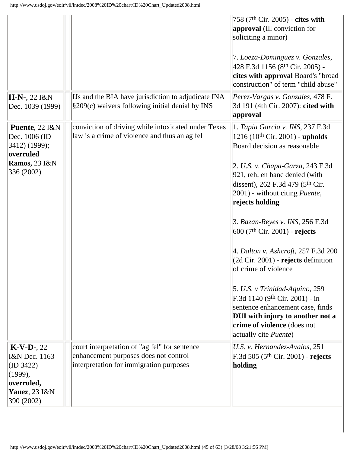ù.

| $H-N-, 22$ $I&N$                                                                                                    | IJs and the BIA have jurisdiction to adjudicate INA                                                                               | 758 (7 <sup>th</sup> Cir. 2005) - cites with<br><b>approval</b> (Ill conviction for<br>soliciting a minor)<br>7. Loeza-Dominguez v. Gonzales,<br>428 F.3d 1156 (8 <sup>th</sup> Cir. 2005) -<br>cites with approval Board's "broad<br>construction" of term "child abuse"<br>Perez-Vargas v. Gonzales, 478 F.                                                                                                                                                                                                                                                                                                                                                                 |
|---------------------------------------------------------------------------------------------------------------------|-----------------------------------------------------------------------------------------------------------------------------------|-------------------------------------------------------------------------------------------------------------------------------------------------------------------------------------------------------------------------------------------------------------------------------------------------------------------------------------------------------------------------------------------------------------------------------------------------------------------------------------------------------------------------------------------------------------------------------------------------------------------------------------------------------------------------------|
| Dec. 1039 (1999)                                                                                                    | §209(c) waivers following initial denial by INS                                                                                   | 3d 191 (4th Cir. 2007): cited with<br>approval                                                                                                                                                                                                                                                                                                                                                                                                                                                                                                                                                                                                                                |
| Puente, 22 I&N<br>Dec. 1006 (ID<br>$(3412)$ (1999);<br>overruled<br>Ramos, 23 I&N<br>336 (2002)                     | conviction of driving while intoxicated under Texas<br>law is a crime of violence and thus an ag fel                              | 1. Tapia Garcia v. INS, 237 F.3d<br>$1216 (10th Cir. 2001)$ - upholds<br>Board decision as reasonable<br>2. U.S. v. Chapa-Garza, 243 F.3d<br>921, reh. en banc denied (with<br>dissent), 262 F.3d 479 (5 <sup>th</sup> Cir.<br>2001) - without citing Puente,<br>rejects holding<br>3. Bazan-Reyes v. INS, 256 F.3d<br>600 (7 <sup>th</sup> Cir. 2001) - rejects<br>4. Dalton v. Ashcroft, 257 F.3d 200<br>(2d Cir. 2001) - rejects definition<br>of crime of violence<br>$ 5. U.S. v Trinidad-Aquino, 259$<br>F.3d 1140 (9th Cir. 2001) - in<br>sentence enhancement case, finds<br>DUI with injury to another not a<br>crime of violence (does not<br>actually cite Puente) |
| $K-V-D-$ , 22<br>I&N Dec. 1163<br>$\vert$ (ID 3422)<br>(1999),<br>overruled,<br><b>Yanez</b> , 23 I&N<br>390 (2002) | court interpretation of "ag fel" for sentence<br>enhancement purposes does not control<br>interpretation for immigration purposes | U.S. v. Hernandez-Avalos, 251<br>F.3d 505 (5 <sup>th</sup> Cir. 2001) - rejects<br>holding                                                                                                                                                                                                                                                                                                                                                                                                                                                                                                                                                                                    |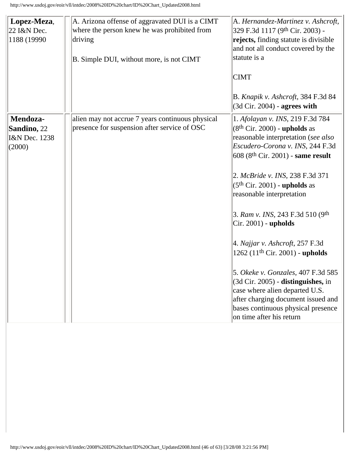| Lopez-Meza,<br>22 I&N Dec.<br>1188 (19990)                 | A. Arizona offense of aggravated DUI is a CIMT<br>where the person knew he was prohibited from<br>driving<br>B. Simple DUI, without more, is not CIMT | A. Hernandez-Martinez v. Ashcroft,<br>329 F.3d 1117 (9th Cir. 2003) -<br>rejects, finding statute is divisible<br>and not all conduct covered by the<br>statute is a<br><b>CIMT</b><br>B. <i>Knapik v. Ashcroft</i> , 384 F.3d 84<br>$(3d$ Cir. 2004) - agrees with                                                                                                                                                                                                                                                                                                                                                                                                                               |
|------------------------------------------------------------|-------------------------------------------------------------------------------------------------------------------------------------------------------|---------------------------------------------------------------------------------------------------------------------------------------------------------------------------------------------------------------------------------------------------------------------------------------------------------------------------------------------------------------------------------------------------------------------------------------------------------------------------------------------------------------------------------------------------------------------------------------------------------------------------------------------------------------------------------------------------|
| Mendoza-<br><b>Sandino</b> , 22<br>I&N Dec. 1238<br>(2000) | alien may not accrue 7 years continuous physical<br>presence for suspension after service of OSC                                                      | 1. Afolayan v. INS, 219 F.3d 784<br>$(8th Cir. 2000)$ - upholds as<br>reasonable interpretation (see also<br>Escudero-Corona v. INS, 244 F.3d<br>608 (8 <sup>th</sup> Cir. 2001) - same result<br>2. McBride v. INS, 238 F.3d 371<br>$(5th Cir. 2001)$ - upholds as<br>reasonable interpretation<br>3. Ram v. INS, 243 F.3d 510 (9th<br>$\left  \text{Cir. } 2001 \right)$ - upholds<br>$\vert 4.$ <i>Najjar v. Ashcroft,</i> 257 F.3d<br>1262 $(11th Cir. 2001)$ - upholds<br>5. Okeke v. Gonzales, 407 F.3d 585<br>(3d Cir. 2005) - distinguishes, in<br>case where alien departed U.S.<br>after charging document issued and<br>bases continuous physical presence<br>on time after his return |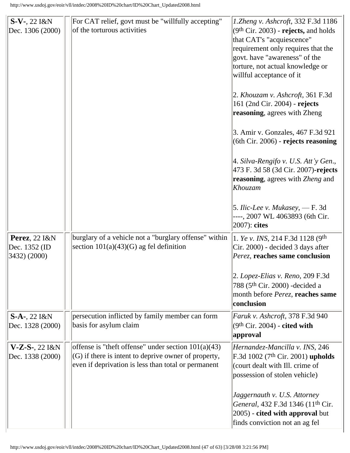| $S-V$ -, 22 $I&N$     | For CAT relief, govt must be "willfully accepting"    | 1. Zheng v. Ashcroft, 332 F.3d 1186             |
|-----------------------|-------------------------------------------------------|-------------------------------------------------|
| Dec. 1306 (2000)      | of the torturous activities                           | $(9th Cir. 2003)$ - rejects, and holds          |
|                       |                                                       | that CAT's "acquiescence"                       |
|                       |                                                       | requirement only requires that the              |
|                       |                                                       | govt. have "awareness" of the                   |
|                       |                                                       | torture, not actual knowledge or                |
|                       |                                                       | willful acceptance of it                        |
|                       |                                                       | 2. Khouzam v. Ashcroft, 361 F.3d                |
|                       |                                                       | 161 (2nd Cir. 2004) - rejects                   |
|                       |                                                       | <b>reasoning</b> , agrees with Zheng            |
|                       |                                                       | 3. Amir v. Gonzales, 467 F.3d 921               |
|                       |                                                       | (6th Cir. 2006) - rejects reasoning             |
|                       |                                                       | $ 4. Silva-Rengifo v. U.S. Att'y Gen.,$         |
|                       |                                                       | 473 F. 3d 58 (3d Cir. 2007)-rejects             |
|                       |                                                       | <b>reasoning</b> , agrees with <i>Zheng</i> and |
|                       |                                                       | <b>Khouzam</b>                                  |
|                       |                                                       | 5. Ilic-Lee v. Mukasey, $-$ F. 3d               |
|                       |                                                       | ----, 2007 WL 4063893 (6th Cir.                 |
|                       |                                                       | 2007): cites                                    |
| <b>Perez</b> , 22 I&N | burglary of a vehicle not a "burglary offense" within | 1. Ye v. INS, 214 F.3d 1128 (9th                |
| Dec. 1352 (ID         | section $101(a)(43)(G)$ ag fel definition             | Cir. 2000) - decided 3 days after               |
| 3432) (2000)          |                                                       | Perez, reaches same conclusion                  |
|                       |                                                       | 2. Lopez-Elias v. Reno, 209 F.3d                |
|                       |                                                       | 788 (5 <sup>th</sup> Cir. 2000) - decided a     |
|                       |                                                       | month before Perez, reaches same                |
|                       |                                                       | conclusion                                      |
| S-A-, 22 I&N          | persecution inflicted by family member can form       | <i>Faruk v. Ashcroft, 378 F.3d 940</i>          |
| Dec. 1328 (2000)      | basis for asylum claim                                | $(9th Cir. 2004)$ - cited with                  |
|                       |                                                       | approval                                        |
| V-Z-S-, 22 I&N        | offense is "theft offense" under section $101(a)(43)$ | Hernandez-Mancilla v. INS, 246                  |
| Dec. 1338 (2000)      | (G) if there is intent to deprive owner of property,  | F.3d 1002 (7 <sup>th</sup> Cir. 2001) upholds   |
|                       | even if deprivation is less than total or permanent   | (court dealt with Ill. crime of                 |
|                       |                                                       | possession of stolen vehicle)                   |
|                       |                                                       | Jaggernauth v. U.S. Attorney                    |
|                       |                                                       | General, 432 F.3d 1346 (11 <sup>th</sup> Cir.   |
|                       |                                                       | $(2005)$ - cited with approval but              |
|                       |                                                       | finds conviction not an ag fel                  |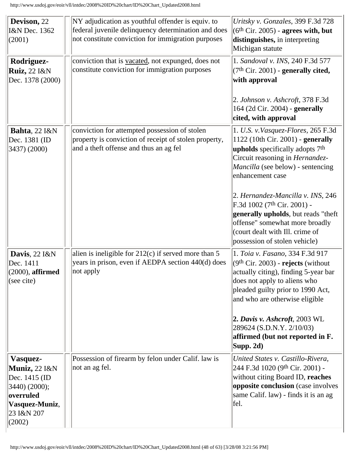| Devison, 22<br>I&N Dec. 1362<br>(2001)<br>Rodriguez-<br><b>Ruiz, 22 I&amp;N</b><br>Dec. 1378 (2000)                        | NY adjudication as youthful offender is equiv. to<br>federal juvenile delinquency determination and does<br>not constitute conviction for immigration purposes<br>conviction that is vacated, not expunged, does not<br>constitute conviction for immigration purposes | Uritsky v. Gonzales, 399 F.3d 728<br>$(6th Cir. 2005)$ - agrees with, but<br>distinguishes, in interpreting<br>Michigan statute<br>1. Sandoval v. INS, 240 F.3d 577<br>$(7th Cir. 2001)$ - generally cited,<br>with approval                                                                                                                                                                                                                     |
|----------------------------------------------------------------------------------------------------------------------------|------------------------------------------------------------------------------------------------------------------------------------------------------------------------------------------------------------------------------------------------------------------------|--------------------------------------------------------------------------------------------------------------------------------------------------------------------------------------------------------------------------------------------------------------------------------------------------------------------------------------------------------------------------------------------------------------------------------------------------|
|                                                                                                                            |                                                                                                                                                                                                                                                                        | 2. Johnson v. Ashcroft, 378 F.3d<br>164 (2d Cir. 2004) - generally<br>cited, with approval                                                                                                                                                                                                                                                                                                                                                       |
| Bahta, 22 I&N<br>Dec. 1381 (ID<br>3437) (2000)                                                                             | conviction for attempted possession of stolen<br>property is conviction of receipt of stolen property,<br>and a theft offense and thus an ag fel                                                                                                                       | 1. U.S. v. Vasquez-Flores, 265 F.3d<br>1122 (10th Cir. 2001) - generally<br>upholds specifically adopts 7 <sup>th</sup><br>Circuit reasoning in Hernandez-<br>Mancilla (see below) - sentencing<br>enhancement case<br>2. Hernandez-Mancilla v. INS, 246<br>F.3d 1002 (7 <sup>th</sup> Cir. 2001) -<br>generally upholds, but reads "theft<br>offense" somewhat more broadly<br>(court dealt with Ill. crime of<br>possession of stolen vehicle) |
| Davis, 22 I&N<br>Dec. 1411<br>$(2000)$ , affirmed<br>(see cite)                                                            | alien is ineligible for $212(c)$ if served more than 5<br>years in prison, even if AEDPA section 440(d) does<br>not apply                                                                                                                                              | 1. Toia v. Fasano, 334 F.3d 917<br>$(9th Cir. 2003)$ - rejects (without<br>actually citing), finding 5-year bar<br>does not apply to aliens who<br>pleaded guilty prior to 1990 Act,<br>and who are otherwise eligible<br>2. Davis v. Ashcroft, 2003 WL<br>289624 (S.D.N.Y. 2/10/03)<br>affirmed (but not reported in F.<br>$ Supp. 2d\rangle$                                                                                                   |
| Vasquez-<br><b>Muniz,</b> 22 I&N<br>Dec. 1415 (ID<br>(3440) (2000);<br>overruled<br>Vasquez-Muniz,<br>23 I&N 207<br>(2002) | Possession of firearm by felon under Calif. law is<br>not an ag fel.                                                                                                                                                                                                   | United States v. Castillo-Rivera,<br>244 F.3d 1020 (9th Cir. 2001) -<br>without citing Board ID, reaches<br>opposite conclusion (case involves<br>same Calif. law) - finds it is an ag<br>fel.                                                                                                                                                                                                                                                   |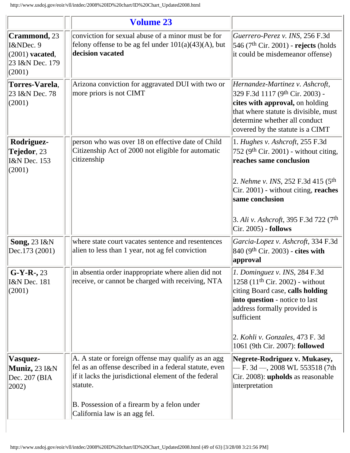<span id="page-48-0"></span>

|                                                                             | <b>Volume 23</b>                                                                                                                                                                                                                                                   |                                                                                                                                                                                                                                                                                                 |
|-----------------------------------------------------------------------------|--------------------------------------------------------------------------------------------------------------------------------------------------------------------------------------------------------------------------------------------------------------------|-------------------------------------------------------------------------------------------------------------------------------------------------------------------------------------------------------------------------------------------------------------------------------------------------|
| Crammond, 23<br>I&NDec. 9<br>$(2001)$ vacated,<br>23 I&N Dec. 179<br>(2001) | conviction for sexual abuse of a minor must be for<br>felony offense to be ag fel under $101(a)(43)(A)$ , but<br>decision vacated                                                                                                                                  | Guerrero-Perez v. INS, 256 F.3d<br>546 (7 <sup>th</sup> Cir. 2001) - <b>rejects</b> (holds<br>it could be misdemeanor offense)                                                                                                                                                                  |
| Torres-Varela.<br>23 I&N Dec. 78<br>(2001)                                  | Arizona conviction for aggravated DUI with two or<br>more priors is not CIMT                                                                                                                                                                                       | Hernandez-Martinez v. Ashcroft,<br>329 F.3d 1117 (9th Cir. 2003) -<br>cites with approval, on holding<br>that where statute is divisible, must<br>determine whether all conduct<br>covered by the statute is a CIMT                                                                             |
| Rodriguez-<br>Tejedor, 23<br>I&N Dec. 153<br>(2001)                         | person who was over 18 on effective date of Child<br>Citizenship Act of 2000 not eligible for automatic<br>citizenship                                                                                                                                             | 1. Hughes v. Ashcroft, 255 F.3d<br>752 (9 <sup>th</sup> Cir. 2001) - without citing,<br>reaches same conclusion<br>2. Nehme v. INS, 252 F.3d 415 (5 <sup>th</sup> )<br>Cir. 2001) - without citing, reaches<br>same conclusion<br>3. Ali v. Ashcroft, 395 F.3d 722 (7th<br>Cir. 2005) - follows |
| <b>Song, 23 I&amp;N</b><br>Dec.173 (2001)                                   | where state court vacates sentence and resentences<br>alien to less than 1 year, not ag fel conviction                                                                                                                                                             | Garcia-Lopez v. Ashcroft, 334 F.3d<br>840 (9th Cir. 2003) - cites with<br>approval                                                                                                                                                                                                              |
| $G-Y-R-23$<br>I&N Dec. 181<br>(2001)                                        | in absentia order inappropriate where alien did not<br>receive, or cannot be charged with receiving, NTA                                                                                                                                                           | 1. Dominguez v. INS, 284 F.3d<br>1258 (11 <sup>th</sup> Cir. 2002) - without<br>citing Board case, calls holding<br>into question - notice to last<br>address formally provided is<br>sufficient<br>2. Kohli v. Gonzales, 473 F. 3d<br>1061 (9th Cir. 2007): followed                           |
| Vasquez-<br><b>Muniz</b> , 23 I&N<br>Dec. 207 (BIA<br>2002)                 | A. A state or foreign offense may qualify as an agg<br>fel as an offense described in a federal statute, even<br>if it lacks the jurisdictional element of the federal<br>statute.<br>B. Possession of a firearm by a felon under<br>California law is an agg fel. | Negrete-Rodriguez v. Mukasey,<br>- F. 3d - 2008 WL 553518 (7th<br>Cir. 2008): upholds as reasonable<br>interpretation                                                                                                                                                                           |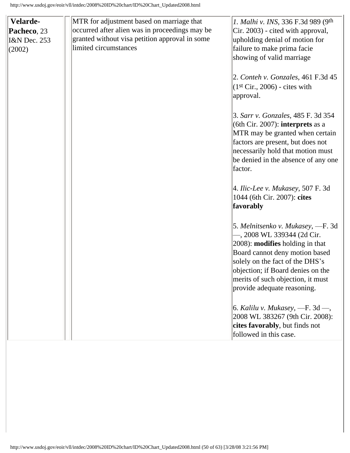| Velarde-<br>Pacheco, 23<br><b>I&amp;N</b> Dec. 253<br>(2002) | MTR for adjustment based on marriage that<br>occurred after alien was in proceedings may be<br>granted without visa petition approval in some<br>limited circumstances | 1. Malhi v. INS, 336 F.3d 989 (9th<br>Cir. 2003) - cited with approval,<br>upholding denial of motion for<br>failure to make prima facie<br>showing of valid marriage<br>2. Conteh v. Gonzales, $461$ F.3d $45$<br>$(1st Cir., 2006)$ - cites with<br>approval.                  |
|--------------------------------------------------------------|------------------------------------------------------------------------------------------------------------------------------------------------------------------------|----------------------------------------------------------------------------------------------------------------------------------------------------------------------------------------------------------------------------------------------------------------------------------|
|                                                              |                                                                                                                                                                        | 3. Sarr v. Gonzales, 485 F. 3d 354<br>$(6th Cir. 2007)$ : interprets as a<br>MTR may be granted when certain<br>factors are present, but does not<br>necessarily hold that motion must<br>be denied in the absence of any one<br>factor.                                         |
|                                                              |                                                                                                                                                                        | 4. Ilic-Lee v. Mukasey, 507 F. 3d<br>1044 (6th Cir. 2007): cites<br>favorably                                                                                                                                                                                                    |
|                                                              |                                                                                                                                                                        | 5. Melnitsenko v. Mukasey, —F. 3d<br>-, 2008 WL 339344 (2d Cir.<br>2008): modifies holding in that<br>Board cannot deny motion based<br>solely on the fact of the DHS's<br>objection; if Board denies on the<br>merits of such objection, it must<br>provide adequate reasoning. |
|                                                              |                                                                                                                                                                        | $ 6.$ Kalilu v. Mukasey, $-F.$ 3d $-$ ,<br>2008 WL 383267 (9th Cir. 2008):<br>cites favorably, but finds not<br>followed in this case.                                                                                                                                           |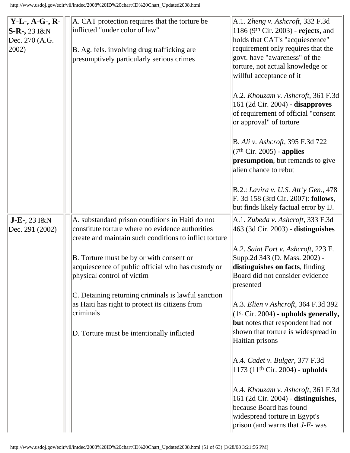| $Y-L-, A-G-, R-$   | A. CAT protection requires that the torture be                                                                               | A.1. Zheng v. Ashcroft, 332 F.3d                                                                                                                                         |
|--------------------|------------------------------------------------------------------------------------------------------------------------------|--------------------------------------------------------------------------------------------------------------------------------------------------------------------------|
| $ S-R-, 23   \& N$ | inflicted "under color of law"                                                                                               | 1186 (9th Cir. 2003) - rejects, and                                                                                                                                      |
| Dec. 270 (A.G.     |                                                                                                                              | holds that CAT's "acquiescence"                                                                                                                                          |
| $ 2002\rangle$     | B. Ag. fels. involving drug trafficking are                                                                                  | requirement only requires that the                                                                                                                                       |
|                    | presumptively particularly serious crimes                                                                                    | govt. have "awareness" of the                                                                                                                                            |
|                    |                                                                                                                              | torture, not actual knowledge or                                                                                                                                         |
|                    |                                                                                                                              | willful acceptance of it                                                                                                                                                 |
|                    |                                                                                                                              | A.2. Khouzam v. Ashcroft, 361 F.3d<br>161 (2d Cir. 2004) - disapproves<br>of requirement of official "consent<br>or approval" of torture                                 |
|                    |                                                                                                                              | B. Ali v. Ashcroft, 395 F.3d 722<br>$(7th Cir. 2005)$ - applies<br>presumption, but remands to give<br>alien chance to rebut                                             |
|                    |                                                                                                                              |                                                                                                                                                                          |
|                    |                                                                                                                              | B.2.: Lavira v. U.S. Att'y Gen., 478<br>F. 3d 158 (3rd Cir. 2007): follows,<br>but finds likely factual error by IJ.                                                     |
| $J-E-, 23$ $I&N$   | A. substandard prison conditions in Haiti do not                                                                             | A.1. Zubeda v. Ashcroft, 333 F.3d                                                                                                                                        |
| Dec. 291 (2002)    | constitute torture where no evidence authorities<br>create and maintain such conditions to inflict torture                   | 463 (3d Cir. 2003) - distinguishes                                                                                                                                       |
|                    | B. Torture must be by or with consent or<br>acquiescence of public official who has custody or<br>physical control of victim | A.2. Saint Fort v. Ashcroft, 223 F.<br>Supp.2d 343 (D. Mass. 2002) -<br>distinguishes on facts, finding<br>Board did not consider evidence<br>presented                  |
|                    | C. Detaining returning criminals is lawful sanction                                                                          |                                                                                                                                                                          |
|                    | as Haiti has right to protect its citizens from<br>criminals                                                                 | A.3. <i>Elien v Ashcroft</i> , 364 F.3d 392                                                                                                                              |
|                    |                                                                                                                              | $(1st Cir. 2004)$ - upholds generally,<br>but notes that respondent had not                                                                                              |
|                    | D. Torture must be intentionally inflicted                                                                                   | shown that torture is widespread in<br>Haitian prisons                                                                                                                   |
|                    |                                                                                                                              | A.4. Cadet v. Bulger, 377 F.3d<br>1173 $(11th Cir. 2004)$ - upholds                                                                                                      |
|                    |                                                                                                                              | A.4. Khouzam v. Ashcroft, 361 F.3d<br>161 (2d Cir. 2004) - distinguishes,<br>because Board has found<br>widespread torture in Egypt's<br>prison (and warns that J-E- was |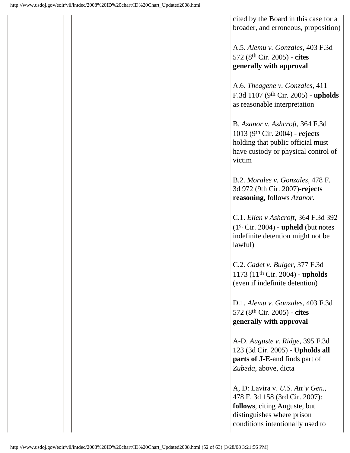cited by the Board in this case for a broader, and erroneous, proposition)

A.5. *Alemu v. Gonzales*, 403 F.3d 572 (8th Cir. 2005) - **cites generally with approval**

A.6. *Theagene v. Gonzales*, 411 F.3d 1107 (9th Cir. 2005) - **upholds** as reasonable interpretation

B. *Azanor v. Ashcroft*, 364 F.3d 1013 (9th Cir. 2004) - **rejects** holding that public official must have custody or physical control of victim

B.2. *Morales v. Gonzales,* 478 F. 3d 972 (9th Cir. 2007)**-rejects reasoning,** follows *Azanor*.

C.1. *Elien v Ashcroft*, 364 F.3d 392 (1st Cir. 2004) - **upheld** (but notes indefinite detention might not be lawful)

C.2. *Cadet v. Bulger*, 377 F.3d 1173 (11th Cir. 2004) - **upholds** (even if indefinite detention)

D.1. *Alemu v. Gonzales*, 403 F.3d 572 (8th Cir. 2005) - **cites generally with approval**

A-D. *Auguste v. Ridge*, 395 F.3d 123 (3d Cir. 2005) - **Upholds all parts of J-E**-and finds part of *Zubeda,* above, dicta

A, D: Lavira v. *U.S. Att'y Gen.*, 478 F. 3d 158 (3rd Cir. 2007): **follows**, citing Auguste, but distinguishes where prison conditions intentionally used to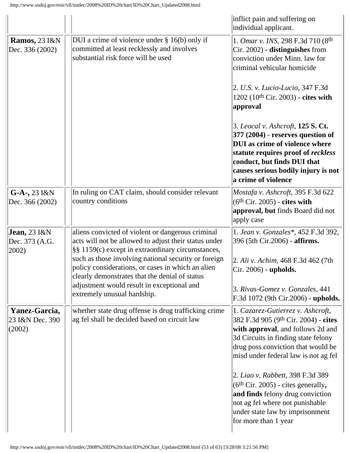|                                                 |                                                                                                                                                                                                                                                                                                                                                                              | inflict pain and suffering on<br>individual applicant.                                                                                                                                                                                                                  |
|-------------------------------------------------|------------------------------------------------------------------------------------------------------------------------------------------------------------------------------------------------------------------------------------------------------------------------------------------------------------------------------------------------------------------------------|-------------------------------------------------------------------------------------------------------------------------------------------------------------------------------------------------------------------------------------------------------------------------|
| Ramos, 23 I&N<br>Dec. 336 (2002)                | DUI a crime of violence under $\S$ 16(b) only if<br>committed at least recklessly and involves<br>substantial risk force will be used                                                                                                                                                                                                                                        | 1. Omar v. INS, 298 F.3d 710 (8th<br>Cir. 2002) - distinguishes from<br>conviction under Minn. law for<br>criminal vehicular homicide<br>2. U.S. v. Lucio-Lucio, 347 F.3d<br>1202 (10 <sup>th</sup> Cir. 2003) - cites with<br>approval                                 |
|                                                 |                                                                                                                                                                                                                                                                                                                                                                              | 3. Leocal v. Ashcroft, 125 S. Ct.<br>$377(2004)$ - reserves question of<br><b>DUI</b> as crime of violence where<br>statute requires proof of reckless<br>conduct, but finds DUI that<br>causes serious bodily injury is not<br>a crime of violence                     |
| $G-A-, 23$ $I&N$<br>Dec. 366 (2002)             | In ruling on CAT claim, should consider relevant<br>country conditions                                                                                                                                                                                                                                                                                                       | Mostafa v. Ashcroft, 395 F.3d 622<br>$(6th Cir. 2005)$ - cites with<br>approval, but finds Board did not<br>apply case                                                                                                                                                  |
| <b>Jean</b> , 23 I&N<br>Dec. 373 (A.G.<br>2002) | aliens convicted of violent or dangerous criminal<br>acts will not be allowed to adjust their status under<br>§§ 1159(c) except in extraordinary circumstances,<br>such as those involving national security or foreign<br>policy considerations, or cases in which an alien<br>clearly demonstrates that the denial of status<br>adjustment would result in exceptional and | 1. Jean v. Gonzales*, 452 F.3d 392,<br>396 (5th Cir.2006) - <b>affirms.</b><br>2. Ali v. Achim, 468 F.3d 462 (7th<br>Cir. 2006) - upholds.                                                                                                                              |
|                                                 | extremely unusual hardship.                                                                                                                                                                                                                                                                                                                                                  | 3. Rivas-Gomez v. Gonzales, 441<br>F.3d 1072 (9th Cir.2006) - upholds.                                                                                                                                                                                                  |
| Yanez-Garcia,<br>23 I&N Dec. 390<br>(2002)      | whether state drug offense is drug trafficking crime<br>ag fel shall be decided based on circuit law                                                                                                                                                                                                                                                                         | 1. Cazarez-Gutierrez v. Ashcroft,<br>382 F.3d 905 (9th Cir. 2004) - cites<br>with approval, and follows 2d and<br>3d Circuits in finding state felony<br>drug poss conviction that would be<br>misd under federal law is not ag fel<br>2. Liao v. Rabbett, 398 F.3d 389 |
|                                                 |                                                                                                                                                                                                                                                                                                                                                                              | $(6th Cir. 2005)$ - cites generally,<br>and finds felony drug conviction<br>not ag fel where not punishable<br>under state law by imprisonment<br>for more than 1 year                                                                                                  |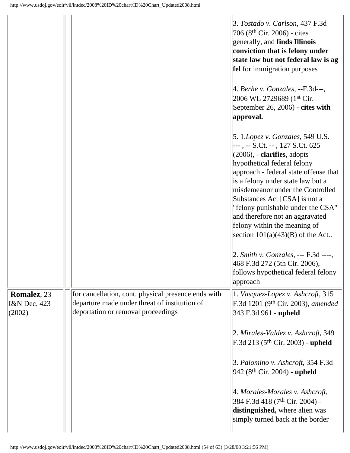|                                                          |                                                                                                                                            | 3. Tostado v. Carlson, 437 F.3d<br>706 (8 <sup>th</sup> Cir. 2006) - cites<br>generally, and finds Illinois<br>conviction that is felony under<br>state law but not federal law is ag<br>fel for immigration purposes<br>4. Berhe v. Gonzales, --F.3d---,<br>2006 WL 2729689 (1st Cir.<br>September 26, 2006) - cites with                                                                                                                                                                                                                                                      |
|----------------------------------------------------------|--------------------------------------------------------------------------------------------------------------------------------------------|---------------------------------------------------------------------------------------------------------------------------------------------------------------------------------------------------------------------------------------------------------------------------------------------------------------------------------------------------------------------------------------------------------------------------------------------------------------------------------------------------------------------------------------------------------------------------------|
|                                                          |                                                                                                                                            | approval.<br>5. 1. Lopez v. Gonzales, 549 U.S.<br>---, -- S.Ct. --, 127 S.Ct. 625<br>$(2006)$ , - clarifies, adopts<br>hypothetical federal felony<br>approach - federal state offense that<br>is a felony under state law but a<br>misdemeanor under the Controlled<br>Substances Act [CSA] is not a<br>"felony punishable under the CSA"<br>and therefore not an aggravated<br>felony within the meaning of<br>section $101(a)(43)(B)$ of the Act<br>2. Smith v. Gonzales, --- F.3d ----,<br>468 F.3d 272 (5th Cir. 2006),<br>follows hypothetical federal felony<br>approach |
| <b>Romalez</b> , 23<br><b>I&amp;N</b> Dec. 423<br>(2002) | for cancellation, cont. physical presence ends with<br>departure made under threat of institution of<br>deportation or removal proceedings | 1. Vasquez-Lopez v. Ashcroft, 315<br>F.3d 1201 (9 <sup>th</sup> Cir. 2003), amended<br>343 F.3d 961 - upheld<br>2. Mirales-Valdez v. Ashcroft, 349<br>F.3d 213 (5 <sup>th</sup> Cir. 2003) - <b>upheld</b><br>3. Palomino v. Ashcroft, 354 F.3d<br>942 (8 <sup>th</sup> Cir. 2004) - <b>upheld</b><br>4. Morales-Morales v. Ashcroft,<br>384 F.3d 418 (7 <sup>th</sup> Cir. 2004) -<br>distinguished, where alien was<br>simply turned back at the border                                                                                                                       |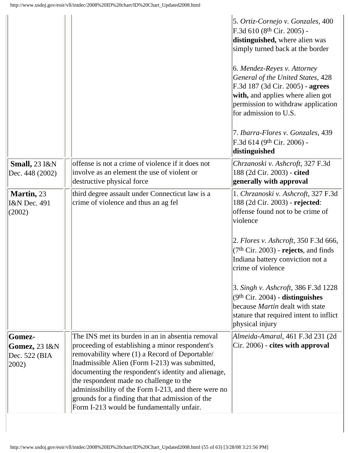|                                                                   |                                                                                                                                                                                                                                                                                                                                                                                                                                                                    | 5. Ortiz-Cornejo v. Gonzales, 400<br>F.3d $610$ ( $8th$ Cir. 2005) -<br>distinguished, where alien was<br>simply turned back at the border<br>6. Mendez-Reyes v. Attorney<br>General of the United States, 428<br>F.3d 187 (3d Cir. 2005) - agrees<br>with, and applies where alien got<br>permission to withdraw application<br>for admission to U.S.<br>7. Ibarra-Flores v. Gonzales, 439<br>F.3d 614 (9th Cir. 2006) -<br>distinguished    |
|-------------------------------------------------------------------|--------------------------------------------------------------------------------------------------------------------------------------------------------------------------------------------------------------------------------------------------------------------------------------------------------------------------------------------------------------------------------------------------------------------------------------------------------------------|-----------------------------------------------------------------------------------------------------------------------------------------------------------------------------------------------------------------------------------------------------------------------------------------------------------------------------------------------------------------------------------------------------------------------------------------------|
| <b>Small</b> , 23 I&N<br>Dec. 448 (2002)                          | offense is not a crime of violence if it does not<br>involve as an element the use of violent or<br>destructive physical force                                                                                                                                                                                                                                                                                                                                     | Chrzanoski v. Ashcroft, 327 F.3d<br>188 (2d Cir. 2003) - cited<br>generally with approval                                                                                                                                                                                                                                                                                                                                                     |
| <b>Martin</b> , 23<br>I&N Dec. 491<br>(2002)                      | third degree assault under Connecticut law is a<br>crime of violence and thus an ag fel                                                                                                                                                                                                                                                                                                                                                                            | 1. Chrzanoski v. Ashcroft, 327 F.3d<br>188 (2d Cir. 2003) - rejected:<br>offense found not to be crime of<br>violence<br>2. Flores v. Ashcroft, 350 F.3d 666,<br>$(7th Cir. 2003)$ - rejects, and finds<br>Indiana battery conviction not a<br>crime of violence<br>3. Singh v. Ashcroft, 386 F.3d 1228<br>$(9th Cir. 2004)$ - distinguishes<br>because Martin dealt with state<br>stature that required intent to inflict<br>physical injury |
| Gomez-<br><b>Gomez,</b> 23 I&N<br>Dec. 522 (BIA<br>$ 2002\rangle$ | The INS met its burden in an in absentia removal<br>proceeding of establishing a minor respondent's<br>removability where (1) a Record of Deportable/<br>Inadmissible Alien (Form I-213) was submitted,<br>documenting the respondent's identity and alienage,<br>the respondent made no challenge to the<br>adminissibility of the Form I-213, and there were no<br>grounds for a finding that that admission of the<br>Form I-213 would be fundamentally unfair. | Almeida-Amaral, 461 F.3d 231 (2d<br>Cir. 2006) - cites with approval                                                                                                                                                                                                                                                                                                                                                                          |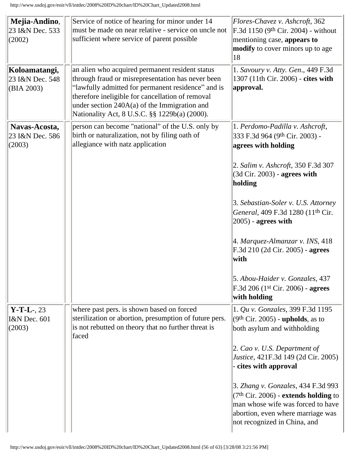| Mejia-Andino,<br>23 I&N Dec. 533<br>(2002)      | Service of notice of hearing for minor under 14<br>must be made on near relative - service on uncle not<br>sufficient where service of parent possible                                                                                                                                                            | Flores-Chavez v. Ashcroft, 362<br>F.3d 1150 (9th Cir. 2004) - without<br>mentioning case, appears to<br>modify to cover minors up to age<br>18                                                                                                                                                                                                                                                                                                                                           |
|-------------------------------------------------|-------------------------------------------------------------------------------------------------------------------------------------------------------------------------------------------------------------------------------------------------------------------------------------------------------------------|------------------------------------------------------------------------------------------------------------------------------------------------------------------------------------------------------------------------------------------------------------------------------------------------------------------------------------------------------------------------------------------------------------------------------------------------------------------------------------------|
| Koloamatangi,<br>23 I&N Dec. 548<br>(BIA 2003)  | an alien who acquired permanent resident status<br>through fraud or misrepresentation has never been<br>"lawfully admitted for permanent residence" and is<br>therefore ineligible for cancellation of removal<br>under section $240A(a)$ of the Immigration and<br>Nationality Act, 8 U.S.C. §§ 1229b(a) (2000). | 1. Savoury v. Atty. Gen., 449 F.3d<br>1307 (11th Cir. 2006) - cites with<br>approval.                                                                                                                                                                                                                                                                                                                                                                                                    |
| Navas-Acosta,<br>23 I&N Dec. 586<br>(2003)      | person can become "national" of the U.S. only by<br>birth or naturalization, not by filing oath of<br>allegiance with natz application                                                                                                                                                                            | 1. Perdomo-Padilla v. Ashcroft,<br>333 F.3d 964 (9th Cir. 2003) -<br>agrees with holding<br>2. Salim v. Ashcroft, 350 F.3d 307<br>(3d Cir. 2003) - agrees with<br>holding<br>3. Sebastian-Soler v. U.S. Attorney<br>General, 409 F.3d 1280 (11 <sup>th</sup> Cir.<br>$ 2005)$ - agrees with<br>$ 4.$ Marquez-Almanzar v. INS, 418<br>F.3d 210 (2d Cir. 2005) - agrees<br>with<br>5. Abou-Haider v. Gonzales, 437<br>F.3d 206 (1 <sup>st</sup> Cir. 2006) - <b>agrees</b><br>with holding |
| $Y-T-L-23$<br><b>I&amp;N</b> Dec. 601<br>(2003) | where past pers. is shown based on forced<br>sterilization or abortion, presumption of future pers.<br>is not rebutted on theory that no further threat is<br>faced                                                                                                                                               | 1. Qu v. Gonzales, 399 F.3d 1195<br>$(9th Cir. 2005)$ - upholds, as to<br>both asylum and withholding<br>2. Cao v. U.S. Department of<br>Justice, 421F.3d 149 (2d Cir. 2005)<br>- cites with approval<br>3. Zhang v. Gonzales, 434 F.3d 993<br>$(7th Cir. 2006)$ - extends holding to<br>man whose wife was forced to have<br>abortion, even where marriage was<br>not recognized in China, and                                                                                          |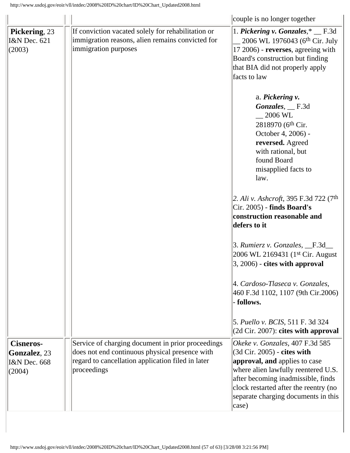|                                                                               |                                                                                                                                                                         | couple is no longer together                                                                                                                                                                                                                                          |
|-------------------------------------------------------------------------------|-------------------------------------------------------------------------------------------------------------------------------------------------------------------------|-----------------------------------------------------------------------------------------------------------------------------------------------------------------------------------------------------------------------------------------------------------------------|
| Pickering, 23<br>I&N Dec. 621<br>(2003)                                       | If conviction vacated solely for rehabilitation or<br>immigration reasons, alien remains convicted for<br>immigration purposes                                          | 1. Pickering v. Gonzales,* _ F.3d<br>2006 WL 1976043 (6 <sup>th</sup> Cir. July<br>17 2006) - reverses, agreeing with<br>Board's construction but finding<br>that BIA did not properly apply<br>facts to law                                                          |
|                                                                               |                                                                                                                                                                         | a. Pickering v.<br>Gonzales, __ F.3d<br>$-2006$ WL<br>2818970 (6th Cir.<br>October 4, 2006) -<br>reversed. Agreed<br>with rational, but<br>found Board<br>misapplied facts to<br>law.                                                                                 |
|                                                                               |                                                                                                                                                                         | 2. Ali v. Ashcroft, 395 F.3d 722 (7 <sup>th</sup> )<br>Cir. 2005) - finds Board's<br>construction reasonable and<br>defers to it                                                                                                                                      |
|                                                                               |                                                                                                                                                                         | 3. Rumierz v. Gonzales, __F.3d__<br>2006 WL 2169431 (1 <sup>st</sup> Cir. August<br>$3,2006$ - cites with approval                                                                                                                                                    |
|                                                                               |                                                                                                                                                                         | 4. Cardoso-Tlaseca v. Gonzales,<br>460 F.3d 1102, 1107 (9th Cir.2006)<br>- follows.                                                                                                                                                                                   |
|                                                                               |                                                                                                                                                                         | 5. Puello v. BCIS, 511 F. 3d 324<br>(2d Cir. 2007): cites with approval                                                                                                                                                                                               |
| <b>Cisneros-</b><br><b>Gonzalez</b> , 23<br><b>I&amp;N</b> Dec. 668<br>(2004) | Service of charging document in prior proceedings<br>does not end continuous physical presence with<br>regard to cancellation application filed in later<br>proceedings | Okeke v. Gonzales, 407 F.3d 585<br>(3d Cir. 2005) - cites with<br>approval, and applies to case<br>where alien lawfully reentered U.S.<br>after becoming inadmissible, finds<br>clock restarted after the reentry (no<br>separate charging documents in this<br>case) |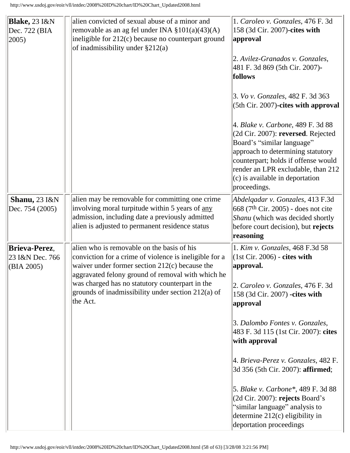| <b>Blake,</b> 23 I&N<br>Dec. 722 (BIA<br>$ 2005\rangle$ | alien convicted of sexual abuse of a minor and<br>removable as an ag fel under INA $\S 101(a)(43)(A)$<br>ineligible for 212(c) because no counterpart ground<br>of inadmissibility under $\S212(a)$           | 1. Caroleo v. Gonzales, 476 F. 3d<br>158 (3d Cir. 2007)-cites with<br>approval<br>2. Avilez-Granados v. Gonzales,<br>481 F. 3d 869 (5th Cir. 2007)-<br>follows                                                                                                             |
|---------------------------------------------------------|---------------------------------------------------------------------------------------------------------------------------------------------------------------------------------------------------------------|----------------------------------------------------------------------------------------------------------------------------------------------------------------------------------------------------------------------------------------------------------------------------|
|                                                         |                                                                                                                                                                                                               | 3. Vo v. Gonzales, 482 F. 3d 363<br>(5th Cir. 2007)-cites with approval                                                                                                                                                                                                    |
|                                                         |                                                                                                                                                                                                               | 4. Blake v. Carbone, 489 F. 3d 88<br>(2d Cir. 2007): reversed. Rejected<br>Board's "similar language"<br>approach to determining statutory<br>counterpart; holds if offense would<br>render an LPR excludable, than 212<br>(c) is available in deportation<br>proceedings. |
| <b>Shanu</b> , 23 I&N<br>Dec. 754 (2005)                | alien may be removable for committing one crime<br>involving moral turpitude within 5 years of any<br>admission, including date a previously admitted<br>alien is adjusted to permanent residence status      | Abdelqadar v. Gonzales, 413 F.3d<br>668 (7 <sup>th</sup> Cir. 2005) - does not cite<br>Shanu (which was decided shortly<br>before court decision), but rejects<br>reasoning                                                                                                |
| <b>Brieva-Perez,</b><br>23 I&N Dec. 766<br>(BIA 2005)   | alien who is removable on the basis of his<br>conviction for a crime of violence is ineligible for a<br>waiver under former section $212(c)$ because the<br>aggravated felony ground of removal with which he | 1. Kim v. Gonzales, 468 F.3d 58<br>$(1st Cir. 2006)$ - cites with<br>approval.                                                                                                                                                                                             |
|                                                         | was charged has no statutory counterpart in the<br>grounds of inadmissibility under section 212(a) of<br>the Act.                                                                                             | 2. Caroleo v. Gonzales, 476 F. 3d<br>158 (3d Cir. 2007) - cites with<br>approval                                                                                                                                                                                           |
|                                                         |                                                                                                                                                                                                               | 3. Dalombo Fontes v. Gonzales,<br>483 F. 3d 115 (1st Cir. 2007): cites<br>with approval                                                                                                                                                                                    |
|                                                         |                                                                                                                                                                                                               | 4. Brieva-Perez v. Gonzales, 482 F.<br>3d 356 (5th Cir. 2007): <b>affirmed</b> ;                                                                                                                                                                                           |
|                                                         |                                                                                                                                                                                                               | 5. Blake v. Carbone*, 489 F. 3d 88<br>(2d Cir. 2007): rejects Board's<br>"similar language" analysis to<br>determine $212(c)$ eligibility in<br>deportation proceedings                                                                                                    |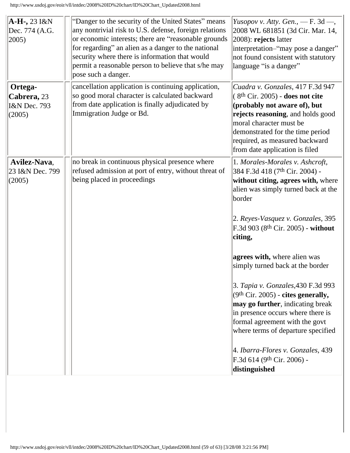| $ A-H-, 23   &$<br>Dec. 774 (A.G.<br>2005)                  | "Danger to the security of the United States" means<br>any nontrivial risk to U.S. defense, foreign relations<br>or economic interests; there are "reasonable grounds<br>for regarding" an alien as a danger to the national<br>security where there is information that would<br>permit a reasonable person to believe that s/he may<br>pose such a danger. | Yusopov v. Atty. Gen., $-$ F. 3d $-$ ,<br>2008 WL 681851 (3d Cir. Mar. 14,<br>2008): rejects latter<br>interpretation-"may pose a danger"<br>not found consistent with statutory<br>language "is a danger"                                                                                                                                                                                                                                                                                                                                                                                                                                                                    |
|-------------------------------------------------------------|--------------------------------------------------------------------------------------------------------------------------------------------------------------------------------------------------------------------------------------------------------------------------------------------------------------------------------------------------------------|-------------------------------------------------------------------------------------------------------------------------------------------------------------------------------------------------------------------------------------------------------------------------------------------------------------------------------------------------------------------------------------------------------------------------------------------------------------------------------------------------------------------------------------------------------------------------------------------------------------------------------------------------------------------------------|
| Ortega-<br>Cabrera, 23<br><b>I&amp;N</b> Dec. 793<br>(2005) | cancellation application is continuing application,<br>so good moral character is calculated backward<br>from date application is finally adjudicated by<br>Immigration Judge or Bd.                                                                                                                                                                         | Cuadra v. Gonzales, 417 F.3d 947<br>$(8th Cir. 2005)$ - does not cite<br>(probably not aware of), but<br>rejects reasoning, and holds good<br>moral character must be<br>demonstrated for the time period<br>required, as measured backward<br>from date application is filed                                                                                                                                                                                                                                                                                                                                                                                                 |
| Avilez-Nava,<br>23 I&N Dec. 799<br>(2005)                   | no break in continuous physical presence where<br>refused admission at port of entry, without threat of<br>being placed in proceedings                                                                                                                                                                                                                       | 1. Morales-Morales v. Ashcroft,<br>384 F.3d 418 (7 <sup>th</sup> Cir. 2004) -<br>without citing, agrees with, where<br>alien was simply turned back at the<br>border<br>2. Reyes-Vasquez v. Gonzales, 395<br>F.3d 903 (8 <sup>th</sup> Cir. 2005) - without<br>$ {\rm citing},$<br><b>agrees with,</b> where alien was<br>simply turned back at the border<br>3. Tapia v. Gonzales, 430 F.3d 993<br>$(9th Cir. 2005)$ - cites generally,<br>may go further, indicating break<br>in presence occurs where there is<br>formal agreement with the govt<br>where terms of departure specified<br>4. Ibarra-Flores v. Gonzales, 439<br>F.3d 614 (9th Cir. 2006) -<br>distinguished |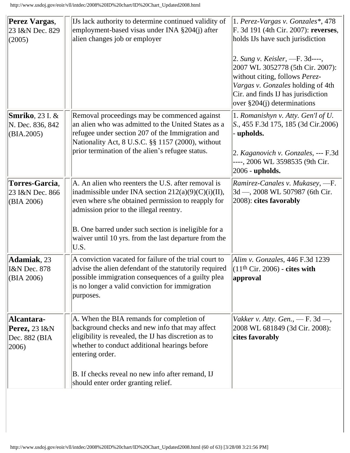| Perez Vargas,<br>23 I&N Dec. 829<br>(2005)                    | IJs lack authority to determine continued validity of<br>employment-based visas under INA §204(j) after<br>alien changes job or employer                                                                                                                                                                                               | 1. Perez-Vargas v. Gonzales*, 478<br>F. 3d 191 (4th Cir. 2007): reverses,<br>holds IJs have such jurisdiction<br>2. Sung v. Keisler, -F. 3d----,<br>2007 WL 3052778 (5th Cir. 2007):<br>without citing, follows Perez-<br>Vargas v. Gonzales holding of 4th<br>Cir. and finds IJ has jurisdiction<br>over $\S 204(j)$ determinations |
|---------------------------------------------------------------|----------------------------------------------------------------------------------------------------------------------------------------------------------------------------------------------------------------------------------------------------------------------------------------------------------------------------------------|--------------------------------------------------------------------------------------------------------------------------------------------------------------------------------------------------------------------------------------------------------------------------------------------------------------------------------------|
| <b>Smriko</b> , 23 I. &<br>N. Dec. 836, 842<br>(BIA.2005)     | Removal proceedings may be commenced against<br>an alien who was admitted to the United States as a<br>refugee under section 207 of the Immigration and<br>Nationality Act, 8 U.S.C. §§ 1157 (2000), without<br>prior termination of the alien's refugee status.                                                                       | 1. Romanishyn v. Atty. Gen'l of U.<br>S., 455 F.3d 175, 185 (3d Cir.2006)<br>- upholds.<br>2. Kaganovich v. Gonzales, --- F.3d<br>----, 2006 WL 3598535 (9th Cir.<br>$ 2006 -$ upholds.                                                                                                                                              |
| Torres-Garcia,<br>23 I&N Dec. 866<br>(BIA 2006)               | A. An alien who reenters the U.S. after removal is<br>inadmissible under INA section $212(a)(9)(C)(i)(II)$ ,<br>even where s/he obtained permission to reapply for<br>admission prior to the illegal reentry.<br>B. One barred under such section is ineligible for a<br>waiver until 10 yrs. from the last departure from the<br>U.S. | Ramirez-Canales v. Mukasey, —F.<br>3d -, 2008 WL 507987 (6th Cir.<br>2008): cites favorably                                                                                                                                                                                                                                          |
| Adamiak, 23<br>I&N Dec. 878<br>(BIA 2006)                     | A conviction vacated for failure of the trial court to<br>advise the alien defendant of the statutorily required<br>possible immigration consequences of a guilty plea<br>is no longer a valid conviction for immigration<br>purposes.                                                                                                 | Alim v. Gonzales, 446 F.3d 1239<br>$(11th Cir. 2006)$ - cites with<br>approval                                                                                                                                                                                                                                                       |
| Alcantara-<br><b>Perez</b> , 23 I&N<br>Dec. 882 (BIA<br>2006) | A. When the BIA remands for completion of<br>background checks and new info that may affect<br>eligibility is revealed, the IJ has discretion as to<br>whether to conduct additional hearings before<br>entering order.<br>B. If checks reveal no new info after remand, IJ<br>should enter order granting relief.                     | Vakker v. Atty. Gen., $-$ F. 3d $-$ ,<br>2008 WL 681849 (3d Cir. 2008):<br>cites favorably                                                                                                                                                                                                                                           |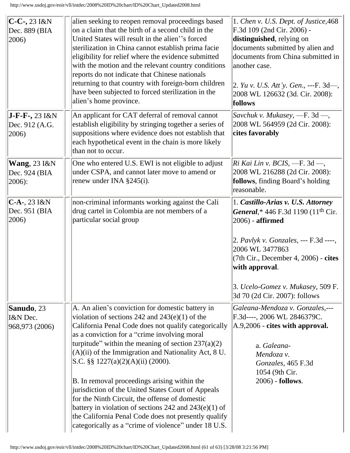| $C-C$ -, 23 I&N<br>Dec. 889 (BIA<br>2006)         | alien seeking to reopen removal proceedings based<br>on a claim that the birth of a second child in the<br>United States will result in the alien"'s forced<br>sterilization in China cannot establish prima facie<br>eligibility for relief where the evidence submitted<br>with the motion and the relevant country conditions<br>reports do not indicate that Chinese nationals<br>returning to that country with foreign-born children<br>have been subjected to forced sterilization in the<br>alien's home province.                                                                                                                                                                                | 1. Chen v. U.S. Dept. of Justice, 468<br>F.3d 109 (2nd Cir. 2006) -<br>distinguished, relying on<br>documents submitted by alien and<br>documents from China submitted in<br>another case.<br>2. Yu v. U.S. Att'y. Gen., ---F. 3d-,<br>2008 WL 126632 (3d. Cir. 2008):<br>follows                       |
|---------------------------------------------------|-----------------------------------------------------------------------------------------------------------------------------------------------------------------------------------------------------------------------------------------------------------------------------------------------------------------------------------------------------------------------------------------------------------------------------------------------------------------------------------------------------------------------------------------------------------------------------------------------------------------------------------------------------------------------------------------------------------|---------------------------------------------------------------------------------------------------------------------------------------------------------------------------------------------------------------------------------------------------------------------------------------------------------|
| $J-F-F-, 23$ $I\&N$<br>Dec. 912 (A.G.<br>2006)    | An applicant for CAT deferral of removal cannot<br>establish eligibility by stringing together a series of<br>suppositions where evidence does not establish that<br>each hypothetical event in the chain is more likely<br>than not to occur.                                                                                                                                                                                                                                                                                                                                                                                                                                                            | Savchuk v. Mukasey, $-F.3d$ ,<br>2008 WL 564959 (2d Cir. 2008):<br>cites favorably                                                                                                                                                                                                                      |
| <b>Wang</b> , 23 I&N<br>Dec. 924 (BIA<br>$2006$ : | One who entered U.S. EWI is not eligible to adjust<br>under CSPA, and cannot later move to amend or<br>renew under INA §245(i).                                                                                                                                                                                                                                                                                                                                                                                                                                                                                                                                                                           | Ri Kai Lin v. BCIS, -- F. 3d --,<br>2008 WL 216288 (2d Cir. 2008):<br>follows, finding Board's holding<br>reasonable.                                                                                                                                                                                   |
| $C-A-, 23$ $I&N$<br>Dec. 951 (BIA<br>2006)        | non-criminal informants working against the Cali<br>drug cartel in Colombia are not members of a<br>particular social group                                                                                                                                                                                                                                                                                                                                                                                                                                                                                                                                                                               | 1. Castillo-Arias v. U.S. Attorney<br>General,* 446 F.3d 1190 (11 <sup>th</sup> Cir.<br>2006) - affirmed<br>2. Pavlyk v. Gonzales, --- F.3d ----,<br>2006 WL 3477863<br>(7th Cir., December 4, 2006) - cites<br>with approval.<br>$ 3. Ucelo-Gomez v. Mukasey, 509 F.$<br>3d 70 (2d Cir. 2007): follows |
| <b>Sanudo</b> , 23<br>I&N Dec.<br>968,973 (2006)  | A. An alien's conviction for domestic battery in<br>violation of sections 242 and $243(e)(1)$ of the<br>California Penal Code does not qualify categorically<br>as a conviction for a "crime involving moral"<br>turpitude" within the meaning of section $237(a)(2)$<br>$(A)(ii)$ of the Immigration and Nationality Act, 8 U.<br>S.C. $\S$ 1227(a)(2)(A)(ii) (2000).<br>B. In removal proceedings arising within the<br>jurisdiction of the United States Court of Appeals<br>for the Ninth Circuit, the offense of domestic<br>battery in violation of sections 242 and $243(e)(1)$ of<br>the California Penal Code does not presently qualify<br>categorically as a "crime of violence" under 18 U.S. | Galeana-Mendoza v. Gonzales,---<br>F.3d----, 2006 WL 2846379C.<br>A.9,2006 - cites with approval.<br>a. Galeana-<br>Mendoza v.<br>Gonzales, 465 F.3d<br>1054 (9th Cir.<br>2006) - follows.                                                                                                              |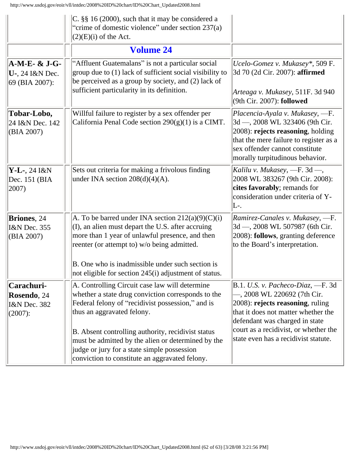<span id="page-61-0"></span>

|                                                                    | $C.$ §§ 16 (2000), such that it may be considered a<br>"crime of domestic violence" under section 237(a)<br>$(2)(E)(i)$ of the Act.                                                                                                                                                                                                                                                                  |                                                                                                                                                                                                                                                                   |
|--------------------------------------------------------------------|------------------------------------------------------------------------------------------------------------------------------------------------------------------------------------------------------------------------------------------------------------------------------------------------------------------------------------------------------------------------------------------------------|-------------------------------------------------------------------------------------------------------------------------------------------------------------------------------------------------------------------------------------------------------------------|
|                                                                    | <b>Volume 24</b>                                                                                                                                                                                                                                                                                                                                                                                     |                                                                                                                                                                                                                                                                   |
| $A-M-E-$ & J-G-<br><b>U-</b> , 24 I&N Dec.<br>69 (BIA 2007):       | "Affluent Guatemalans" is not a particular social<br>group due to (1) lack of sufficient social visibility to<br>be perceived as a group by society, and (2) lack of<br>sufficient particularity in its definition.                                                                                                                                                                                  | Ucelo-Gomez v. Mukasey*, 509 F.<br>3d 70 (2d Cir. 2007): affirmed<br>Arteaga v. Mukasey, 511F. 3d 940<br>(9th Cir. 2007): followed                                                                                                                                |
| Tobar-Lobo,<br>24 I&N Dec. 142<br>(BIA 2007)                       | Willful failure to register by a sex offender per<br>California Penal Code section $290(g)(1)$ is a CIMT.                                                                                                                                                                                                                                                                                            | Placencia-Ayala v. Mukasey, -- F.<br>3d - 2008 WL 323406 (9th Cir.<br>$[2008)$ : rejects reasoning, holding<br>that the mere failure to register as a<br>sex offender cannot constitute<br>morally turpitudinous behavior.                                        |
| $Y-L-, 24$ I&N<br>Dec. 151 (BIA<br>2007)                           | Sets out criteria for making a frivolous finding<br>under INA section $208(d)(4)(A)$ .                                                                                                                                                                                                                                                                                                               | Kalilu v. Mukasey, -F. 3d -,<br>2008 WL 383267 (9th Cir. 2008):<br>cites favorably; remands for<br>consideration under criteria of Y-<br>L-.                                                                                                                      |
| <b>Briones</b> , 24<br><b>I&amp;N</b> Dec. 355<br>(BIA 2007)       | A. To be barred under INA section $212(a)(9)(C)(i)$<br>$(I)$ , an alien must depart the U.S. after accruing<br>more than 1 year of unlawful presence, and then<br>reenter (or attempt to) w/o being admitted.<br>B. One who is inadmissible under such section is<br>not eligible for section 245(i) adjustment of status.                                                                           | Ramirez-Canales v. Mukasey, —F.<br>3d -, 2008 WL 507987 (6th Cir.<br>2008): follows, granting deference<br>to the Board's interpretation.                                                                                                                         |
| Carachuri-<br>Rosendo, 24<br><b>I&amp;N</b> Dec. 382<br>$(2007)$ : | A. Controlling Circuit case law will determine<br>whether a state drug conviction corresponds to the<br>Federal felony of "recidivist possession," and is<br>thus an aggravated felony.<br>B. Absent controlling authority, recidivist status<br>must be admitted by the alien or determined by the<br>judge or jury for a state simple possession<br>conviction to constitute an aggravated felony. | $ B.1. U.S. v. Pacheco-Diaz, -F. 3d$<br>-, 2008 WL 220692 (7th Cir.<br>2008): rejects reasoning, ruling<br>that it does not matter whether the<br>defendant was charged in state<br>court as a recidivist, or whether the<br>state even has a recidivist statute. |